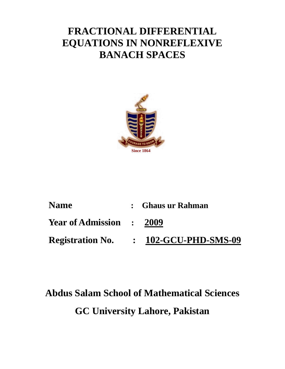# **FRACTIONAL DIFFERENTIAL EQUATIONS IN NONREFLEXIVE BANACH SPACES**



| <b>Name</b>              | : Ghaus ur Rahman    |
|--------------------------|----------------------|
| Year of Admission : 2009 |                      |
| <b>Registration No.</b>  | : 102-GCU-PHD-SMS-09 |

# **Abdus Salam School of Mathematical Sciences GC University Lahore, Pakistan**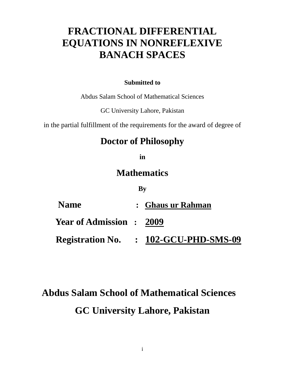# **FRACTIONAL DIFFERENTIAL EQUATIONS IN NONREFLEXIVE BANACH SPACES**

#### **Submitted to**

Abdus Salam School of Mathematical Sciences

GC University Lahore, Pakistan

in the partial fulfillment of the requirements for the award of degree of

## **Doctor of Philosophy**

**in**

## **Mathematics**

#### **By**

| <b>Name</b>                     | : Ghaus ur Rahman    |
|---------------------------------|----------------------|
| <b>Year of Admission : 2009</b> |                      |
| <b>Registration No.</b>         | : 102-GCU-PHD-SMS-09 |

# **Abdus Salam School of Mathematical Sciences GC University Lahore, Pakistan**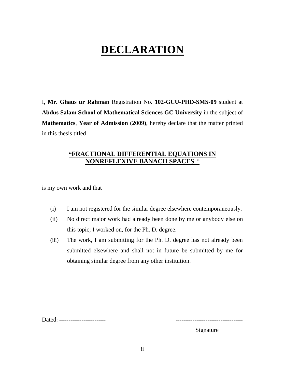# **DECLARATION**

I, **Mr. Ghaus ur Rahman** Registration No. **102-GCU-PHD-SMS-09** student at **Abdus Salam School of Mathematical Sciences GC University** in the subject of **Mathematics**, **Year of Admission** (**2009)**, hereby declare that the matter printed in this thesis titled

#### **"FRACTIONAL DIFFERENTIAL EQUATIONS IN NONREFLEXIVE BANACH SPACES "**

is my own work and that

- (i) I am not registered for the similar degree elsewhere contemporaneously.
- (ii) No direct major work had already been done by me or anybody else on this topic; I worked on, for the Ph. D. degree.
- (iii) The work, I am submitting for the Ph. D. degree has not already been submitted elsewhere and shall not in future be submitted by me for obtaining similar degree from any other institution.

Dated: ---------------------------

Signature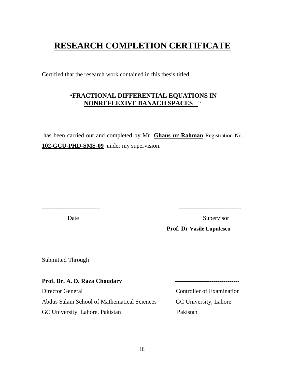## **RESEARCH COMPLETION CERTIFICATE**

Certified that the research work contained in this thesis titled

#### **"FRACTIONAL DIFFERENTIAL EQUATIONS IN NONREFLEXIVE BANACH SPACES "**

has been carried out and completed by Mr. **Ghaus ur Rahman** Registration No. **102-GCU-PHD-SMS-09** under my supervision.

Date Supervisor

----------------------------- -------------------------------

**Prof. Dr Vasile Lupulescu**

Submitted Through

**Prof. Dr. A. D. Raza Choudary -----------------------------------**Director General Controller of Examination Abdus Salam School of Mathematical Sciences GC University, Lahore GC University, Lahore, Pakistan Pakistan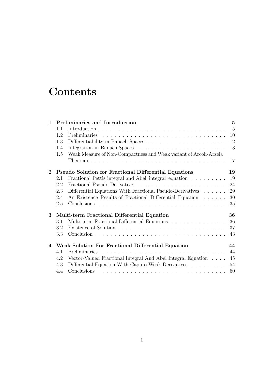# **Contents**

| $\mathbf{1}$     |                                                    | Preliminaries and Introduction                                    | $\overline{5}$ |  |
|------------------|----------------------------------------------------|-------------------------------------------------------------------|----------------|--|
|                  | 1.1                                                |                                                                   | $-5$           |  |
|                  | 1.2                                                |                                                                   | 10             |  |
|                  | 1.3                                                |                                                                   | 12             |  |
|                  | 1.4                                                |                                                                   | 13             |  |
|                  | 1.5                                                | Weak Measure of Non-Compactness and Weak variant of Arcoli-Arzela |                |  |
|                  |                                                    |                                                                   | 17             |  |
| $\overline{2}$   |                                                    | <b>Pseudo Solution for Fractional Differential Equations</b>      | 19             |  |
|                  | 2.1                                                | Fractional Pettis integral and Abel integral equation             | 19             |  |
|                  | 2.2                                                |                                                                   | 24             |  |
|                  | 2.3                                                | Differential Equations With Fractional Pseudo-Derivatives         | 29             |  |
|                  | 2.4                                                | An Existence Results of Fractional Differential Equation          | 30             |  |
|                  | 2.5                                                |                                                                   | 35             |  |
| 3                |                                                    | Multi-term Fractional Differential Equation                       | 36             |  |
|                  | 3.1                                                | Multi-term Fractional Differential Equations                      | 36             |  |
|                  | 3.2                                                |                                                                   | 37             |  |
|                  | 3.3                                                |                                                                   | 43             |  |
| $\boldsymbol{4}$ | Weak Solution For Fractional Differential Equation |                                                                   |                |  |
|                  | 4.1                                                | Preliminaries                                                     | 44             |  |
|                  | 4.2                                                | Vector-Valued Fractional Integral And Abel Integral Equation      | 45             |  |
|                  | 4.3                                                | Differential Equation With Caputo Weak Derivatives                | 54             |  |
|                  | 4.4                                                |                                                                   | 60             |  |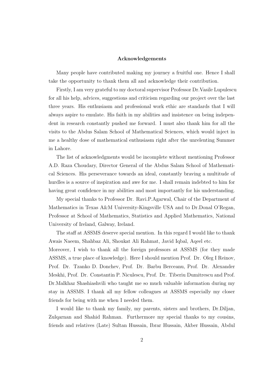#### **Acknowledgements**

Many people have contributed making my journey a fruitful one. Hence I shall take the opportunity to thank them all and acknowledge their contribution.

Firstly, I am very grateful to my doctoral supervisor Professor Dr.Vasile Lupulescu for all his help, advices, suggestions and criticism regarding our project over the last three years. His enthusiasm and professional work ethic are standards that I will always aspire to emulate. His faith in my abilities and insistence on being independent in research constantly pushed me forward. I must also thank him for all the visits to the Abdus Salam School of Mathematical Sciences, which would inject in me a healthy dose of mathematical enthusiasm right after the unrelenting Summer in Lahore.

The list of acknowledgments would be incomplete without mentioning Professor A.D. Raza Choudary, Director General of the Abdus Salam School of Mathematical Sciences. His perseverance towards an ideal, constantly braving a multitude of hurdles is a source of inspiration and awe for me. I shall remain indebted to him for having great confidence in my abilities and most importantly for his understanding.

My special thanks to Professor Dr. Ravi.P.Agarwal, Chair of the Department of Mathematics in Texas A&M University-Kingsville USA and to Dr.Donal O'Regan, Professor at School of Mathematics, Statistics and Applied Mathematics, National University of Ireland, Galway, Ireland.

The staff at ASSMS deserve special mention. In this regard I would like to thank Awais Naeem, Shahbaz Ali, Shoukat Ali Rahmat, Javid Iqbal, Aqeel etc.

Moreover, I wish to thank all the foreign professors at ASSMS (for they made ASSMS, a true place of knowledge). Here I should mention Prof. Dr. Oleg I Reinov, Prof. Dr. Tzanko D. Donchev, Prof. Dr. Barbu Berceanu, Prof. Dr. Alexander Meskhi, Prof. Dr. Constantin P. Niculescu, Prof. Dr. Tiberiu Dumitrescu and Prof. Dr.Malkhaz Shashiashvili who taught me so much valuable information during my stay in ASSMS. I thank all my fellow colleagues at ASSMS especially my closer friends for being with me when I needed them.

I would like to thank my family, my parents, sisters and brothers, Dr.Diljan, Zulqarnan and Shahid Rahman. Furthermore my special thanks to my cousins, friends and relatives (Late) Sultan Hussain, Ibrar Hussain, Akber Hussain, Abdul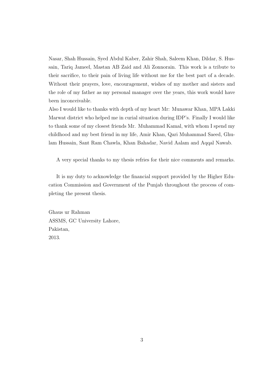Nasar, Shah Hussain, Syed Abdul Kaber, Zahir Shah, Saleem Khan, Dildar, S. Hussain, Tariq Jameel, Mastan AB Zaid and Ali Zonnorain. This work is a tribute to their sacrifice, to their pain of living life without me for the best part of a decade. Without their prayers, love, encouragement, wishes of my mother and sisters and the role of my father as my personal manager over the years, this work would have been inconceivable.

Also I would like to thanks with depth of my heart Mr: Munawar Khan, MPA Lakki Marwat district who helped me in curial situation during IDP's. Finally I would like to thank some of my closest friends Mr. Muhammad Kamal, with whom I spend my childhood and my best friend in my life, Amir Khan, Qari Muhammad Saeed, Ghulam Hussain, Sant Ram Chawla, Khan Bahadar, Navid Aalam and Aqqal Nawab.

A very special thanks to my thesis refries for their nice comments and remarks.

It is my duty to acknowledge the financial support provided by the Higher Education Commission and Government of the Punjab throughout the process of completing the present thesis.

Ghaus ur Rahman ASSMS, GC University Lahore, Pakistan, 2013.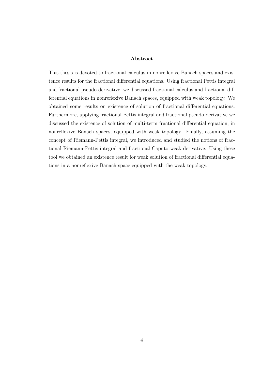#### **Abstract**

This thesis is devoted to fractional calculus in nonreflexive Banach spaces and existence results for the fractional differential equations. Using fractional Pettis integral and fractional pseudo-derivative, we discussed fractional calculus and fractional differential equations in nonreflexive Banach spaces, equipped with weak topology. We obtained some results on existence of solution of fractional differential equations. Furthermore, applying fractional Pettis integral and fractional pseudo-derivative we discussed the existence of solution of multi-term fractional differential equation, in nonreflexive Banach spaces, equipped with weak topology. Finally, assuming the concept of Riemann-Pettis integral, we introduced and studied the notions of fractional Riemann-Pettis integral and fractional Caputo weak derivative. Using these tool we obtained an existence result for weak solution of fractional differential equations in a nonreflexive Banach space equipped with the weak topology.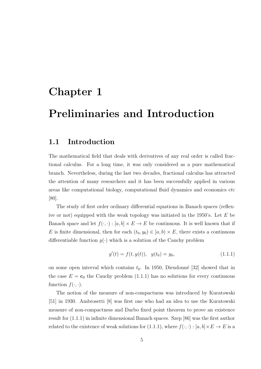## **Chapter 1**

# **Preliminaries and Introduction**

### **1.1 Introduction**

The mathematical field that deals with derivatives of any real order is called fractional calculus. For a long time, it was only considered as a pure mathematical branch. Nevertheless, during the last two decades, fractional calculus has attracted the attention of many researchers and it has been successfully applied in various areas like computational biology, computational fluid dynamics and economics *etc* [80].

The study of first order ordinary differential equations in Banach spaces (reflexive or not) equipped with the weak topology was initiated in the 1950's. Let *E* be Banach space and let  $f(\cdot, \cdot) : [a, b] \times E \to E$  be continuous. It is well known that if *E* is finite dimensional, then for each  $(t_0, y_0) \in [a, b) \times E$ , there exists a continuous differentiable function  $y(\cdot)$  which is a solution of the Cauchy problem

$$
y'(t) = f(t, y(t)), \quad y(t_0) = y_0,\tag{1.1.1}
$$

on some open interval which contains  $t_0$ . In 1950, Dieudonné [32] showed that in the case  $E = c_0$  the Cauchy problem (1.1.1) has no solutions for every continuous function  $f(\cdot, \cdot)$ .

The notion of the measure of non-compactness was introduced by Kuratowski [51] in 1930. Ambrosetti [8] was first one who had an idea to use the Kuratowski measure of non-compactness and Darbo fixed point theorem to prove an existence result for (1.1.1) in infinite dimensional Banach spaces. Szep [86] was the first author related to the existence of weak solutions for  $(1.1.1)$ , where  $f(\cdot, \cdot) : [a, b] \times E \to E$  is a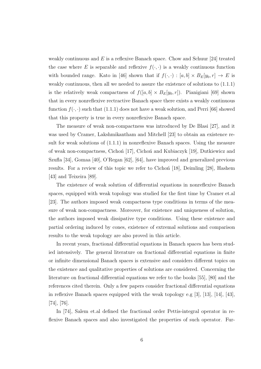weakly continuous and E is a reflexive Banach space. Chow and Schuur [24] treated the case where E is separable and reflexive  $f(\cdot, \cdot)$  is a weakly continuous function with bounded range. Kato in [46] shown that if  $f(\cdot, \cdot) : [a, b] \times B_E[y_0, r] \to E$  is weakly continuous, then all we needed to assure the existence of solutions to (1.1.1) is the relatively weak compactness of  $f([a, b] \times B_E[y_0, r])$ . Pianigiani [69] shown that in every nonreflexive rectractive Banach space there exists a weakly continuous function  $f(\cdot, \cdot)$  such that (1.1.1) does not have a weak solution, and Perri [66] showed that this property is true in every nonreflexive Banach space.

The measure of weak non-compactness was introduced by De Blasi [27], and it was used by Cramer, Lakshmikantham and Mitchell [23] to obtain an existence result for weak solutions of (1.1.1) in nonreflexive Banach spaces. Using the measure of weak non-compactness, Cichon [17], Cichon and Kubiaczyk [19], Dutkiewicz and Szufla [34], Gomaa [40], O'Regan [62], [64], have improved and generalized previous results. For a review of this topic we refer to Cichon  $[18]$ , Deimling  $[28]$ , Hashem [43] and Teixeira [89].

The existence of weak solution of differential equations in nonreflexive Banach spaces, equipped with weak topology was studied for the first time by Cramer et.al [23]. The authors imposed weak compactness type conditions in terms of the measure of weak non-compactness. Moreover, for existence and uniqueness of solution, the authors imposed weak dissipative type conditions. Using these existence and partial ordering induced by cones, existence of extremal solutions and comparison results to the weak topology are also proved in this article.

In recent years, fractional differential equations in Banach spaces has been studied intensively. The general literature on fractional differential equations in finite or infinite dimensional Banach spaces is extensive and considers different topics on the existence and qualitative properties of solutions are considered. Concerning the literature on fractional differential equations we refer to the books [55], [80] and the references cited therein. Only a few papers consider fractional differential equations in reflexive Banach spaces equipped with the weak topology e.g [3], [13], [14], [43], [74], [76].

In [74], Salem et.al defined the fractional order Pettis-integral operator in reflexive Banach spaces and also investigated the properties of such operator. Fur-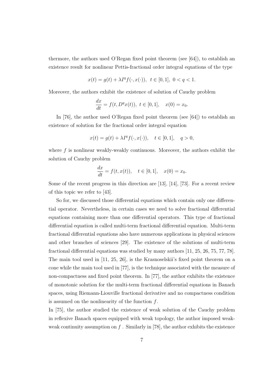thermore, the authors used O'Regan fixed point theorem (see [64]), to establish an existence result for nonlinear Pettis-fractional order integral equations of the type

$$
x(t) = g(t) + \lambda I^q f(\cdot, x(\cdot)), \ t \in [0, 1], \ 0 < q < 1.
$$

Moreover, the authors exhibit the existence of solution of Cauchy problem

$$
\frac{dx}{dt} = f(t, D^q x(t)), \ t \in [0, 1], \quad x(0) = x_0.
$$

In [76], the author used O'Regan fixed point theorem (see [64]) to establish an existence of solution for the fractional order integral equation

$$
x(t) = g(t) + \lambda I^q f(\cdot, x(\cdot)), \quad t \in [0, 1], \quad q > 0,
$$

where f is nonlinear weakly-weakly continuous. Moreover, the authors exhibit the solution of Cauchy problem

$$
\frac{dx}{dt} = f(t, x(t)), \quad t \in [0, 1], \quad x(0) = x_0.
$$

Some of the recent progress in this direction are [13], [14], [73]. For a recent review of this topic we refer to [43].

So for, we discussed those differential equations which contain only one differential operator. Nevertheless, in certain cases we need to solve fractional differential equations containing more than one differential operators. This type of fractional differential equation is called multi-term fractional differential equation. Multi-term fractional differential equations also have numerous applications in physical sciences and other branches of sciences [29]. The existence of the solutions of multi-term fractional differential equations was studied by many authors [11, 25, 26, 75, 77, 78]. The main tool used in [11, 25, 26], is the Krasnoselskii's fixed point theorem on a cone while the main tool used in [77], is the technique associated with the measure of non-compactness and fixed point theorem. In [77], the author exhibits the existence of monotonic solution for the multi-term fractional differential equations in Banach spaces, using Riemann-Liouville fractional derivative and no compactness condition is assumed on the nonlinearity of the function *f*.

In [75], the author studied the existence of weak solution of the Cauchy problem in reflexive Banach spaces equipped with weak topology, the author imposed weakweak continuity assumption on *f* . Similarly in [78], the author exhibits the existence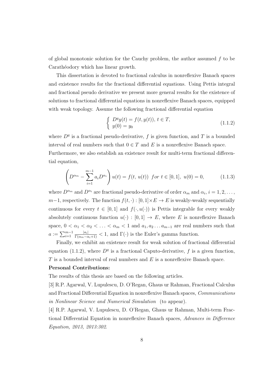of global monotonic solution for the Cauchy problem, the author assumed *f* to be Carathéodory which has linear growth.

This dissertation is devoted to fractional calculus in nonreflexive Banach spaces and existence results for the fractional differential equations. Using Pettis integral and fractional pseudo derivative we present more general results for the existence of solutions to fractional differential equations in nonreflexive Banach spaces, equipped with weak topology. Assume the following fractional differential equation

$$
\begin{cases}\nD^q y(t) = f(t, y(t)), \ t \in T, \\
y(0) = y_0\n\end{cases}
$$
\n(1.1.2)

where  $D<sup>q</sup>$  is a fractional pseudo-derivative, f is given function, and T is a bounded interval of real numbers such that  $0 \in T$  and E is a nonreflexive Banach space.

Furthermore, we also establish an existence result for multi-term fractional differential equation,

$$
\left(D^{\alpha_m} - \sum_{i=1}^{m-1} a_i D^{\alpha_i}\right) u(t) = f(t, u(t)) \text{ for } t \in [0, 1], u(0) = 0,
$$
 (1.1.3)

where  $D^{\alpha_m}$  and  $D^{\alpha_i}$  are fractional pseudo-derivative of order  $\alpha_m$  and  $\alpha_i$ ,  $i = 1, 2, \ldots$ , *m*−1, respectively. The function  $f(t, \cdot) : [0, 1] \times E \to E$  is weakly-weakly sequentially continuous for every  $t \in [0,1]$  and  $f(\cdot, u(\cdot))$  is Pettis integrable for every weakly absolutely continuous function  $u(\cdot) : [0,1] \to E$ , where *E* is nonreflexive Banach space,  $0 < \alpha_1 < \alpha_2 < \ldots < \alpha_m < 1$  and  $a_1, a_2 \ldots a_{m-1}$  are real numbers such that  $a := \sum_{i=1}^{m-1} \frac{|a_i|}{\Gamma(\alpha_m - \alpha_i + 1)} < 1$ , and  $\Gamma(\cdot)$  is the Euler's gamma function.

Finally, we exhibit an existence result for weak solution of fractional differential equation (1.1.2), where  $D<sup>q</sup>$  is a fractional Caputo-derivative, f is a given function, *T* is a bounded interval of real numbers and *E* is a nonreflexive Banach space.

#### **Personal Contributions:**

The results of this thesis are based on the following articles.

[3] R.P. Agarwal, V. Lupulescu, D. O'Regan, Ghaus ur Rahman, Fractional Calculus and Fractional Differential Equation in nonreflexive Banach spaces, *Communications in Nonlinear Science and Numerical Simulation* (to appear).

[4] R.P. Agarwal, V. Lupulescu, D. O'Regan, Ghaus ur Rahman, Multi-term Fractional Differential Equation in nonreflexive Banach spaces, *Advances in Difference Equation, 2013, 2013:302*.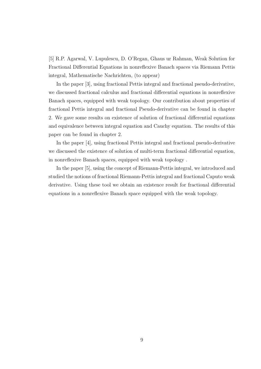[5] R.P. Agarwal, V. Lupulescu, D. O'Regan, Ghaus ur Rahman, Weak Solution for Fractional Differential Equations in nonreflexive Banach spaces via Riemann Pettis integral, Mathematische Nachrichten, (to appear)

In the paper [3], using fractional Pettis integral and fractional pseudo-derivative, we discussed fractional calculus and fractional differential equations in nonreflexive Banach spaces, equipped with weak topology. Our contribution about properties of fractional Pettis integral and fractional Pseudo-derivative can be found in chapter 2. We gave some results on existence of solution of fractional differential equations and equivalence between integral equation and Cauchy equation. The results of this paper can be found in chapter 2.

In the paper [4], using fractional Pettis integral and fractional pseudo-derivative we discussed the existence of solution of multi-term fractional differential equation, in nonreflexive Banach spaces, equipped with weak topology .

In the paper [5], using the concept of Riemann-Pettis integral, we introduced and studied the notions of fractional Riemann-Pettis integral and fractional Caputo weak derivative. Using these tool we obtain an existence result for fractional differential equations in a nonreflexive Banach space equipped with the weak topology.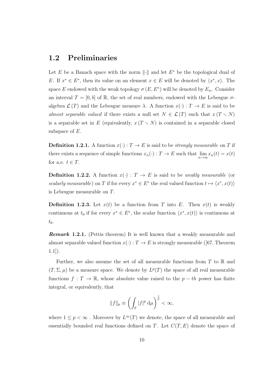### **1.2 Preliminaries**

Let *E* be a Banach space with the norm *∥·∥* and let *E <sup>∗</sup>* be the topological dual of *E*. If  $x^* \in E^*$ , then its value on an element  $x \in E$  will be denoted by  $\langle x^*, x \rangle$ . The space *E* endowed with the weak topology  $\sigma(E, E^*)$  will be denoted by  $E_w$ . Consider an interval  $T = [0, b]$  of R, the set of real numbers, endowed with the Lebesgue  $\sigma$ algebra  $\mathcal{L}(T)$  and the Lebesgue measure  $\lambda$ . A function  $x(\cdot) : T \to E$  is said to be *almost separable valued* if there exists a null set  $N \in \mathcal{L}(T)$  such that  $x(T \setminus N)$ is a separable set in *E* (equivalently,  $x(T \setminus N)$  is contained in a separable closed subspace of *E*.

**Definition 1.2.1.** A function  $x(\cdot) : T \to E$  is said to be *strongly measurable* on *T* if there exists a sequence of simple functions  $x_n(\cdot) : T \to E$  such that  $\lim_{n \to \infty} x_n(t) = x(t)$ for a.e.  $t \in T$ .

**Definition 1.2.2.** A function  $x(\cdot)$ :  $T \to E$  is said to be *weakly measurable* (or *scalarly measurable*) on *T* if for every  $x^* \in E^*$  the real valued function  $t \mapsto \langle x^*, x(t) \rangle$ is Lebesgue measurable on *T*.

**Definition 1.2.3.** Let  $x(t)$  be a function from *T* into *E*. Then  $x(t)$  is weakly continuous at  $t_0$  if for every  $x^* \in E^*$ , the scalar function  $\langle x^*, x(t) \rangle$  is continuous at  $t_0$ .

*Remark* **1.2.1***.* (Pettis theorem) It is well known that a weakly measurable and almost separable valued function  $x(\cdot) : T \to E$  is strongly measurable ([67, Theorem  $1.1$ ]).

Further, we also assume the set of all measurable functions from *T* to R and  $(T, \Sigma, \mu)$  be a measure space. We denote by  $L^p(T)$  the space of all real measurable functions  $f: T \to \mathbb{R}$ , whose absolute value raised to the  $p - th$  power has finite integral, or equivalently, that

$$
||f||_p \equiv \left(\int_T |f|^p \, \mathrm{d}\mu\right)^{\frac{1}{p}} < \infty,
$$

where  $1 \leq p < \infty$ . Moreover by  $L^{\infty}(T)$  we denote, the space of all measurable and essentially bounded real functions defined on *T*. Let *C*(*T, E*) denote the space of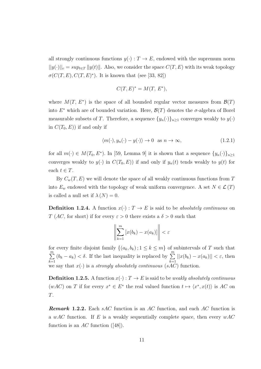all strongly continuous functions  $y(\cdot) : T \to E$ , endowed with the supremum norm  $||y(\cdot)||_c = sup_{t \in T} ||y(t)||$ . Also, we consider the space  $C(T, E)$  with its weak topology  $\sigma(C(T, E), C(T, E)^*)$ . It is known that (see [33, 82])

$$
C(T, E)^* = M(T, E^*),
$$

where  $M(T, E^*)$  is the space of all bounded regular vector measures from  $\mathcal{B}(T)$ into  $E^*$  which are of bounded variation. Here,  $\mathcal{B}(T)$  denotes the  $\sigma$ -algebra of Borel measurable subsets of *T*. Therefore, a sequence  $\{y_n(\cdot)\}_{n\geq 1}$  converges weakly to  $y(\cdot)$ in  $C(T_0, E)$  if and only if

$$
\langle m(\cdot), y_n(\cdot) - y(\cdot) \rangle \to 0 \quad \text{as } n \to \infty,
$$
\n(1.2.1)

for all  $m(\cdot) \in M(T_0, E^*)$ . In [59, Lemma 9] it is shown that a sequence  $\{y_n(\cdot)\}_{n\geq 1}$ converges weakly to  $y(\cdot)$  in  $C(T_0, E)$  if and only if  $y_n(t)$  tends weakly to  $y(t)$  for each  $t \in T$ .

By  $C_w(T, E)$  we will denote the space of all weakly continuous functions from T into  $E_w$  endowed with the topology of weak uniform convergence. A set  $N \in \mathcal{L}(T)$ is called a null set if  $\lambda(N) = 0$ .

**Definition 1.2.4.** A function  $x(\cdot) : T \to E$  is said to be *absolutely continuous* on *T* (*AC*, for short) if for every  $\varepsilon > 0$  there exists a  $\delta > 0$  such that

$$
\left\|\sum_{k=1}^m \left[x(b_k) - x(a_k)\right]\right\| < \varepsilon
$$

for every finite disjoint family  $\{(a_k, b_k) ; 1 \leq k \leq m\}$  of subintervals of *T* such that ∑*m k*=1  $(b_k - a_k) < \delta$ . If the last inequality is replaced by  $\sum^m$ *k*=1  $||x(b_k) - x(a_k)|| < \varepsilon$ , then we say that  $x(\cdot)$  is a *strongly absolutely continuous* (*sAC*) function.

**Definition 1.2.5.** A function  $x(\cdot): T \to E$  is said to be *weakly absolutely continuous*  $(wAC)$  on *T* if for every  $x^* \in E^*$  the real valued function  $t \mapsto \langle x^*, x(t) \rangle$  is AC on *T*.

*Remark* **1.2.2***.* Each *sAC* function is an *AC* function, and each *AC* function is a *wAC* function. If *E* is a weakly sequentially complete space, then every *wAC* function is an *AC* function ([48]).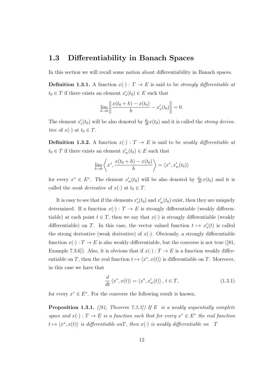#### **1.3 Differentiability in Banach Spaces**

In this section we will recall some notion about differentiability in Banach spaces.

**Definition 1.3.1.** A function  $x(\cdot) : T \to E$  is said to be *strongly differentiable at*  $t_0 \in T$  if there exists an element  $x'_s(t_0) \in E$  such that

$$
\lim_{h \to 0} \left\| \frac{x(t_0 + h) - x(t_0)}{h} - x_s'(t_0) \right\| = 0.
$$

The element  $x'_{s}(t_0)$  will be also denoted by  $\frac{d_s}{dt}x(t_0)$  and it is called the *strong derivative* of  $x(\cdot)$  at  $t_0 \in T$ .

**Definition 1.3.2.** A function  $x(\cdot) : T \to E$  is said to be *weakly differentiable at*  $t_0 \in T$  if there exists an element  $x'_w(t_0) \in E$  such that

$$
\lim_{h \to 0} \left\langle x^*, \frac{x(t_0 + h) - x(t_0)}{h} \right\rangle = \left\langle x^*, x'_w(t_0) \right\rangle
$$

for every  $x^* \in E^*$ . The element  $x_w'(t_0)$  will be also denoted by  $\frac{d_w}{dt}x(t_0)$  and it is called the *weak derivative* of  $x(\cdot)$  at  $t_0 \in T$ .

It is easy to see that if the elements  $x'_{s}(t_0)$  and  $x'_{w}(t_0)$  exist, then they are uniquely determined. If a function  $x(\cdot) : T \to E$  is strongly differentiable (weakly differentiable) at each point  $t \in T$ , then we say that  $x(\cdot)$  is strongly differentiable (weakly differentiable) on *T*. In this case, the vector valued function  $t \mapsto x'_{s}(t)$  is called the strong derivative (weak derivative) of  $x(\cdot)$ . Obviously, a strongly differentiable function  $x(\cdot) : T \to E$  is also weakly differentiable, but the converse is not true ([81, Example 7.3.6]). Also, it is obvious that if  $x(\cdot) : T \to E$  is a function weakly differentiable on *T*, then the real function  $t \mapsto \langle x^*, x(t) \rangle$  is differentiable on *T*. Moreover, in this case we have that

$$
\frac{d}{dt}\left\langle x^*, x(t)\right\rangle = \left\langle x^*, x'_w(t)\right\rangle, \, t \in T,\tag{1.3.1}
$$

for every  $x^* \in E^*$ . For the converse the following result is known.

**Proposition 1.3.1.** *([81, Theorem 7.3.3]) If E is a weakly sequentially complete space and*  $x(\cdot) : T \to E$  *is a function such that for every*  $x^* \in E^*$  *the real function*  $t \mapsto \langle x^*, x(t) \rangle$  *is differentiable onT, then*  $x(\cdot)$  *is weakly differentiable on T*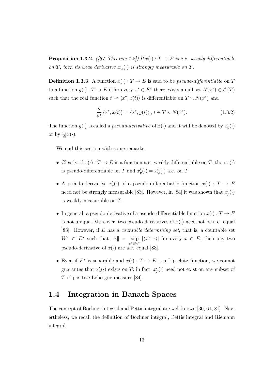**Proposition 1.3.2.** *([67, Theorem 1.2])* If  $x(\cdot)$  :  $T \to E$  is a.e. weakly differentiable *on T*, then its weak derivative  $x'_{w}(\cdot)$  is strongly measurable on *T*.

**Definition 1.3.3.** A function  $x(\cdot) : T \to E$  is said to be *pseudo-differentiable* on *T* to a function  $y(\cdot) : T \to E$  if for every  $x^* \in E^*$  there exists a null set  $N(x^*) \in \mathcal{L}(T)$ such that the real function  $t \mapsto \langle x^*, x(t) \rangle$  is differentiable on  $T \setminus N(x^*)$  and

$$
\frac{d}{dt}\langle x^*, x(t)\rangle = \langle x^*, y(t)\rangle, \ t \in T \setminus N(x^*). \tag{1.3.2}
$$

The function  $y(\cdot)$  is called a *pseudo-derivative* of  $x(\cdot)$  and it will be denoted by  $x_p'(\cdot)$ or by  $\frac{d_p}{dt}x(\cdot)$ .

We end this section with some remarks.

- Clearly, if  $x(\cdot) : T \to E$  is a function a.e. weakly differentiable on *T*, then  $x(\cdot)$ is pseudo-differentiable on *T* and  $x'_{p}(\cdot) = x'_{w}(\cdot)$  a.e. on *T*
- A pseudo-derivative  $x'_{p}(\cdot)$  of a pseudo-differentiable function  $x(\cdot) : T \to E$ need not be strongly measurable [83]. However, in [84] it was shown that  $x'_{p}(\cdot)$ is weakly measurable on *T*.
- In general, a pseudo-derivative of a pseudo-differentiable function  $x(\cdot) : T \to E$ is not unique. Moreover, two pseudo-derivatives of  $x(\cdot)$  need not be a.e. equal [83]. However, if *E* has a *countable determining set*, that is, a countable set  $W^* \subset E^*$  such that  $||x|| = \sup$ *x∗∈W<sup>∗</sup>*  $|\langle x^*, x \rangle|$  for every  $x \in E$ , then any two pseudo-derivative of  $x(\cdot)$  are a.e. equal [83].
- Even if  $E^*$  is separable and  $x(\cdot): T \to E$  is a Lipschitz function, we cannot guarantee that  $x'_{p}(\cdot)$  exists on *T*; in fact,  $x'_{p}(\cdot)$  need not exist on any subset of *T* of positive Lebesgue measure [84].

#### **1.4 Integration in Banach Spaces**

The concept of Bochner integral and Pettis integral are well known [30, 61, 81]. Nevertheless, we recall the definition of Bochner integral, Pettis integral and Riemann integral.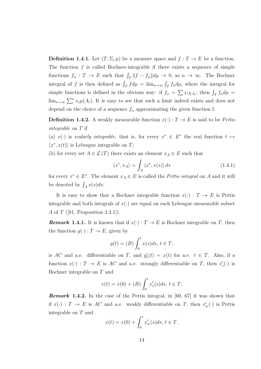**Definition 1.4.1.** Let  $(T; \Sigma; \mu)$  be a measure space and  $f: T \to E$  be a function. The function  $f$  is called Bochner-integrable if there exists a sequence of simple functions  $f_n: T \to E$  such that  $\int_T ||f - f_n|| d\mu \to 0$ , as  $n \to \infty$ . The Bochner integral of *f* is then defined as  $\int_T f d\mu = \lim_{n \to \infty} \int_T f_n d\mu$ , where the integral for simple functions is defined in the obvious way: if  $f_n = \sum x_i \chi_{A_i}$ , then  $\int_T f_n d\mu =$  $\lim_{n\to\infty}\sum_{i}^{n}x_{i}\mu(A_{i})$ . It is easy to see that such a limit indeed exists and does not depend on the choice of a sequence  $f_n$  approximating the given function f.

**Definition 1.4.2.** A weakly measurable function  $x(\cdot) : T \to E$  is said to be *Pettis integrable* on *T* if

(a)  $x(\cdot)$  is *scalarly integrable*; that is, for every  $x^* \in E^*$  the real function  $t \mapsto$  $\langle x^*, x(t) \rangle$  is Lebesgue integrable on *T*;

(b) for every set  $A \in \mathcal{L}(T)$  there exists an element  $x_A \in E$  such that

$$
\langle x^*, x_A \rangle = \int_A \langle x^*, x(s) \rangle ds \qquad (1.4.1)
$$

for every  $x^* \in E^*$ . The element  $x_A \in E$  is called the *Pettis integral* on *A* and it will be denoted by  $\int_A x(s)ds$ .

It is easy to show that a Bochner integrable function  $x(\cdot) : T \to E$  is Pettis integrable and both integrals of  $x(\cdot)$  are equal on each Lebesgue measurable subset *A* of *T* ([81, Proposition 2.3.1]).

*Remark* 1.4.1. It is known that if  $x(\cdot): T \to E$  is Bochner integrable on *T*, then the function  $y(\cdot) : T \to E$ , given by

$$
y(t) = (B) \int_0^t x(s)ds, \, t \in T,
$$

is AC and a.e. differentiable on *T*, and  $y'_{s}(t) = x(t)$  for a.e.  $t \in T$ . Also, if a function  $x(\cdot) : T \to E$  is AC and a.e. strongly differentiable on T, then  $x'_{s}(\cdot)$  is Bochner integrable on *T* and

$$
x(t) = x(0) + (B) \int_0^t x_s'(s) ds, \ t \in T.
$$

*Remark* **1.4.2***.* In the case of the Pettis integral, in [60, 67] it was shown that if  $x(\cdot) : T \to E$  is AC and a.e. weakly differentiable on T, then  $x'_{w}(\cdot)$  is Pettis integrable on *T* and

$$
x(t) = x(0) + \int_0^t x'_w(s)ds, \ t \in T.
$$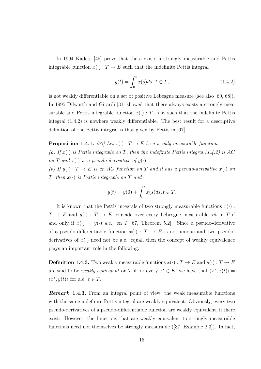In 1994 Kadets [45] prove that there exists a strongly measurable and Pettis integrable function  $x(\cdot): T \to E$  such that the indefinite Pettis integral

$$
y(t) = \int_0^t x(s)ds, \, t \in T,\tag{1.4.2}
$$

is not weakly differentiable on a set of positive Lebesgue measure (see also [60, 68]). In 1995 Dilworth and Girardi [31] showed that there always exists a strongly measurable and Pettis integrable function  $x(\cdot) : T \to E$  such that the indefinite Pettis integral (1.4.2) is nowhere weakly differentiable. The best result for a descriptive definition of the Pettis integral is that given by Pettis in [67].

**Proposition 1.4.1.** *[67]* Let  $x(\cdot) : T \to E$  be a weakly measurable function.

(a) If  $x(\cdot)$  is Pettis integrable on *T*, then the indefinite Pettis integral (1.4.2) is AC *on T* and  $x(\cdot)$  *is a pseudo-derivative of*  $y(\cdot)$ *.* 

*(b)* If  $y(\cdot) : T \to E$  *is an AC* function on *T* and *it has a pseudo-derivative*  $x(\cdot)$  *on T, then x*(*·*) *is Pettis integrable on T and*

$$
y(t) = y(0) + \int_0^t x(s)ds, t \in T.
$$

It is known that the Pettis integrals of two strongly measurable functions  $x(\cdot)$ :  $T \rightarrow E$  and  $y(\cdot) : T \rightarrow E$  coincide over every Lebesgue measurable set in *T* if and only if  $x(\cdot) = y(\cdot)$  a.e. on *T* [67, Theorem 5.2]. Since a pseudo-derivative of a pseudo-differentiable function  $x(\cdot) : T \to E$  is not unique and two pseudoderivatives of  $x(\cdot)$  need not be a.e. equal, then the concept of weakly equivalence plays an important role in the following.

**Definition 1.4.3.** Two weakly measurable functions  $x(\cdot) : T \to E$  and  $y(\cdot) : T \to E$ are said to be *weakly equivalent* on *T* if for every  $x^* \in E^*$  we have that  $\langle x^*, x(t) \rangle =$  $\langle x^*, y(t) \rangle$  for a.e.  $t \in T$ .

*Remark* **1.4.3***.* From an integral point of view, the weak measurable functions with the same indefinite Pettis integral are weakly equivalent. Obviously, every two pseudo-derivatives of a pseudo-differentiable function are weakly equivalent, if there exist. However, the functions that are weakly equivalent to strongly measurable functions need not themselves be strongly measurable ([37, Example 2.3]). In fact,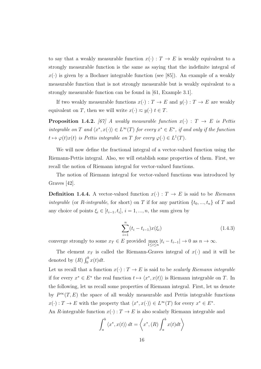to say that a weakly measurable function  $x(\cdot) : T \to E$  is weakly equivalent to a strongly measurable function is the same as saying that the indefinite integral of  $x(\cdot)$  is given by a Bochner integrable function (see [85]). An example of a weakly measurable function that is not strongly measurable but is weakly equivalent to a strongly measurable function can be found in [61, Example 3.1].

If two weakly measurable functions  $x(\cdot) : T \to E$  and  $y(\cdot) : T \to E$  are weakly equivalent on *T*, then we will write  $x(\cdot) \approx y(\cdot)$   $t \in T$ .

**Proposition 1.4.2.** [67] A weakly measurable function  $x(\cdot)$  :  $T \rightarrow E$  is Pettis *integrable on T* and  $\langle x^*, x(\cdot) \rangle \in L^{\infty}(T)$  for every  $x^* \in E^*$ , if and only if the function  $t \mapsto \varphi(t)x(t)$  *is Pettis integrable on T for every*  $\varphi(\cdot) \in L^1(T)$ *.* 

We will now define the fractional integral of a vector-valued function using the Riemann-Pettis integral. Also, we will establish some properties of them. First, we recall the notion of Riemann integral for vector-valued functions.

The notion of Riemann integral for vector-valued functions was introduced by Graves [42].

**Definition 1.4.4.** A vector-valued function  $x(\cdot)$  :  $T \to E$  is said to be *Riemann integrable* (or *R*-*integrable*, for short) on *T* if for any partition  $\{t_0, ..., t_n\}$  of *T* and any choice of points  $\xi_i \in [t_{i-1}, t_i], i = 1, ..., n$ , the sum given by

$$
\sum_{i=1}^{n} (t_i - t_{i-1}) x(\xi_i)
$$
\n(1.4.3)

converge strongly to some  $x_T \in E$  provided max  $\max_{1 \le i \le n} |t_i - t_{i-1}| \to 0 \text{ as } n \to \infty.$ 

The element  $x_T$  is called the Riemann-Graves integral of  $x(\cdot)$  and it will be denoted by  $(R) \int_0^b x(t) dt$ .

Let us recall that a function  $x(\cdot) : T \to E$  is said to be *scalarly Riemann integrable* if for every  $x^* \in E^*$  the real function  $t \mapsto \langle x^*, x(t) \rangle$  is Riemann integrable on *T*. In the following, let us recall some properties of Riemann integral. First, let us denote by  $P^{\infty}(T, E)$  the space of all weakly measurable and Pettis integrable functions  $x(\cdot): T \to E$  with the property that  $\langle x^*, x(\cdot) \rangle \in L^{\infty}(T)$  for every  $x^* \in E^*$ .

An *R*-integrable function  $x(\cdot): T \to E$  is also scalarly Riemann integrable and

$$
\int_{a}^{b} \langle x^*, x(t) \rangle dt = \langle x^*, (R) \int_{a}^{b} x(t) dt \rangle
$$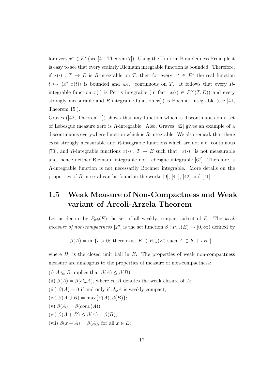for every *x <sup>∗</sup> ∈ E ∗* (see [41, Theorem 7]). Using the Uniform Boundedness Principle it is easy to see that every scalarly Riemann integrable function is bounded. Therefore, if  $x(\cdot)$ :  $T \to E$  is R-integrable on T, then for every  $x^* \in E^*$  the real function  $t \mapsto \langle x^*, x(t) \rangle$  is bounded and a.e. continuous on *T*. It follows that every *R*integrable function  $x(\cdot)$  is Pettis integrable (in fact,  $x(\cdot) \in P^{\infty}(T, E)$ ) and every strongly measurable and *R*-integrable function  $x(\cdot)$  is Bochner integrable (see [41, Theorem 15]).

Graves ([42, Theorem 1]) shows that any function which is discontinuous on a set of Lebesgue measure zero is *R*-integrable. Also, Graves [42] gives an example of a discontinuous everywhere function which is *R*-integrable. We also remark that there exist strongly measurable and *R*-integrable functions which are not a.e. continuous [70], and *R*-integrable functions  $x(\cdot) : T \to E$  such that  $||x(\cdot)||$  is not measurable and, hence neither Riemann integrable nor Lebesgue integrable [67]. Therefore, a *R*-integrable function is not necessarily Bochner integrable. More details on the properties of *R*-integral can be found in the works [9], [41], [42] and [71].

## **1.5 Weak Measure of Non-Compactness and Weak variant of Arcoli-Arzela Theorem**

Let us denote by  $P_{wk}(E)$  the set of all weakly compact subset of  $E$ . The *weak measure of non-compactness* [27] is the set function  $\beta : P_{wk}(E) \to [0, \infty)$  defined by

 $\beta(A) = \inf\{r > 0;$  there exist  $K \in P_{wk}(E)$  such  $A \subset K + rB_1\}$ ,

where  $B_1$  is the closed unit ball in  $E$ . The properties of weak non-compactness measure are analogous to the properties of measure of non-compactness:

(i)  $A \subseteq B$  implies that  $\beta(A) \leq \beta(B)$ ; (ii)  $\beta(A) = \beta(cl_w A)$ , where  $cl_w A$  denotes the weak closure of A; (iii)  $\beta(A) = 0$  if and only if  $cl_wA$  is weakly compact;  $(iv) \beta(A \cup B) = \max\{\beta(A), \beta(B)\};$ (v)  $\beta(A) = \beta(conv(A));$ (vi)  $\beta(A+B) \leq \beta(A) + \beta(B);$ (vii)  $\beta(x + A) = \beta(A)$ , for all  $x \in E$ ;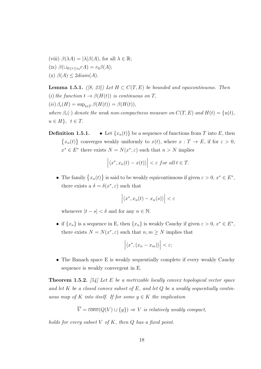(viii)  $\beta(\lambda A) = |\lambda| \beta(A)$ , for all  $\lambda \in \mathbb{R}$ ;  $(\text{ix}) \ \beta(\cup_{0 \leq r \leq r_0} rA) = r_0 \beta(A);$  $(x)$   $\beta(A) \leq 2diam(A)$ .

**Lemma 1.5.1.** *([8, 23])* Let  $H \subset C(T, E)$  be bounded and equicontinuous. Then (*i*) the function  $t \to \beta(H(t))$  is continuous on *T*,  $(iii)$   $\beta_c(H) = \sup_{t \in T} \beta(H(t)) = \beta(H(t)),$ *where*  $\beta_c(\cdot)$  *denote the weak non-compactness measure on*  $C(T, E)$  *and*  $H(t) = \{u(t),$  $u \in H$ ,  $t \in T$ .

**Definition 1.5.1.** • Let  $\{x_n(t)\}\$ be a sequence of functions from *T* into *E*, then  $\{x_n(t)\}\)$  converges weakly uniformly to  $x(t)$ , where  $x: T \to E$ , if for  $\varepsilon > 0$ ,  $x^* \in E^*$  there exists  $N = N(x^*, \varepsilon)$  such that  $n > N$  implies

$$
\left| \langle x^*, x_n(t) - x(t) \rangle \right| < \varepsilon \text{ for all } t \in T.
$$

• The family  $\{x_n(t)\}\$ is said to be weakly equicontinuous if given  $\varepsilon > 0$ ,  $x^* \in E^*$ , there exists a  $\delta = \delta(x^*, \varepsilon)$  such that

$$
\left| \langle x^*, x_n(t) - x_n(s) \rangle \right| < \varepsilon
$$

whenever  $|t - s| < \delta$  and for any  $n \in \mathbb{N}$ .

• if  $\{x_n\}$  is a sequence in E, then  $\{x_n\}$  is weakly Cauchy if given  $\varepsilon > 0$ ,  $x^* \in E^*$ , there exists  $N = N(x^*, \varepsilon)$  such that  $n, m \ge N$  implies that

$$
\left| \langle x^*, (x_n - x_m) \rangle \right| < \varepsilon;
$$

• The Banach space E is weakly sequentially complete if every weakly Cauchy sequence is weakly convergent in E.

**Theorem 1.5.2.** *[54] Let E be a metrizable locally convex topological vector space and let K be a closed convex subset of E, and let Q be a weakly sequentially continuous map of*  $K$  *into itself.* If for some  $y \in K$  the implication

$$
\overline{V} = \overline{conv}(Q(V) \cup \{y\}) \Rightarrow V \text{ is relatively weakly compact},
$$

*holds for every subset V of K, then Q has a fixed point.*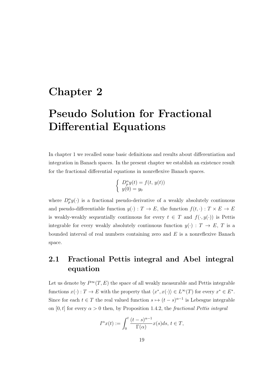## **Chapter 2**

# **Pseudo Solution for Fractional Differential Equations**

In chapter 1 we recalled some basic definitions and results about differentiation and integration in Banach spaces. In the present chapter we establish an existence result for the fractional differential equations in nonreflexive Banach spaces.

$$
\begin{cases}\nD_p^{\alpha}y(t) = f(t, y(t)) \\
y(0) = y_0\n\end{cases}
$$

where  $D_p^{\alpha} y(\cdot)$  is a fractional pseudo-derivative of a weakly absolutely continuous and pseudo-differentiable function  $y(\cdot) : T \to E$ , the function  $f(t, \cdot) : T \times E \to E$ is weakly-weakly sequentially continuous for every  $t \in T$  and  $f(\cdot, y(\cdot))$  is Pettis integrable for every weakly absolutely continuous function  $y(\cdot) : T \to E$ , *T* is a bounded interval of real numbers containing zero and *E* is a nonreflexive Banach space.

## **2.1 Fractional Pettis integral and Abel integral equation**

Let us denote by  $P^{\infty}(T, E)$  the space of all weakly measurable and Pettis integrable functions  $x(\cdot) : T \to E$  with the property that  $\langle x^*, x(\cdot) \rangle \in L^{\infty}(T)$  for every  $x^* \in E^*$ . Since for each  $t \in T$  the real valued function  $s \mapsto (t - s)^{\alpha - 1}$  is Lebesgue integrable on  $[0, t]$  for every  $\alpha > 0$  then, by Proposition 1.4.2, the *fractional Pettis integral* 

$$
I^{\alpha}x(t) := \int_0^t \frac{(t-s)^{\alpha-1}}{\Gamma(\alpha)} x(s)ds, \ t \in T,
$$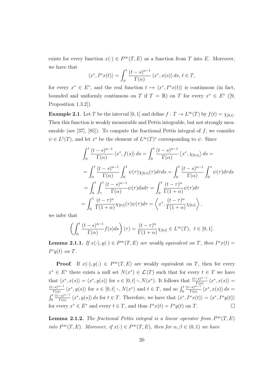exists for every function  $x(\cdot) \in P^{\infty}(T, E)$  as a function from *T* into *E*. Moreover, we have that

$$
\langle x^*, I^{\alpha}x(t) \rangle = \int_0^t \frac{(t-s)^{\alpha-1}}{\Gamma(\alpha)} \langle x^*, x(s) \rangle ds, t \in T,
$$

for every  $x^* \in E^*$ , and the real function  $t \mapsto \langle x^*, I^{\alpha}x(t) \rangle$  is continuous (in fact, bounded and uniformly continuous on *T* if  $T = \mathbb{R}$ ) on *T* for every  $x^* \in E^*$  ([9, Proposition 1.3.2]).

**Example 2.1**. Let *T* be the interval  $[0, 1]$  and define  $f : T \to L^{\infty}(T)$  by  $f(t) = \chi_{[0,t]}$ . Then this function is weakly measurable and Pettis integrable, but not strongly measurable (see [37], [85]). To compute the fractional Pettis integral of *f*, we consider  $\psi \in L^1(T)$ , and let  $x^*$  be the element of  $L^\infty(T)^*$  corresponding to  $\psi$ . Since

$$
\int_0^t \frac{(t-s)^{\alpha-1}}{\Gamma(\alpha)} \langle x^*, f(s) \rangle ds = \int_0^t \frac{(t-s)^{\alpha-1}}{\Gamma(\alpha)} \langle x^*, \chi_{[0,s]} \rangle ds =
$$
  
\n
$$
= \int_0^t \frac{(t-s)^{\alpha-1}}{\Gamma(\alpha)} \int_0^1 \psi(\tau) \chi_{[0,s]}(\tau) d\tau ds = \int_0^t \frac{(t-s)^{\alpha-1}}{\Gamma(\alpha)} \int_0^s \psi(\tau) d\tau ds
$$
  
\n
$$
= \int_0^t \int_\tau^t \frac{(t-s)^{\alpha-1}}{\Gamma(\alpha)} \psi(\tau) ds d\tau = \int_0^t \frac{(t-\tau)^{\alpha}}{\Gamma(1+\alpha)} \psi(\tau) d\tau
$$
  
\n
$$
= \int_0^1 \frac{(t-\tau)^{\alpha}}{\Gamma(1+\alpha)} \chi_{[0,t]}(\tau) \psi(\tau) d\tau = \langle x^*, \frac{(t-\tau)^{\alpha}}{\Gamma(1+\alpha)} \chi_{[0,t]} \rangle,
$$

we infer that

$$
\left(\int_0^t \frac{(t-s)^{\alpha-1}}{\Gamma(\alpha)} f(s)ds\right)(\tau) = \frac{(t-\tau)^{\alpha}}{\Gamma(1+\alpha)} \chi_{[0,t]} \in L^{\infty}(T), \ \ t \in [0,1].
$$

**Lemma 2.1.1.** *If*  $x(\cdot), y(\cdot) \in P^{\infty}(T, E)$  *are weakly equivalent on T, then*  $I^{\alpha}x(t) =$  $I^{\alpha}y(t)$  *on T.* 

**Proof.** If  $x(\cdot), y(\cdot) \in P^{\infty}(T, E)$  are weakly equivalent on *T*, then for every  $x^* \in E^*$  there exists a null set  $N(x^*) \in \mathcal{L}(T)$  such that for every  $t \in T$  we have that  $\langle x^*, x(s) \rangle = \langle x^*, y(s) \rangle$  for  $s \in [0, t] \setminus N(x^*)$ . It follows that  $\frac{(t-s)^{\alpha-1}}{\Gamma(\alpha)}$  $\frac{-s^{\alpha}}{\Gamma(\alpha)}\langle x^*,x(s)\rangle=$  $\frac{(t-s)^{\alpha-1}}{a}$  $\frac{-s^{\alpha-1}}{\Gamma(\alpha)}\langle x^*,y(s)\rangle$  for  $s\in[0,t]\setminus N(x^*)$  and  $t\in T$ , and so  $\int_0^t\frac{(t-s)^{\alpha-1}}{\Gamma(\alpha)}$  $\frac{-s^{\alpha-1}}{\Gamma(\alpha)}\left\langle x^*,x(s)\right\rangle ds=$  $\int_0^t \frac{(t-s)^{\alpha-1}}{\Gamma(\alpha)}$  $\frac{-s}{\Gamma(\alpha)}\langle x^*,y(s)\rangle ds$  for  $t\in T$ . Therefore, we have that  $\langle x^*,I^{\alpha}x(t)\rangle=\langle x^*,I^{\alpha}y(t)\rangle$ for every  $x^* \in E^*$  and every  $t \in T$ , and thus  $I^{\alpha}x(t) = I^{\alpha}y(t)$  on *T*.

**Lemma 2.1.2.** *The fractional Pettis integral is a linear operator from*  $P^{\infty}(T, E)$ *into*  $P^{\infty}(T, E)$ *. Moreover, if*  $x(\cdot) \in P^{\infty}(T, E)$ *, then for*  $\alpha, \beta \in (0, 1)$  *we have*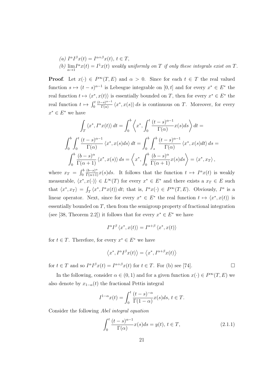\n- (a) 
$$
I^{\alpha}I^{\beta}x(t) = I^{\alpha+\beta}x(t), t \in T
$$
,
\n- (b)  $\lim_{\alpha \to 1} I^{\alpha}x(t) = I^1x(t)$  weakly uniformly on T if only these integrals exist on T.
\n

**Proof.** Let  $x(\cdot) \in P^{\infty}(T, E)$  and  $\alpha > 0$ . Since for each  $t \in T$  the real valued function  $s \mapsto (t - s)^{\alpha - 1}$  is Lebesgue integrable on [0, t] and for every  $x^* \in E^*$  the real function  $t \mapsto \langle x^*, x(t) \rangle$  is essentially bounded on *T*, then for every  $x^* \in E^*$  the real function  $t \mapsto \int_0^t \frac{(t-s)^{\alpha-1}}{\Gamma(\alpha)}$  $\frac{f(s)}{\Gamma(\alpha)}$   $\langle x^*, x(s) \rangle ds$  is continuous on *T*. Moreover, for every  $x^* \in E^*$  we have

$$
\int_{T} \langle x^*, I^{\alpha}x(t) \rangle dt = \int_{0}^{b} \langle x^*, \int_{0}^{t} \frac{(t-s)^{\alpha-1}}{\Gamma(\alpha)} x(s) ds \rangle dt =
$$

$$
\int_{0}^{b} \int_{0}^{t} \frac{(t-s)^{\alpha-1}}{\Gamma(\alpha)} \langle x^*, x(s) ds \rangle dt = \int_{0}^{b} \int_{s}^{b} \frac{(t-s)^{\alpha-1}}{\Gamma(\alpha)} \langle x^*, x(s) dt \rangle ds =
$$

$$
\int_{0}^{b} \frac{(b-s)^{\alpha}}{\Gamma(\alpha+1)} \langle x^*, x(s) \rangle ds = \langle x^*, \int_{0}^{b} \frac{(b-s)^{\alpha}}{\Gamma(\alpha+1)} x(s) ds \rangle = \langle x^*, x_T \rangle,
$$

where  $x_T = \int_0^b \frac{(b-s)^\alpha}{\Gamma(\alpha+1)} x(s) ds$ . It follows that the function  $t \mapsto I^\alpha x(t)$  is weakly measurable,  $\langle x^*, x(\cdot) \rangle \in L^{\infty}(T)$  for every  $x^* \in E^*$  and there exists a  $x_T \in E$  such that  $\langle x^*, x_T \rangle = \int_T \langle x^*, I^{\alpha} x(t) \rangle dt$ ; that is,  $I^{\alpha} x(\cdot) \in P^{\infty}(T, E)$ . Obviously,  $I^{\alpha}$  is a linear operator. Next, since for every  $x^* \in E^*$  the real function  $t \mapsto \langle x^*, x(t) \rangle$  is essentially bounded on *T*, then from the semigroup property of fractional integration (see [38, Theorem 2.2]) it follows that for every  $x^* \in E^*$  we have

$$
I^{\alpha}I^{\beta}\left\langle x^*, x(t)\right\rangle = I^{\alpha+\beta}\left\langle x^*, x(t)\right\rangle
$$

for  $t \in T$ . Therefore, for every  $x^* \in E^*$  we have

$$
\left\langle x^*,I^{\alpha}I^{\beta}x(t)\right\rangle=\left\langle x^*,I^{\alpha+\beta}x(t)\right\rangle
$$

for  $t \in T$  and so  $I^{\alpha}I^{\beta}x(t) = I^{\alpha+\beta}x(t)$  for  $t \in T$ . For (b) see [74].

In the following, consider  $\alpha \in (0,1)$  and for a given function  $x(\cdot) \in P^{\infty}(T, E)$  we also denote by  $x_{1-\alpha}(t)$  the fractional Pettis integral

$$
I^{1-\alpha}x(t) = \int_0^t \frac{(t-s)^{-\alpha}}{\Gamma(1-\alpha)} x(s)ds, \ t \in T.
$$

Consider the following *Abel integral equation*

$$
\int_0^t \frac{(t-s)^{\alpha-1}}{\Gamma(\alpha)} x(s)ds = y(t), \ t \in T,
$$
\n(2.1.1)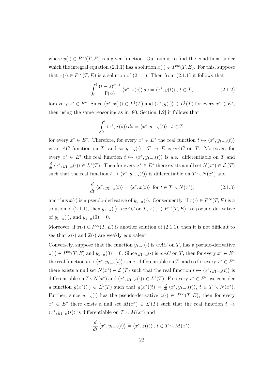where  $y(\cdot) \in P^{\infty}(T, E)$  is a given function. Our aim is to find the conditions under which the integral equation (2.1.1) has a solution  $x(\cdot) \in P^{\infty}(T, E)$ . For this, suppose that  $x(\cdot) \in P^{\infty}(T, E)$  is a solution of (2.1.1). Then from (2.1.1) it follows that

$$
\int_0^t \frac{(t-s)^{\alpha-1}}{\Gamma(\alpha)} \left\langle x^*, x(s) \right\rangle ds = \left\langle x^*, y(t) \right\rangle, \ t \in T,
$$
\n(2.1.2)

for every  $x^* \in E^*$ . Since  $\langle x^*, x(\cdot) \rangle \in L^1(T)$  and  $\langle x^*, y(\cdot) \rangle \in L^1(T)$  for every  $x^* \in E^*$ , then using the same reasoning as in [80, Section 1.2] it follows that

$$
\int_0^t \langle x^*, x(s) \rangle ds = \langle x^*, y_{1-\alpha}(t) \rangle, t \in T,
$$

for every  $x^* \in E^*$ . Therefore, for every  $x^* \in E^*$  the real function  $t \mapsto \langle x^*, y_{1-\alpha}(t) \rangle$ is an *AC* function on *T*, and so  $y_{1-\alpha}(\cdot) : T \to E$  is  $wAC$  on *T*. Moreover, for every  $x^* \in E^*$  the real function  $t \mapsto \langle x^*, y_{1-\alpha}(t) \rangle$  is a.e. differentiable on *T* and  $\frac{d}{dt}\langle x^*,y_{1-\alpha}(\cdot)\rangle \in L^1(T)$ . Then for every  $x^* \in E^*$  there exists a null set  $N(x^*) \in \mathcal{L}(T)$ such that the real function  $t \mapsto \langle x^*, y_{1-\alpha}(t) \rangle$  is differentiable on  $T \setminus N(x^*)$  and

$$
\frac{d}{dt}\langle x^*, y_{1-\alpha}(t)\rangle = \langle x^*, x(t)\rangle \text{ for } t \in T \setminus N(x^*),\tag{2.1.3}
$$

and thus  $x(\cdot)$  is a pseudo-derivative of  $y_{1-\alpha}(\cdot)$ . Consequently, if  $x(\cdot) \in P^{\infty}(T, E)$  is a solution of (2.1.1), then  $y_{1-\alpha}(\cdot)$  is  $wAC$  on  $T, x(\cdot) \in P^{\infty}(T, E)$  is a pseudo-derivative of  $y_{1-\alpha}(\cdot)$ , and  $y_{1-\alpha}(0) = 0$ .

Moreover, if  $\widetilde{x}(\cdot) \in P^{\infty}(T, E)$  is another solution of  $(2.1.1)$ , then it is not difficult to see that  $x(\cdot)$  and  $\widetilde{x}(\cdot)$  are weakly equivalent.

Conversely, suppose that the function  $y_{1-\alpha}(\cdot)$  is  $wAC$  on *T*, has a pseudo-derivative  $z(\cdot) \in P^{\infty}(T, E)$  and  $y_{1-\alpha}(0) = 0$ . Since  $y_{1-\alpha}(\cdot)$  is  $wAC$  on T, then for every  $x^* \in E^*$ the real function  $t \mapsto \langle x^*, y_{1-\alpha}(t) \rangle$  is a.e. differentiable on *T*, and so for every  $x^* \in E^*$ there exists a null set  $N(x^*) \in \mathcal{L}(T)$  such that the real function  $t \mapsto \langle x^*, y_{1-\alpha}(t) \rangle$  is differentiable on  $T \setminus N(x^*)$  and  $\langle x^*, y_{1-\alpha}(\cdot) \rangle \in L^1(T)$ . For every  $x^* \in E^*$ , we consider a function  $g(x^*)(\cdot) \in L^1(T)$  such that  $g(x^*)(t) = \frac{d}{dt} \langle x^*, y_{1-\alpha}(t) \rangle$ ,  $t \in T \setminus N(x^*)$ . Further, since  $y_{1-\alpha}(\cdot)$  has the pseudo-derivative  $z(\cdot) \in P^{\infty}(T, E)$ , then for every  $x^* \in E^*$  there exists a null set  $M(x^*) \in \mathcal{L}(T)$  such that the real function  $t \mapsto$  $\langle x^*, y_{1-\alpha}(t) \rangle$  is differentiable on  $T \setminus M(x^*)$  and

$$
\frac{d}{dt} \langle x^*, y_{1-\alpha}(t) \rangle = \langle x^*, z(t) \rangle, t \in T \setminus M(x^*).
$$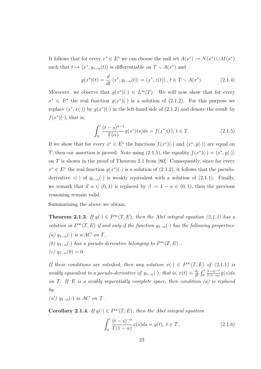It follows that for every  $x^* \in E^*$  we can choose the null set  $A(x^*) := N(x^*) \cup M(x^*)$ such that  $t \mapsto \langle x^*, y_{1-\alpha}(t) \rangle$  is differentiable on  $T \setminus A(x^*)$  and

$$
g(x^*)(t) = \frac{d}{dt} \langle x^*, y_{1-\alpha}(t) \rangle = \langle x^*, z(t) \rangle, \ t \in T \setminus A(x^*). \tag{2.1.4}
$$

Moreover, we observe that  $g(x^*)(\cdot) \in L^{\infty}(T)$ . We will now show that for every  $x^* \in E^*$  the real function  $g(x^*)(\cdot)$  is a solution of (2.1.2). For this purpose we replace  $\langle x^*, x(\cdot) \rangle$  by  $g(x^*)(\cdot)$  in the left-hand side of  $(2.1.2)$  and denote the result by  $f(x^*)(\cdot)$ , that is,

$$
\int_0^t \frac{(t-s)^{\alpha-1}}{\Gamma(\alpha)} g(x^*)(s) ds = f(x^*)(t), \ t \in T.
$$
 (2.1.5)

If we show that for every  $x^* \in E^*$  the functions  $f(x^*)(\cdot)$  and  $\langle x^*, y(\cdot) \rangle$  are equal on *T*, then our assertion is proved. Note using (2.1.5), the equality  $f(x^*)(\cdot) = \langle x^*, y(\cdot) \rangle$ on *T* is shown in the proof of Theorem 2.1 from [80]. Consequently, since for every  $x^* \in E^*$  the real function  $g(x^*)(\cdot)$  is a solution of (2.1.2), it follows that the pseudoderivative  $z(\cdot)$  of  $y_{1-\alpha}(\cdot)$  is weakly equivalent with a solution of (2.1.1). Finally, we remark that if  $\alpha \in (0,1)$  is replaced by  $\beta := 1 - \alpha \in (0,1)$ , then the previous reasoning remain valid.

Summarizing the above we obtain.

**Theorem 2.1.3.** *If*  $y(\cdot) \in P^{\infty}(T, E)$ , then the Abel integral equation (2.1.1) has a *solution in*  $P^{\infty}(T, E)$  *if and only if the function*  $y_{1-\alpha}(\cdot)$  *has the following properties:*  $(a)$   $y_{1-\alpha}$  (*·*) *is*  $wAC$  *on*  $T$ *, (b)*  $y_{1-\alpha}(\cdot)$  *has a pseudo-derivative belonging to*  $P^{\infty}(T, E)$ ;  $(c)$  *y*<sub>1−*α*</sub>(0) = 0*.* 

*If these conditions are satisfied, then any solution*  $x(\cdot) \in P^{\infty}(T, E)$  *of* (2.1.1) *is weakly equivalent to a pseudo-derivative of*  $y_{1-\alpha}(\cdot)$ *; that is,*  $x(t) \approx \frac{d_p}{dt}$  $\frac{d_p}{dt}$  $\int_0^t \frac{(t-s)^{-\alpha}}{\Gamma(1-\alpha)}$  $\frac{(t-s)}{\Gamma(1-\alpha)}$   $y(s)ds$ *on T*. *If E is a weakly sequentially complete space, then condition (a) is replaced by*

 $(a')$   $y_{1-\alpha}(\cdot)$  *is AC on T*.

**Corollary 2.1.4.** *If*  $y(\cdot) \in P^{\infty}(T, E)$ , then the Abel integral equation

$$
\int_0^t \frac{(t-s)^{-\alpha}}{\Gamma(1-\alpha)} x(s)ds = y(t), \ t \in T,
$$
\n(2.1.6)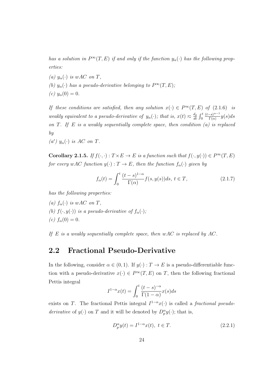*has a solution in*  $P^{\infty}(T, E)$  *if and only if the function*  $y_{\alpha}(\cdot)$  *has the following properties:*

- $(a)$   $y_\alpha(\cdot)$  *is*  $wAC$  *on*  $T$ *,*
- *(b)*  $y_\alpha(\cdot)$  *has a pseudo-derivative belonging to*  $P^\infty(T, E)$ *;*
- *(c)*  $y_\alpha(0) = 0$ .

*If these conditions are satisfied, then any solution*  $x(\cdot) \in P^{\infty}(T, E)$  *of* (2.1.6) *is weakly equivalent to a pseudo-derivative of*  $y_\alpha(\cdot)$ *; that is,*  $x(t) \approx \frac{d_p}{dt}$  $\frac{d_p}{dt}$   $\int_0^t \frac{(t-s)^{\alpha-1}}{\Gamma(\alpha)}$  $\frac{-s}{\Gamma(\alpha)}$  *y*(*s*)*ds on T*. *If E is a weakly sequentially complete space, then condition (a) is replaced by*

 $(a')$   $y_\alpha(\cdot)$  *is AC on T*.

**Corollary 2.1.5.** If  $f(\cdot, \cdot): T \times E \to E$  is a function such that  $f(\cdot, y(\cdot)) \in P^{\infty}(T, E)$ *for every*  $wAC$  *function*  $y(\cdot) : T \to E$ *, then the function*  $f_\alpha(\cdot)$  *given by* 

$$
f_{\alpha}(t) = \int_0^t \frac{(t-s)^{1-\alpha}}{\Gamma(\alpha)} f(s, y(s)) ds, t \in T,
$$
\n(2.1.7)

*has the following properties:*

*(a)*  $f_{\alpha}(\cdot)$  *is*  $wAC$  *on*  $T$ *, (b)*  $f(\cdot, y(\cdot))$  *is a pseudo-derivative of*  $f_\alpha(\cdot)$ *; (c)*  $f_{\alpha}(0) = 0$ *.* 

*If E is a weakly sequentially complete space, then wAC is replaced by AC.*

### **2.2 Fractional Pseudo-Derivative**

In the following, consider  $\alpha \in (0,1)$ . If  $y(\cdot) : T \to E$  is a pseudo-differentiable function with a pseudo-derivative  $x(\cdot) \in P^{\infty}(T, E)$  on *T*, then the following fractional Pettis integral

$$
I^{1-\alpha}x(t) = \int_0^t \frac{(t-s)^{-\alpha}}{\Gamma(1-\alpha)} x(s)ds
$$

exists on *T*. The fractional Pettis integral  $I^{1-\alpha}x(\cdot)$  is called a *fractional pseudoderivative* of  $y(\cdot)$  on *T* and it will be denoted by  $D_p^{\alpha} y(\cdot)$ ; that is,

$$
D_p^{\alpha} y(t) = I^{1-\alpha} x(t), \ t \in T.
$$
 (2.2.1)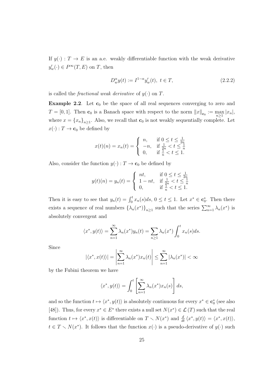If  $y(\cdot): T \to E$  is an a.e. weakly differentiable function with the weak derivative  $y'_{w}(\cdot) \in P^{\infty}(T, E)$  on *T*, then

$$
D_w^{\alpha} y(t) := I^{1-\alpha} y_w'(t), \ t \in T,
$$
\n(2.2.2)

is called the *fractional weak derivative* of  $y(\cdot)$  on *T*.

**Example 2.2**. Let  $c_0$  be the space of all real sequences converging to zero and  $T = [0, 1]$ . Then **c**<sub>0</sub> is a Banach space with respect to the norm  $||x||_{\mathbf{c}_0} := \max_{n \geq 1}$ *n≥*1  $|x_n|$ , where  $x = \{x_n\}_{n \geq 1}$ . Also, we recall that  $\mathbf{c}_0$  is not weakly sequentially complete. Let  $x(\cdot) : T \to \mathbf{c}_0$  be defined by

$$
x(t)(n) = x_n(t) = \begin{cases} n, & \text{if } 0 \le t \le \frac{1}{2n} \\ -n, & \text{if } \frac{1}{2n} < t \le \frac{1}{n} \\ 0, & \text{if } \frac{1}{n} < t \le 1. \end{cases}
$$

Also, consider the function  $y(\cdot)$ :  $T \to \mathbf{c}_0$  be defined by

$$
y(t)(n) = y_n(t) = \begin{cases} nt, & \text{if } 0 \le t \le \frac{1}{2n} \\ 1 - nt, & \text{if } \frac{1}{2n} < t \le \frac{1}{n} \\ 0, & \text{if } \frac{1}{n} < t \le 1. \end{cases}
$$

Then it is easy to see that  $y_n(t) = \int_0^t x_n(s)ds$ ,  $0 \le t \le 1$ . Let  $x^* \in \mathbf{c}_0^*$ . Then there exists a sequence of real numbers  $\{\lambda_n(x^*)\}_{n\geq 1}$  such that the series  $\sum_{n=1}^{\infty} \lambda_n(x^*)$  is absolutely convergent and

$$
\langle x^*, y(t) \rangle = \sum_{n=1}^{\infty} \lambda_n(x^*) y_n(t) = \sum_{n \ge 1} \lambda_n(x^*) \int_0^t x_n(s) ds.
$$

Since

$$
|\langle x^*, x(t) \rangle| = \left| \sum_{n=1}^{\infty} \lambda_n(x^*) x_n(t) \right| \le \sum_{n=1}^{\infty} |\lambda_n(x^*)| < \infty
$$

by the Fubini theorem we have

$$
\langle x^*, y(t) \rangle = \int_0^t \left[ \sum_{n=1}^\infty \lambda_n(x^*) x_n(s) \right] ds,
$$

and so the function  $t \mapsto \langle x^*, y(t) \rangle$  is absolutely continuous for every  $x^* \in \mathbf{c}_0^*$  (see also [48]). Thus, for every  $x^* \in E^*$  there exists a null set  $N(x^*) \in \mathcal{L}(T)$  such that the real function  $t \mapsto \langle x^*, x(t) \rangle$  is differentiable on  $T \setminus N(x^*)$  and  $\frac{d}{dt} \langle x^*, y(t) \rangle = \langle x^*, x(t) \rangle$ ,  $t \in T \setminus N(x^*)$ . It follows that the function  $x(\cdot)$  is a pseudo-derivative of  $y(\cdot)$  such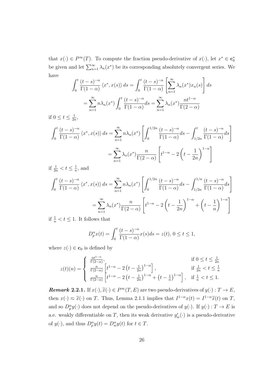that  $x(\cdot) \in P^{\infty}(T)$ . To compute the fraction pseudo-derivative of  $x(\cdot)$ , let  $x^* \in \mathbf{c}_0^*$ be given and let  $\sum_{n=1}^{\infty} \lambda_n(x^*)$  be its corresponding absolutely convergent series. We have

$$
\int_0^t \frac{(t-s)^{-\alpha}}{\Gamma(1-\alpha)} \langle x^*, x(s) \rangle ds = \int_0^t \frac{(t-s)^{-\alpha}}{\Gamma(1-\alpha)} \left[ \sum_{n=1}^\infty \lambda_n(x^*) x_n(s) \right] ds
$$

$$
= \sum_{n=1}^\infty n \lambda_n(x^*) \int_0^t \frac{(t-s)^{-\alpha}}{\Gamma(1-\alpha)} ds = \sum_{n=1}^\infty \lambda_n(x^*) \frac{n t^{1-\alpha}}{\Gamma(2-\alpha)}
$$

if  $0 \leq t \leq \frac{1}{2t}$  $\frac{1}{2n}$ 

$$
\int_0^t \frac{(t-s)^{-\alpha}}{\Gamma(1-\alpha)} \langle x^*, x(s) \rangle ds = \sum_{n=1}^\infty n \lambda_n(x^*) \left[ \int_0^{1/2n} \frac{(t-s)^{-\alpha}}{\Gamma(1-\alpha)} ds - \int_{1/2n}^t \frac{(t-s)^{-\alpha}}{\Gamma(1-\alpha)} ds \right]
$$

$$
= \sum_{n=1}^\infty \lambda_n(x^*) \frac{n}{\Gamma(2-\alpha)} \left[ t^{1-\alpha} - 2 \left( t - \frac{1}{2n} \right)^{1-\alpha} \right]
$$

if  $\frac{1}{2n} < t \leq \frac{1}{n}$  $\frac{1}{n}$ , and

$$
\int_0^t \frac{(t-s)^{-\alpha}}{\Gamma(1-\alpha)} \langle x^*, x(s) \rangle ds = \sum_{n=1}^\infty n \lambda_n(x^*) \left[ \int_0^{1/2n} \frac{(t-s)^{-\alpha}}{\Gamma(1-\alpha)} ds - \int_{1/2n}^{1/n} \frac{(t-s)^{-\alpha}}{\Gamma(1-\alpha)} ds \right]
$$

$$
= \sum_{n=1}^\infty \lambda_n(x^*) \frac{n}{\Gamma(2-\alpha)} \left[ t^{1-\alpha} - 2 \left( t - \frac{1}{2n} \right)^{1-\alpha} + \left( t - \frac{1}{n} \right)^{1-\alpha} \right]
$$

if  $\frac{1}{n} < t \leq 1$ . It follows that

$$
D_p^{\alpha} x(t) = \int_0^t \frac{(t-s)^{-\alpha}}{\Gamma(1-\alpha)} x(s) ds = z(t), \ 0 \le t \le 1,
$$

where  $z(\cdot) \in \mathbf{c}_0$  is defined by

$$
z(t)(n) = \begin{cases} \frac{nt^{1-\alpha}}{\Gamma(2-\alpha)}, & \text{if } 0 \le t \le \frac{1}{2n} \\ \frac{n}{\Gamma(2-\alpha)} \left[ t^{1-\alpha} - 2\left( t - \frac{1}{2n} \right)^{1-\alpha} \right], & \text{if } \frac{1}{2n} < t \le \frac{1}{n} \\ \frac{n}{\Gamma(2-\alpha)} \left[ t^{1-\alpha} - 2\left( t - \frac{1}{2n} \right)^{1-\alpha} + \left( t - \frac{1}{n} \right)^{1-\alpha} \right], & \text{if } \frac{1}{n} < t \le 1. \end{cases}
$$

*Remark* 2.2.1*.* If  $x(\cdot), \tilde{x}(\cdot) \in P^{\infty}(T, E)$  are two pseudo-derivatives of  $y(\cdot) : T \to E$ , then  $x(\cdot) \approx \tilde{x}(\cdot)$  on *T*. Thus, Lemma 2.1.1 implies that  $I^{1-\alpha}x(t) = I^{1-\alpha}\tilde{x}(t)$  on *T*, and so  $D_p^{\alpha} y(\cdot)$  does not depend on the pseudo-derivatives of  $y(\cdot)$ . If  $y(\cdot) : T \to E$  is a.e. weakly differentiable on *T*, then its weak derivative  $y'_{w}(\cdot)$  is a pseudo-derivative of  $y(\cdot)$ , and thus  $D_p^{\alpha}y(t) = D_w^{\alpha}y(t)$  for  $t \in T$ .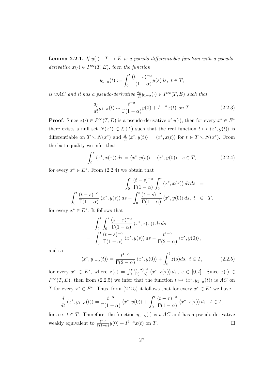**Lemma 2.2.1.** *If*  $y(\cdot) : T \to E$  *is a pseudo-differentiable function with a pseudoderivative*  $x(\cdot) \in P^{\infty}(T, E)$ *, then the function* 

$$
y_{1-\alpha}(t) := \int_0^t \frac{(t-s)^{-\alpha}}{\Gamma(1-\alpha)} y(s) ds, \ t \in T,
$$

*is wAC and it has a pseudo-derivative*  $\frac{d_p}{dt} y_{1-\alpha}(\cdot) \in P^{\infty}(T, E)$  *such that* 

$$
\frac{d_p}{dt}y_{1-\alpha}(t) \approx \frac{t^{-\alpha}}{\Gamma(1-\alpha)}y(0) + I^{1-\alpha}x(t)
$$
 on T. (2.2.3)

**Proof**. Since  $x(\cdot) \in P^{\infty}(T, E)$  is a pseudo-derivative of  $y(\cdot)$ , then for every  $x^* \in E^*$ there exists a null set  $N(x^*) \in \mathcal{L}(T)$  such that the real function  $t \mapsto \langle x^*, y(t) \rangle$  is differentiable on  $T \setminus N(x^*)$  and  $\frac{d}{dt} \langle x^*, y(t) \rangle = \langle x^*, x(t) \rangle$  for  $t \in T \setminus N(x^*)$ . From the last equality we infer that

$$
\int_0^s \langle x^*, x(\tau) \rangle d\tau = \langle x^*, y(s) \rangle - \langle x^*, y(0) \rangle, \ s \in T,
$$
\n(2.2.4)

for every  $x^* \in E^*$ . From  $(2.2.4)$  we obtain that

$$
\int_0^t \frac{(t-s)^{-\alpha}}{\Gamma(1-\alpha)} \int_0^s \langle x^*, x(\tau) \rangle d\tau ds =
$$
  

$$
\int_0^t \frac{(t-s)^{-\alpha}}{\Gamma(1-\alpha)} \langle x^*, y(s) \rangle ds - \int_0^t \frac{(t-s)^{-\alpha}}{\Gamma(1-\alpha)} \langle x^*, y(0) \rangle ds, t \in T,
$$

for every  $x^* \in E^*$ . It follows that

$$
\int_0^t \int_0^s \frac{(s-\tau)^{-\alpha}}{\Gamma(1-\alpha)} \langle x^*, x(\tau) \rangle d\tau ds
$$
  
= 
$$
\int_0^t \frac{(t-s)^{-\alpha}}{\Gamma(1-\alpha)} \langle x^*, y(s) \rangle ds - \frac{t^{1-\alpha}}{\Gamma(2-\alpha)} \langle x^*, y(0) \rangle,
$$

and so

$$
\langle x^*, y_{1-\alpha}(t) \rangle = \frac{t^{1-\alpha}}{\Gamma(2-\alpha)} \langle x^*, y(0) \rangle + \int_0^t z(s)ds, \ t \in T,
$$
 (2.2.5)

for every  $x^* \in E^*$ , where  $z(s) = \int_0^s \frac{(s-\tau)^{-\alpha}}{\Gamma(1-\alpha)}$  $\frac{s-\tau}{\Gamma(1-\alpha)} \langle x^*, x(\tau) \rangle d\tau$ ,  $s \in [0, t]$ . Since  $x(\cdot) \in$ *P*<sup>∞</sup>(*T*,*E*), then from (2.2.5) we infer that the function *t*  $\mapsto \langle x^*, y_{1-\alpha}(t) \rangle$  is *AC* on *T* for every  $x^* \in E^*$ . Thus, from (2.2.5) it follows that for every  $x^* \in E^*$  we have

$$
\frac{d}{dt}\left\langle x^*, y_{1-\alpha}(t)\right\rangle = \frac{t^{-\alpha}}{\Gamma(1-\alpha)}\left\langle x^*, y(0)\right\rangle + \int_0^t \frac{(t-\tau)^{-\alpha}}{\Gamma(1-\alpha)} \left\langle x^*, x(\tau) \right\rangle d\tau, \ t \in T,
$$

for a.e.  $t \in T$ . Therefore, the function  $y_{1-\alpha}(\cdot)$  is  $wAC$  and has a pseudo-derivative weakly equivalent to  $\frac{t^{-\alpha}}{\Gamma(1-\alpha)}y(0) + I^{1-\alpha}x(t)$  on *T*.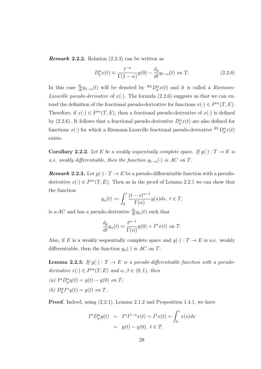*Remark* **2.2.2***.* Relation (2.2.3) can be written as

$$
D_p^{\alpha}x(t) \approx \frac{t^{-\alpha}}{\Gamma(1-\alpha)}y(0) - \frac{d_p}{dt}y_{1-\alpha}(t) \text{ on } T. \tag{2.2.6}
$$

In this case  $\frac{d_p}{dt} y_{1-\alpha}(t)$  will be denoted by  ${}^{RL}D_p^{\alpha}x(t)$  and it is called a *Riemann*-*Liouville pseudo-derivative* of  $x(\cdot)$ . The formula (2.2.6) suggests us that we can extend the definition of the fractional pseudo-derivative for functions  $x(\cdot) \in P^{\infty}(T, E)$ . Therefore, if  $x(\cdot) \in P^{\infty}(T, E)$ , then a fractional pseudo-derivative of  $x(\cdot)$  is defined by (2.2.6). It follows that a fractional pseudo-derivative  $D_p^{\alpha}x(t)$  are also defined for functions  $x(\cdot)$  for which a Riemann-Liouville fractional pseudo-derivative  ${}^{RL}D_p^{\alpha}x(t)$ exists.

**Corollary 2.2.2.** Let *E* be a weakly sequentially complete space. If  $y(\cdot) : T \to E$  is *a.e.* weakly differentiable, then the function  $y_{1-\alpha}(\cdot)$  *is AC* on *T*.

*Remark* 2.2.3. Let  $y(\cdot): T \to E$  be a pseudo-differentiable function with a pseudoderivative  $x(\cdot) \in P^{\infty}(T, E)$ . Then as in the proof of Lemma 2.2.1 we can show that the function

$$
y_{\alpha}(t) := \int_0^t \frac{(t-s)^{\alpha-1}}{\Gamma(\alpha)} y(s)ds, \ t \in T,
$$

is *wAC* and has a pseudo-derivative  $\frac{d_p}{dt} y_\alpha(t)$  such that

$$
\frac{d_p}{dt} y_\alpha(t) \approx \frac{t^{\alpha - 1}}{\Gamma(\alpha)} y(0) + I^\alpha x(t)
$$
 on T.

Also, if *E* is a weakly sequentially complete space and  $y(\cdot) : T \to E$  is a.e. weakly differentiable, then the function  $y_\alpha(\cdot)$  is  $AC$  on *T*.

**Lemma 2.2.3.** If  $y(\cdot) : T \to E$  is a pseudo-differentiable function with a pseudo*derivative*  $x(\cdot) \in P^{\infty}(T, E)$  *and*  $\alpha, \beta \in (0, 1)$ *, then* 

 $(a) \ I^{\alpha}D_{p}^{\alpha}y(t) = y(t) - y(0) \text{ on } T;$ *(b)*  $D_p^{\alpha} I^{\alpha} y(t) = y(t)$  *on T*.

**Proof.** Indeed, using  $(2.2.1)$ , Lemma 2.1.2 and Proposition 1.4.1, we have

$$
I^{\alpha}D_{p}^{\alpha}y(t) = I^{\alpha}I^{1-\alpha}x(t) = I^{1}x(t) = \int_{0}^{t} x(s)ds
$$
  
=  $y(t) - y(0), t \in T.$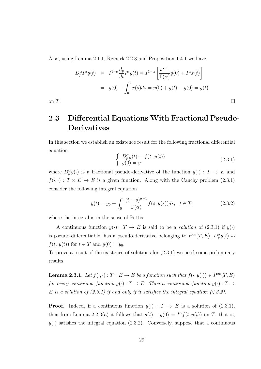Also, using Lemma 2.1.1, Remark 2.2.3 and Proposition 1.4.1 we have

$$
D_p^{\alpha} I^{\alpha} y(t) = I^{1-\alpha} \frac{d_p}{dt} I^{\alpha} y(t) = I^{1-\alpha} \left[ \frac{t^{\alpha-1}}{\Gamma(\alpha)} y(0) + I^{\alpha} x(t) \right]
$$
  
=  $y(0) + \int_0^t x(s) ds = y(0) + y(t) - y(0) = y(t)$ 

on  $T$ .

## **2.3 Differential Equations With Fractional Pseudo-Derivatives**

In this section we establish an existence result for the following fractional differential equation

$$
\begin{cases}\nD_p^{\alpha}y(t) = f(t, y(t)) \\
y(0) = y_0\n\end{cases}
$$
\n(2.3.1)

where  $D_p^{\alpha} y(\cdot)$  is a fractional pseudo-derivative of the function  $y(\cdot)$ :  $T \to E$  and  $f(\cdot, \cdot) : T \times E \to E$  is a given function. Along with the Cauchy problem (2.3.1) consider the following integral equation

$$
y(t) = y_0 + \int_0^t \frac{(t-s)^{\alpha-1}}{\Gamma(\alpha)} f(s, y(s)) ds, \quad t \in T,
$$
 (2.3.2)

where the integral is in the sense of Pettis.

A continuous function  $y(\cdot) : T \to E$  is said to be a *solution* of (2.3.1) if  $y(\cdot)$ is pseudo-differentiable, has a pseudo-derivative belonging to  $P^{\infty}(T, E)$ ,  $D^{\alpha}_{p}y(t) \approx$ *f*(*t*, *y*(*t*)) for  $t \in T$  and  $y(0) = y_0$ .

To prove a result of the existence of solutions for (2.3.1) we need some preliminary results.

**Lemma 2.3.1.** Let  $f(\cdot, \cdot): T \times E \to E$  be a function such that  $f(\cdot, y(\cdot)) \in P^{\infty}(T, E)$ *for every continuous function*  $y(\cdot) : T \to E$ *. Then a continuous function*  $y(\cdot) : T \to$ *E is a solution of (2.3.1) if and only if it satisfies the integral equation (2.3.2).*

**Proof.** Indeed, if a continuous function  $y(\cdot)$  :  $T \to E$  is a solution of (2.3.1), then from Lemma 2.2.3(a) it follows that  $y(t) - y(0) = I^{\alpha} f(t, y(t))$  on *T*; that is,  $y(\cdot)$  satisfies the integral equation (2.3.2). Conversely, suppose that a continuous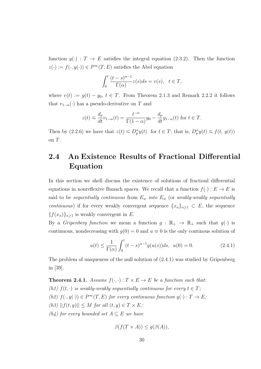function  $y(\cdot)$ :  $T \to E$  satisfies the integral equation (2.3.2). Then the function  $z(\cdot) := f(\cdot, y(\cdot)) \in P^{\infty}(T, E)$  satisfies the Abel equation

$$
\int_0^t \frac{(t-s)^{\alpha-1}}{\Gamma(\alpha)} z(s)ds = v(s), \quad t \in T,
$$

where  $v(t) := y(t) - y_0, t \in T$ . From Theorem 2.1.3 and Remark 2.2.2 it follows that  $v_{1-\alpha}(\cdot)$  has a pseudo-derivative on *T* and

$$
z(t) \approx \frac{d_p}{dt} v_{1-\alpha}(t) = \frac{t^{-\alpha}}{\Gamma(1-\alpha)} y_0 - \frac{d_p}{dt} y_{1-\alpha}(t)
$$
 for  $t \in T$ .

Then by  $(2.2.6)$  we have that  $z(t) \approx D_p^{\alpha}y(t)$  for  $t \in T$ ; that is,  $D_p^{\alpha}y(t) \approx f(t, y(t))$ on *T*.

## **2.4 An Existence Results of Fractional Differential Equation**

In this section we shell discuss the existence of solutions of fractionl differential equations in nonreflexive Banach spaces. We recall that a function  $f(\cdot) : E \to E$  is said to be *sequentially continuous* from  $E_w$  *into*  $E_w$  (or *weakly-weakly sequentially continuous*) if for every weakly convergent sequence  $\{x_n\}_{n\geq 1} \subset E$ , the sequence  ${f(x_n)}_{n\geq 1}$  is weakly convergent in *E*.

By a *Gripenberg function* we mean a function  $g : \mathbb{R}_+ \to \mathbb{R}_+$  such that  $g(\cdot)$  is continuous, nondecreasing with  $g(0) = 0$  and  $u \equiv 0$  is the only continuous solution of

$$
u(t) \le \frac{1}{\Gamma(\alpha)} \int_0^t (t-s)^{\alpha-1} g(u(s))ds, \ \ u(0) = 0. \tag{2.4.1}
$$

The problem of uniqueness of the null solution of (2.4.1) was studied by Gripenberg in [39].

**Theorem 2.4.1.** *Assume*  $f(\cdot, \cdot) : T \times E \to E$  *be a function such that: (h1)*  $f(t, \cdot)$  *is weakly-weakly sequentially continuous for every*  $t \in T$ ;  $(h2) f(\cdot, y(\cdot)) \in P^{\infty}(T, E)$  *for every continuous function*  $y(\cdot) : T \to E$ ;  $(h3)$   $||f(t, y)|| \leq M$  *for all*  $(t, y) \in T \times E$ ; *(h4)* for every bounded set  $A \subseteq E$  we have

$$
\beta(f(T \times A)) \le g(\beta(A)),
$$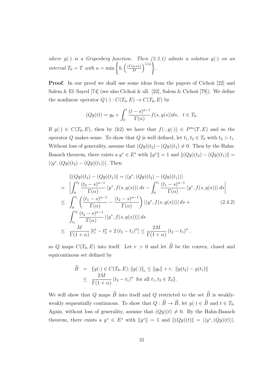*where*  $g(\cdot)$  *is a Gripenberg function. Then* (2.3.1) admits a solution  $y(\cdot)$  on an *interval*  $T_0 = T$  *with*  $a = \min \left\{ b, \left( \frac{r\Gamma(\alpha+1)}{M} \right) \right\}$ *M*  $\Big)^{1/\alpha}$ .

**Proof.** In our proof we shall use some ideas from the papers of Cichon<sup>i</sup> [22] and Salem & El–Sayed [74] (see also Cichon & all. [22], Salem & Cichon [79]). We define the nonlinear operator  $Q(\cdot) : C(T_0, E) \to C(T_0, E)$  by

$$
(Qy)(t) = y_0 + \int_0^t \frac{(t-s)^{\alpha-1}}{\Gamma(\alpha)} f(s, y(s)) ds, \quad t \in T_0.
$$

If  $y(\cdot) \in C(T_0, E)$ , then by (h2) we have that  $f(\cdot, y(\cdot)) \in P^{\infty}(T, E)$  and so the operator *Q* makes sense. To show that *Q* is well defined, let  $t_1, t_2 \in T_0$  with  $t_2 > t_1$ . Without loss of generality, assume that  $(Qy)(t_2) - (Qy)(t_1) \neq 0$ . Then by the Hahn-Banach theorem, there exists a  $y^* \in E^*$  with  $||y^*|| = 1$  and  $||(Qy)(t_2) - (Qy)(t_1)|| =$  $|\langle y^*, (Qy)(t_2) - (Qy)(t_1) \rangle|$ . Then

$$
\begin{split}\n\|(Qy)(t_2) - (Qy)(t_1)\| &= |\langle y^*, (Qy)(t_2) - (Qy)(t_1)\rangle| \\
&= \left| \int_0^{t_2} \frac{(t_2 - s)^{\alpha - 1}}{\Gamma(\alpha)} \langle y^*, f(s, y(s)) \rangle \, ds - \int_0^{t_1} \frac{(t_1 - s)^{\alpha - 1}}{\Gamma(\alpha)} \langle y^*, f(s, y(s)) \rangle \, ds \right| \\
&\leq \int_0^{t_1} \left( \frac{(t_1 - s)^{\alpha - 1}}{\Gamma(\alpha)} - \frac{(t_2 - s)^{\alpha - 1}}{\Gamma(\alpha)} \right) |\langle y^*, f(s, y(s)) \rangle| \, ds + \left( 2.4.2 \right) \\
&\int_{t_1}^{t_2} \frac{(t_2 - s)^{\alpha - 1}}{\Gamma(\alpha)} |\langle y^*, f(s, y(s)) \rangle| \, ds \\
&\leq \frac{M}{\Gamma(1 + \alpha)} \left[ t_1^{\alpha} - t_2^{\alpha} + 2(t_2 - t_1)^{\alpha} \right] \leq \frac{2M}{\Gamma(1 + \alpha)} \left( t_2 - t_1 \right)^{\alpha},\n\end{split}
$$

so *Q* maps  $C(T_0, E)$  into itself. Let  $r > 0$  and let  $\widetilde{B}$  be the convex, closed and equicontinous set defined by

$$
\widetilde{B} = \{y(\cdot) \in C(T_0, E); ||y(\cdot)||_c \le ||y_0|| + r, ||y(t_2) - y(t_1)||
$$
  
\n
$$
\le \frac{2M}{\Gamma(1+\alpha)} (t_2 - t_1)^{\alpha} \text{ for all } t_1, t_2 \in T_0\}.
$$

We will show that *Q* maps  $\widetilde{B}$  into itself and *Q* restricted to the set  $\widetilde{B}$  is weaklyweakly sequentially continuous. To show that  $Q : \widetilde{B} \to \widetilde{B}$ , let  $y(\cdot) \in \widetilde{B}$  and  $t \in T_0$ . Again, without loss of generality, assume that  $(Qy)(t) \neq 0$ . By the Hahn-Banach theorem, there exists a  $y^* \in E^*$  with  $||y^*|| = 1$  and  $||(Qy)(t)|| = |\langle y^*, (Qy)(t) \rangle|$ .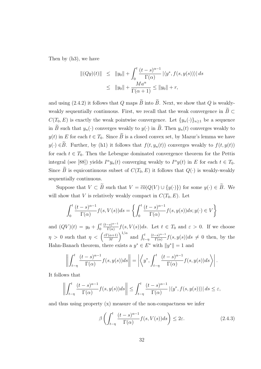Then by (h3), we have

$$
\| (Qy)(t) \| \le \|y_0\| + \int_0^t \frac{(t-s)^{\alpha-1}}{\Gamma(\alpha)} |\langle y^*, f(s, y(s)) \rangle| ds
$$
  

$$
\le \|y_0\| + \frac{Ma^{\alpha}}{\Gamma(\alpha+1)} \le \|y_0\| + r,
$$

and using (2.4.2) it follows that *Q* maps  $\widetilde{B}$  into  $\widetilde{B}$ . Next, we show that *Q* is weaklyweakly sequentially continuous. First, we recall that the weak convergence in  $\widetilde{B} \subset$  $C(T_0, E)$  is exactly the weak pointwise convergence. Let  $\{y_n(\cdot)\}_{n>1}$  be a sequence in  $\widetilde{B}$  such that  $y_n(\cdot)$  converges weakly to  $y(\cdot)$  in  $\widetilde{B}$ . Then  $y_n(t)$  converges weakly to  $y(t)$  in *E* for each  $t \in T_0$ . Since  $\widetilde{B}$  is a closed convex set, by Mazur's lemma we have *y*(*·*) ∈ $\widetilde{B}$ . Further, by (h1) it follows that  $f(t, y_n(t))$  converges weakly to  $f(t, y(t))$ for each  $t \in T_0$ . Then the Lebesgue dominated convergence theorem for the Pettis integral (see [88]) yields  $I^{\alpha}y_n(t)$  converging weakly to  $I^{\alpha}y(t)$  in *E* for each  $t \in T_0$ . Since  $\widetilde{B}$  is equicontinuous subset of  $C(T_0, E)$  it follows that  $Q(\cdot)$  is weakly-weakly sequentially continuous.

Suppose that  $V \subset \widetilde{B}$  such that  $V = \overline{co}(Q(V) \cup \{y(\cdot)\})$  for some  $y(\cdot) \in \widetilde{B}$ . We will show that *V* is relatively weakly compact in  $C(T_0, E)$ . Let

$$
\int_0^t \frac{(t-s)^{\alpha-1}}{\Gamma(\alpha)} f(s, V(s)) ds = \left\{ \int_0^t \frac{(t-s)^{\alpha-1}}{\Gamma(\alpha)} f(s, y(s)) ds; y(\cdot) \in V \right\}
$$

and  $(QV)(t) = y_0 + \int_0^t \frac{(t-s)^{\alpha-1}}{\Gamma(\alpha)}$  $\frac{f(s)-f(s)}{\Gamma(\alpha)}f(s,V(s))ds$ . Let  $t \in T_0$  and  $\varepsilon > 0$ . If we choose *η* > 0 such that  $\eta < \left(\frac{\varepsilon\Gamma(\alpha+1)}{M}\right)$ *M*  $\int_{t-\eta}^t$  and  $\int_{t-\eta}^t$  $\frac{(t-s)^{\alpha-1}}{s}$  $\frac{-s}{\Gamma(\alpha)} f(s, y(s))ds \neq 0$  then, by the Hahn-Banach theorem, there exists a  $y^* \in E^*$  with  $||y^*|| = 1$  and

$$
\left\| \int_{t-\eta}^t \frac{(t-s)^{\alpha-1}}{\Gamma(\alpha)} f(s, y(s)) ds \right\| = \left| \left\langle y^*, \int_{t-\eta}^t \frac{(t-s)^{\alpha-1}}{\Gamma(\alpha)} f(s, y(s)) ds \right\rangle \right|.
$$

It follows that

$$
\left\| \int_{t-\eta}^t \frac{(t-s)^{\alpha-1}}{\Gamma(\alpha)} f(s, y(s)) ds \right\| \leq \int_{t-\eta}^t \frac{(t-s)^{\alpha-1}}{\Gamma(\alpha)} |\langle y^*, f(s, y(s)) \rangle| ds \leq \varepsilon,
$$

and thus using property (x) measure of the non-compactness we infer

$$
\beta \left( \int_{t-\eta}^{t} \frac{(t-s)^{\alpha-1}}{\Gamma(\alpha)} f(s, V(s)) ds \right) \leq 2\varepsilon.
$$
 (2.4.3)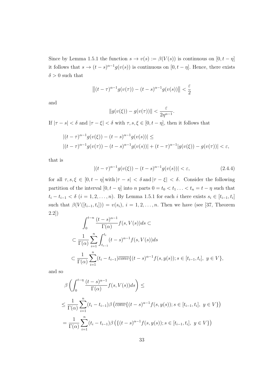Since by Lemma 1.5.1 the function  $s \to v(s) := \beta(V(s))$  is continuous on  $[0, t - \eta]$ it follows that  $s \to (t - s)^{\alpha - 1} g(v(s))$  is continuous on  $[0, t - \eta]$ . Hence, there exists  $\delta > 0$  such that

$$
\left\|(t-\tau)^{\alpha-1}g(v(\tau)) - (t-s)^{\alpha-1}g(v(s))\right\| < \frac{\varepsilon}{2}
$$

and

$$
||g(v(\xi)) - g(v(\tau))|| < \frac{\varepsilon}{2\eta^{\alpha-1}}.
$$

If  $|\tau - s| < \delta$  and  $|\tau - \xi| < \delta$  with  $\tau, s, \xi \in [0, t - \eta]$ , then it follows that

$$
|(t-\tau)^{\alpha-1}g(v(\xi)) - (t-s)^{\alpha-1}g(v(s))| \le
$$
  
 
$$
|(t-\tau)^{\alpha-1}g(v(\tau)) - (t-s)^{\alpha-1}g(v(s))| + (t-\tau)^{\alpha-1}|g(v(\xi)) - g(v(\tau))| < \varepsilon,
$$

that is

$$
|(t-\tau)^{\alpha-1}g(v(\xi)) - (t-s)^{\alpha-1}g(v(s))| < \varepsilon,\tag{2.4.4}
$$

for all  $\tau, s, \xi \in [0, t - \eta]$  with  $|\tau - s| < \delta$  and  $|\tau - \xi| < \delta$ . Consider the following partition of the interval  $[0, t - \eta]$  into *n* parts  $0 = t_0 < t_1 \ldots < t_n = t - \eta$  such that  $t_i - t_{i-1} < \delta$   $(i = 1, 2, ..., n)$ . By Lemma 1.5.1 for each i there exists  $s_i \in [t_{i-1}, t_i]$ such that  $\beta(V([t_{i-1}, t_i])) = v(s_i), i = 1, 2, \ldots, n$ . Then we have (see [37, Theorem 2.2])

$$
\int_0^{t-n} \frac{(t-s)^{\alpha-1}}{\Gamma(\alpha)} f(s, V(s)) ds \subset
$$
  

$$
\subset \frac{1}{\Gamma(\alpha)} \sum_{i=1}^n \int_{t_{i-1}}^{t_i} (t-s)^{\alpha-1} f(s, V(s)) ds
$$
  

$$
\subset \frac{1}{\Gamma(\alpha)} \sum_{i=1}^n (t_i - t_{i-1}) \overline{conv} \{ (t-s)^{\alpha-1} f(s, y(s)); s \in [t_{i-1}, t_i], y \in V \},
$$

and so

$$
\beta \left( \int_0^{t-\eta} \frac{(t-s)^{\alpha-1}}{\Gamma(\alpha)} f(s, V(s)) ds \right) \le
$$
  

$$
\leq \frac{1}{\Gamma(\alpha)} \sum_{i=1}^n (t_i - t_{i-1}) \beta \left( \overline{conv} \{ (t-s)^{\alpha-1} f(s, y(s)) ; s \in [t_{i-1}, t_i], y \in V \} \right)
$$
  

$$
= \frac{1}{\Gamma(\alpha)} \sum_{i=1}^n (t_i - t_{i-1}) \beta \left( \{ (t-s)^{\alpha-1} f(s, y(s)) ; s \in [t_{i-1}, t_i], y \in V \} \right)
$$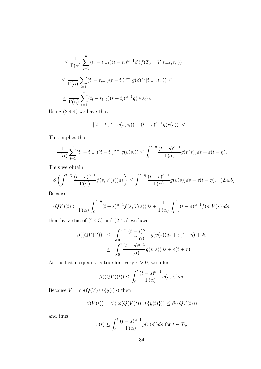$$
\leq \frac{1}{\Gamma(\alpha)} \sum_{i=1}^{n} (t_i - t_{i-1})(t - t_i)^{\alpha - 1} \beta \left( f(T_0 \times V[t_{i-1}, t_i]) \right)
$$
  

$$
\leq \frac{1}{\Gamma(\alpha)} \sum_{i=1}^{n} (t_i - t_{i-1})(t - t_i)^{\alpha - 1} g(\beta(V[t_{i-1}, t_i])) \leq
$$
  

$$
\leq \frac{1}{\Gamma(\alpha)} \sum_{i=1}^{n} (t_i - t_{i-1})(t - t_i)^{\alpha - 1} g(v(s_i)).
$$

Using (2.4.4) we have that

$$
|(t-t_i)^{\alpha-1}g(v(s_i)) - (t-s)^{\alpha-1}g(v(s))| < \varepsilon.
$$

This implies that

$$
\frac{1}{\Gamma(\alpha)}\sum_{i=1}^n(t_i-t_{i-1})(t-t_i)^{\alpha-1}g(v(s_i))\leq \int_0^{t-\eta}\frac{(t-s)^{\alpha-1}}{\Gamma(\alpha)}g(v(s))ds+\varepsilon(t-\eta).
$$

Thus we obtain

$$
\beta \left( \int_0^{t-\eta} \frac{(t-s)^{\alpha-1}}{\Gamma(\alpha)} f(s, V(s)) ds \right) \le \int_0^{t-\eta} \frac{(t-s)^{\alpha-1}}{\Gamma(\alpha)} g(v(s)) ds + \varepsilon (t-\eta). \tag{2.4.5}
$$

Because

$$
(QV)(t) \subset \frac{1}{\Gamma(\alpha)} \int_0^{t-\eta} (t-s)^{\alpha-1} f(s, V(s)) ds + \frac{1}{\Gamma(\alpha)} \int_{t-\eta}^t (t-s)^{\alpha-1} f(s, V(s)) ds,
$$

then by virtue of  $(2.4.3)$  and  $(2.4.5)$  we have

$$
\beta((QV)(t)) \leq \int_0^{t-\eta} \frac{(t-s)^{\alpha-1}}{\Gamma(\alpha)} g(v(s))ds + \varepsilon(t-\eta) + 2\varepsilon
$$
  

$$
\leq \int_0^t \frac{(t-s)^{\alpha-1}}{\Gamma(\alpha)} g(v(s))ds + \varepsilon(t+\tau).
$$

As the last inequality is true for every  $\varepsilon > 0$ , we infer

$$
\beta((QV)(t)) \le \int_0^t \frac{(t-s)^{\alpha-1}}{\Gamma(\alpha)} g(v(s))ds.
$$

Because  $V = \overline{co}(Q(V) \cup \{y(\cdot)\})$  then

$$
\beta(V(t)) = \beta(\overline{co}(Q(V(t)) \cup \{y(t)\})) \leq \beta((QV(t)))
$$

and thus

$$
v(t) \le \int_0^t \frac{(t-s)^{\alpha-1}}{\Gamma(\alpha)} g(v(s)) ds \text{ for } t \in T_0.
$$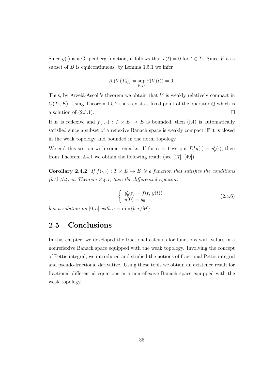Since  $g(\cdot)$  is a Gripenberg function, it follows that  $v(t) = 0$  for  $t \in T_0$ . Since *V* as a subset of  $\widetilde{B}$  is equicontinuous, by Lemma 1.5.1 we infer

$$
\beta_c(V(T_0)) = \sup_{t \in T_0} \beta(V(t)) = 0.
$$

Thus, by Arzela-Ascoli's theorem we obtain that  $V$  is weakly relatively compact in  $C(T_0, E)$ . Using Theorem 1.5.2 there exists a fixed point of the operator *Q* which is a solution of  $(2.3.1)$ .

If *E* is reflexive and  $f(\cdot, \cdot) : T \times E \to E$  is bounded, then (h4) is automatically satisfied since a subset of a reflexive Banach space is weakly compact iff it is closed in the weak topology and bounded in the norm topology.

We end this section with some remarks. If for  $\alpha = 1$  we put  $D_p^1 y(\cdot) = y_p'(\cdot)$ , then from Theorem 2.4.1 we obtain the following result (see [17], [49]).

**Corollary 2.4.2.** *If*  $f(\cdot, \cdot) : T \times E \to E$  *is a function that satisfies the conditions (h1)-(h4) in Theorem 2.4.1, then the differential equation*

$$
\begin{cases}\ny'_{p}(t) = f(t, y(t)) \\
y(0) = y_{0}\n\end{cases}
$$
\n(2.4.6)

*has a solution on*  $[0, a]$  *with*  $a = \min\{b, r/M\}$ *.* 

### **2.5 Conclusions**

In this chapter, we developed the fractional calculus for functions with values in a nonreflexive Banach space equipped with the weak topology. Involving the concept of Pettis integral, we introduced and studied the notions of fractional Pettis integral and pseudo-fractional derivative. Using these tools we obtain an existence result for fractional differential equations in a nonreflexive Banach space equipped with the weak topology*.*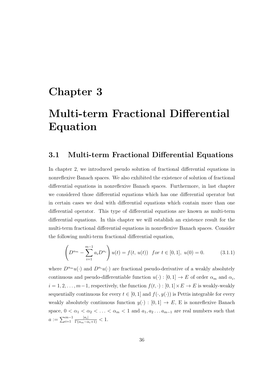## **Chapter 3**

# **Multi-term Fractional Differential Equation**

### **3.1 Multi-term Fractional Differential Equations**

In chapter 2, we introduced pseudo solution of fractional differential equations in nonreflexive Banach spaces. We also exhibited the existence of solution of fractional differential equations in nonreflexive Banach spaces. Furthermore, in last chapter we considered those differential equations which has one differential operator but in certain cases we deal with differential equations which contain more than one differential operator. This type of differential equations are known as multi-term differential equations. In this chapter we will establish an existence result for the multi-term fractional differential equations in nonreflexive Banach spaces. Consider the following multi-term fractional differential equation,

$$
\left(D^{\alpha_m} - \sum_{i=1}^{m-1} a_i D^{\alpha_i}\right) u(t) = f(t, u(t)) \text{ for } t \in [0, 1], u(0) = 0. \tag{3.1.1}
$$

where  $D^{\alpha_m}u(\cdot)$  and  $D^{\alpha_i}u(\cdot)$  are fractional pseudo-derivative of a weakly absolutely continuous and pseudo-differentiable function  $u(\cdot) : [0,1] \to E$  of order  $\alpha_m$  and  $\alpha_i$ ,  $i = 1, 2, \ldots, m-1$ , respectively, the function  $f(t, \cdot) : [0, 1] \times E \to E$  is weakly-weakly sequentially continuous for every  $t \in [0, 1]$  and  $f(\cdot, y(\cdot))$  is Pettis integrable for every weakly absolutely continuous function  $y(\cdot) : [0,1] \to E$ , E is nonreflexive Banach space,  $0 < \alpha_1 < \alpha_2 < \ldots < \alpha_m < 1$  and  $a_1, a_2 \ldots a_{m-1}$  are real numbers such that  $a := \sum_{i=1}^{m-1} \frac{|a_i|}{\Gamma(\alpha_m - \alpha_i + 1)} < 1.$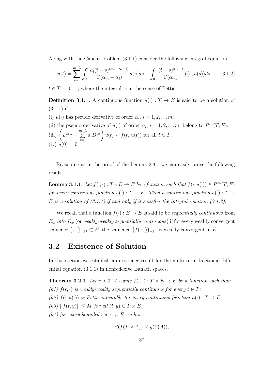Along with the Cauchy problem (3.1.1) consider the following integral equation,

$$
u(t) = \sum_{i=1}^{m-1} \int_0^t \frac{a_i(t-s)^{(\alpha_m - \alpha_i - 1)}}{\Gamma(\alpha_m - \alpha_i)} u(s) ds + \int_0^t \frac{(t-s)^{\alpha_m - 1}}{\Gamma(\alpha_m)} f(s, u(s)) ds, \quad (3.1.2)
$$

 $t \in T = [0, 1]$ , where the integral is in the sense of Pettis.

**Definition 3.1.1.** A continuous function  $u(\cdot) : T \to E$  is said to be a solution of (3.1.1) if,

- (i)  $u(\cdot)$  has pseudo derivative of order  $\alpha_i$ ,  $i = 1, 2, \ldots m$ ,
- (ii) the pseudo derivative of  $u(\cdot)$  of order  $\alpha_i$ ,  $i = 1, 2, \ldots, m$ , belong to  $P^{\infty}(T, E)$ ,  $\lim_{m \to \infty} \left( D^{a_m} - \sum_{n=1}^{m-1} \right)$ *i*=1  $a_i D^{\alpha_i}$  $\setminus$  $u(t) \approx f(t, u(t))$  for all  $t \in T$ ,  $(iv) u(0) = 0.$

Reasoning as in the proof of the Lemma 2.3.1 we can easily prove the following result.

**Lemma 3.1.1.** Let  $f(\cdot, \cdot): T \times E \to E$  be a function such that  $f(\cdot, u(\cdot)) \in P^{\infty}(T, E)$ *for every continuous function*  $u(\cdot) : T \to E$ *. Then a continuous function*  $u(\cdot) : T \to$ *E is a solution of (3.1.1) if and only if it satisfies the integral equation (3.1.2).*

We recall that a function  $f(\cdot): E \to E$  is said to be *sequentially continuous* from  $E_w$  *into*  $E_w$  (or *weakly-weakly sequentially continuous*) if for every weakly convergent sequence  $\{x_n\}_{n\geq 1} \subset E$ , the sequence  $\{f(x_n)\}_{n\geq 1}$  is weakly convergent in *E*.

#### **3.2 Existence of Solution**

In this section we establish an existence result for the multi-term fractional differential equation (3.1.1) in nonreflexive Banach spaces.

**Theorem 3.2.1.** Let  $r > 0$ . Assume  $f(\cdot, \cdot) : T \times E \to E$  be a function such that: *(h1)*  $f(t, \cdot)$  *is weakly-weakly sequentially continuous for every*  $t \in T$ ; *(h2)*  $f(\cdot, u(\cdot))$  *is Pettis integrable for every continuous function*  $u(\cdot) : T \to E$ ;  $(h3)$   $||f(t, y)|| \leq M$  *for all*  $(t, y) \in T \times E$ ; *(h4)* for every bounded set  $A ⊂ E$  *we have* 

$$
\beta(f(T \times A)) \le g(\beta(A)),
$$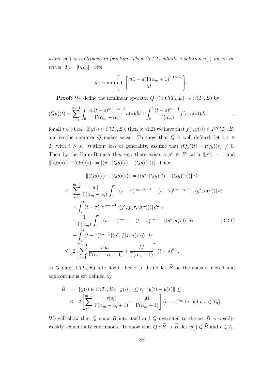*where*  $g(\cdot)$  *is a Gripenberg function. Then* (3.1.1) admits a solution  $u(\cdot)$  on an in*terval*  $T_0 = [0, a_0]$  *with* 

$$
a_0 = \min\left\{1, \left[\frac{r(1-a)\Gamma(\alpha_m+1)}{M}\right]^{1/\alpha_m}\right\}.
$$

**Proof:** We define the nonlinear operator  $Q(\cdot)$ :  $C(T_0, E) \rightarrow C(T_0, E)$  by

$$
(Qu)(t) = \sum_{i=1}^{m-1} \int_0^t \frac{a_i(t-s)^{\alpha_m - \alpha_i - 1}}{\Gamma(\alpha_m - \alpha_i)} u(s) ds + \int_0^t \frac{(t-s)^{\alpha_m - 1}}{\Gamma(\alpha_m)} f(s, u(s)) ds,
$$

for all  $t \in [0, a_0]$ . If  $y(\cdot) \in C(T_0, E)$ , then by (h2) we have that  $f(\cdot, y(\cdot)) \in P^{\infty}(T_0, E)$ and so the operator  $Q$  makes sense. To show that  $Q$  is well defined, let  $t, s \in$ *T*<sub>0</sub> with  $t > s$ . Without loss of generality, assume that  $(Qy)(t) - (Qy)(s) \neq 0$ . Then by the Hahn-Banach theorem, there exists a  $y^* \in E^*$  with  $||y^*|| = 1$  and  $||(Qy)(t) - (Qy)(s)|| = |\langle y^*, (Qy)(t) - (Qy)(s) \rangle|$ *. Then* 

$$
\| (Qy)(t) - (Qy)(s) \| = |\langle y^*, (Qy)(t) - (Qy)(s) \rangle| \le
$$
  
\n
$$
\leq \sum_{i=1}^{m-1} \frac{|a_i|}{\Gamma(\alpha_m - \alpha_i)} \int_0^s \left[ (s - \tau)^{\alpha_m - \alpha_i - 1} - (t - \tau)^{\alpha_m - \alpha_i - 1} \right] |\langle y^*, u(\tau) \rangle| d\tau
$$
  
\n
$$
+ \int_s^t (t - \tau)^{\alpha_m - \alpha_i - 1} |\langle y^*, f(\tau, u(\tau)) \rangle| d\tau +
$$
  
\n
$$
+ \frac{1}{\Gamma(\alpha_m)} \int_0^s \left[ (s - \tau)^{\alpha_m - 1} - (t - \tau)^{\alpha_m - 1} \right] |\langle y^*, u(\tau) \rangle| d\tau
$$
  
\n
$$
+ \int_s^t (t - \tau)^{\alpha_m - 1} |\langle y^*, f(\tau, u(\tau)) \rangle| d\tau
$$
  
\n
$$
\leq 2 \left[ \sum_{i=1}^{m-1} \frac{r |a_i|}{\Gamma(\alpha_m - \alpha_i + 1)} + \frac{M}{\Gamma(\alpha_m + 1)} \right] (t - s)^{\alpha_m}.
$$
  
\n(3.2.1)

so *Q* maps  $C(T_0, E)$  into itself. Let  $r > 0$  and let  $\widetilde{B}$  be the convex, closed and equicontinous set defined by

$$
\widetilde{B} = \{y(\cdot) \in C(T_0, E); ||y(\cdot)||_{c} \le r, ||y(t) - y(s)|| \le
$$
\n
$$
\le 2 \left[ \sum_{i=1}^{m-1} \frac{r|a_i|}{\Gamma(\alpha_m - \alpha_i + 1)} + \frac{M}{\Gamma(\alpha_m + 1)} \right] (t - s)^{\alpha_m} \text{ for all } t, s \in T_0 \}.
$$

We will show that *Q* maps  $\widetilde{B}$  into itself and *Q* restricted to the set  $\widetilde{B}$  is weaklyweakly sequentially continuous. To show that  $Q : \widetilde{B} \to \widetilde{B}$ , let  $y(\cdot) \in \widetilde{B}$  and  $t \in T_0$ .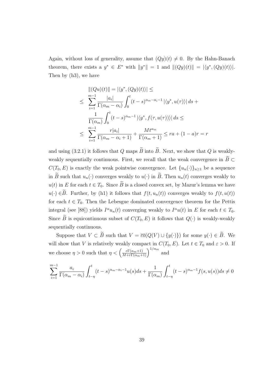Again, without loss of generality, assume that  $(Qy)(t) \neq 0$ . By the Hahn-Banach theorem, there exists a  $y^* \in E^*$  with  $||y^*|| = 1$  and  $||(Qy)(t)|| = |\langle y^*, (Qy)(t) \rangle|$ . Then by (h3), we have

$$
\| (Qu)(t) \| = |\langle y^*, (Qy)(t) \rangle| \le
$$
  
\n
$$
\leq \sum_{i=1}^{m-1} \frac{|a_i|}{\Gamma(\alpha_m - \alpha_i)} \int_0^t (t - s)^{\alpha_m - \alpha_i - 1} |\langle y^*, u(\tau) \rangle| ds +
$$
  
\n
$$
\frac{1}{\Gamma(\alpha_m)} \int_0^t (t - s)^{\alpha_m - 1} |\langle y^*, f(\tau, u(\tau)) \rangle| ds \le
$$
  
\n
$$
\leq \sum_{i=1}^{m-1} \frac{r|a_i|}{\Gamma(\alpha_m - \alpha_i + 1)} + \frac{Mt^{\alpha_m}}{\Gamma(\alpha_m + 1)} \leq ra + (1 - a)r = r
$$

and using (3.2.1) it follows that *Q* maps  $\widetilde{B}$  into  $\widetilde{B}$ . Next, we show that *Q* is weaklyweakly sequentially continuous. First, we recall that the weak convergence in  $\widetilde{B}\subset$ *C*(*T*<sub>0</sub>*, E*) is exactly the weak pointwise convergence. Let  $\{u_n(\cdot)\}_{n\geq 1}$  be a sequence in  $\widetilde{B}$  such that  $u_n(\cdot)$  converges weakly to  $u(\cdot)$  in  $\widetilde{B}$ . Then  $u_n(t)$  converges weakly to  $u(t)$  in *E* for each  $t \in T_0$ . Since  $\widetilde{B}$  is a closed convex set, by Mazur's lemma we have *u*(*·*) ∈ $\widetilde{B}$ . Further, by (h1) it follows that  $f(t, u_n(t))$  converges weakly to  $f(t, u(t))$ for each  $t \in T_0$ . Then the Lebesgue dominated convergence theorem for the Pettis integral (see [88]) yields  $I^{\alpha}u_n(t)$  converging weakly to  $I^{\alpha}u(t)$  in *E* for each  $t \in T_0$ . Since  $\widetilde{B}$  is equicontinuous subset of  $C(T_0, E)$  it follows that  $Q(\cdot)$  is weakly-weakly sequentially continuous.

Suppose that  $V \subset \widetilde{B}$  such that  $V = \overline{co}(Q(V) \cup \{y(\cdot)\})$  for some  $y(\cdot) \in \widetilde{B}$ . We will show that *V* is relatively weakly compact in  $C(T_0, E)$ . Let  $t \in T_0$  and  $\varepsilon > 0$ . If we choose  $\eta > 0$  such that  $\eta < \left(\frac{\varepsilon \Gamma(\alpha_m+1)}{M+r\Gamma(\alpha_m+1)}\right)^{1/\alpha_m}$  and

$$
\sum_{i=1}^{m-1} \frac{a_i}{\Gamma(\alpha_m - \alpha_i)} \int_{t-\eta}^t (t-s)^{\alpha_m - \alpha_i - 1} u(s) ds + \frac{1}{\Gamma(\alpha_m)} \int_{t-\eta}^t (t-s)^{\alpha_m - 1} f(s, u(s)) ds \neq 0
$$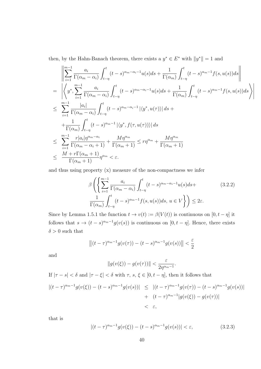then, by the Hahn-Banach theorem, there exists a  $y^* \in E^*$  with  $||y^*|| = 1$  and

$$
\begin{split}\n&\left\|\sum_{i=1}^{m-1}\frac{a_i}{\Gamma(\alpha_m-\alpha_i)}\int_{t-\eta}^t (t-s)^{\alpha_m-\alpha_i-1}u(s)ds+\frac{1}{\Gamma(\alpha_m)}\int_{t-\eta}^t (t-s)^{\alpha_m-1}f(s,u(s))ds\right\| \\
&=\left\|\left\langle y^*,\sum_{i=1}^{m-1}\frac{a_i}{\Gamma(\alpha_m-\alpha_i)}\int_{t-\eta}^t (t-s)^{\alpha_m-\alpha_i-1}u(s)ds+\frac{1}{\Gamma(\alpha_m)}\int_{t-\eta}^t (t-s)^{\alpha_m-1}f(s,u(s))ds\right\rangle\right| \\
&\leq \sum_{i=1}^{m-1}\frac{|a_i|}{\Gamma(\alpha_m-\alpha_i)}\int_{t-\eta}^t (t-s)^{\alpha_m-\alpha_i-1}\left|\langle y^*,u(\tau)\rangle\right|ds + \\
&\quad+\frac{1}{\Gamma(\alpha_m)}\int_{t-\eta}^t (t-s)^{\alpha_m-1}\left|\langle y^*,f(\tau,u(\tau))\rangle\right|ds \\
&\leq \sum_{i=1}^{m-1}\frac{r|a_i|\eta^{\alpha_m-\alpha_i}}{\Gamma(\alpha_m-\alpha_i+1)}+\frac{M\eta^{\alpha_m}}{\Gamma(\alpha_m+1)}\leq r\eta^{\alpha_m}+\frac{M\eta^{\alpha_m}}{\Gamma(\alpha_m+1)} \\
&\leq \frac{M+r\Gamma(\alpha_m+1)}{\Gamma(\alpha_m+1)}\eta^{\alpha_m}<\varepsilon.\n\end{split}
$$

and thus using property (x) measure of the non-compactness we infer

$$
\beta \left( \left\{ \sum_{i=1}^{m-1} \frac{a_i}{\Gamma(\alpha_m - \alpha_i)} \int_{t-\eta}^t (t-s)^{\alpha_m - \alpha_i - 1} u(s) ds + \frac{1}{\Gamma(\alpha_m)} \int_{t-\eta}^t (t-s)^{\alpha_m - 1} f(s, u(s)) ds, u \in V \right\} \right) \le 2\varepsilon.
$$
\n(3.2.2)

Since by Lemma 1.5.1 the function  $t \to v(t) := \beta(V(t))$  is continuous on  $[0, t - \eta]$  it follows that  $s \to (t-s)^{\alpha_m-1} g(v(s))$  is continuous on  $[0, t-\eta]$ . Hence, there exists  $\delta > 0$  such that

$$
\left\|(t-\tau)^{\alpha_m-1}g(v(\tau)) - (t-s)^{\alpha_m-1}g(v(s))\right\| < \frac{\varepsilon}{2}
$$

and

$$
||g(v(\xi)) - g(v(\tau))|| < \frac{\varepsilon}{2\eta^{\alpha_m - 1}}
$$

If  $|\tau - s| < \delta$  and  $|\tau - \xi| < \delta$  with  $\tau$ ,  $s, \xi \in [0, t - \eta]$ , then it follows that

$$
\begin{aligned} |(t-\tau)^{\alpha_m-1} g(v(\xi)) - (t-s)^{\alpha_m-1} g(v(s))| &\leq |(t-\tau)^{\alpha_m-1} g(v(\tau)) - (t-s)^{\alpha_m-1} g(v(s))| \\ &+ (t-\tau)^{\alpha_m-1} |g(v(\xi)) - g(v(\tau))| \\ &< \varepsilon, \end{aligned}
$$

that is

$$
|(t-\tau)^{\alpha_m-1}g(v(\xi)) - (t-s)^{\alpha_m-1}g(v(s))| < \varepsilon,\tag{3.2.3}
$$

*.*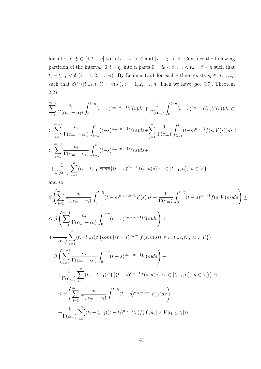for all  $\tau$ , s,  $\xi \in [0, t - \eta]$  with  $|\tau - s| < \delta$  and  $|\tau - \xi| < \delta$ . Consider the following partition of the interval  $[0, t - \eta]$  into n parts  $0 = t_0 < t_1 ... < t_n = t - \eta$  such that  $t_i - t_{i-1} < \delta$   $(i = 1, 2, ..., n)$ . By Lemma 1.5.1 for each i there exists  $s_i \in [t_{i-1}, t_i]$ such that  $\beta(V([t_{i-1}, t_i])) = v(s_i), i = 1, 2, \ldots, n$ . Then we have (see [37], Theorem 2.2)

$$
\sum_{i=1}^{m-1} \frac{a_i}{\Gamma(\alpha_m - \alpha_i)} \int_0^{t-\eta} (t-s)^{\alpha_m - \alpha_i - 1} V(s) ds + \frac{1}{\Gamma(\alpha_m)} \int_0^{t-\eta} (t-s)^{\alpha_m - 1} f(s, V(s)) ds \subset
$$
  

$$
\subset \sum_{i=1}^{m-1} \frac{a_i}{\Gamma(\alpha_m - \alpha_i)} \int_{t-\eta}^t (t-s)^{\alpha_m - \alpha_i - 1} V(s) ds + \sum_{j=1}^n \frac{1}{\Gamma(\alpha_m)} \int_{t_{i-1}}^{t_i} (t-s)^{\alpha_m - 1} f(s, V(s)) ds \subset
$$
  

$$
\subset \sum_{i=1}^{m-1} \frac{a_i}{\Gamma(\alpha_m - \alpha_i)} \int_{t-\eta}^t (t-s)^{\alpha_m - \alpha_i - 1} V(s) ds +
$$
  

$$
+ \frac{1}{\Gamma(\alpha_m)} \sum_{i=1}^n (t_i - t_{i-1}) \overline{conv} \{ (t-s)^{\alpha_m - 1} f(s, u(s)) ; s \in [t_{i-1}, t_i], u \in V \},
$$

and so

$$
\beta \left( \sum_{i=1}^{m-1} \frac{a_i}{\Gamma(\alpha_m - \alpha_i)} \int_0^{t-\eta} (t-s)^{\alpha_m - \alpha_i - 1} V(s) ds + \frac{1}{\Gamma(\alpha_m)} \int_0^{t-\eta} (t-s)^{\alpha_m - 1} f(s, V(s)) ds \right) \le
$$
\n
$$
\leq \beta \left( \sum_{i=1}^{m-1} \frac{a_i}{\Gamma(\alpha_m - \alpha_i)} \int_0^{t-\eta} (t-s)^{\alpha_m - \alpha_i - 1} V(s) ds \right) +
$$
\n
$$
+ \frac{1}{\Gamma(\alpha_m)} \sum_{i=1}^n (t_i - t_{i-1}) \beta \left( \overline{\text{conv}} \{ (t-s)^{\alpha_m - 1} f(s, u(s)) ; s \in [t_{i-1}, t_i], u \in V \} \right)
$$
\n
$$
= \beta \left( \sum_{i=1}^{m-1} \frac{a_i}{\Gamma(\alpha_m - \alpha_i)} \int_0^{t-\eta} (t-s)^{\alpha_m - \alpha_i - 1} V(s) ds \right) +
$$
\n
$$
+ \frac{1}{\Gamma(\alpha_m)} \sum_{i=1}^n (t_i - t_{i-1}) \beta \left( \{ (t-s)^{\alpha_m - 1} f(s, u(s)) ; s \in [t_{i-1}, t_i], u \in V \} \right) \le
$$
\n
$$
\leq \beta \left( \sum_{i=1}^{m-1} \frac{a_i}{\Gamma(\alpha_m - \alpha_i)} \int_0^{t-\eta} (t-s)^{\alpha_m - \alpha_i - 1} V(s) ds \right) +
$$
\n
$$
+ \frac{1}{\Gamma(\alpha_m)} \sum_{i=1}^n (t_i - t_{i-1}) (t - t_i)^{\alpha_m - 1} \beta \left( f([0, a_0] \times V[t_{i-1}, t_i]) \right)
$$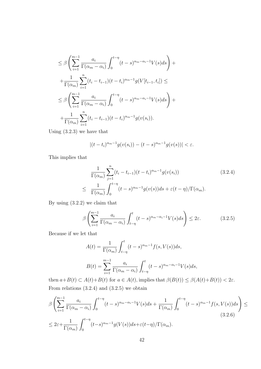$$
\leq \beta \left( \sum_{i=1}^{m-1} \frac{a_i}{\Gamma(\alpha_m - \alpha_i)} \int_0^{t-\eta} (t-s)^{\alpha_m - \alpha_i - 1} V(s) ds \right) + \n+ \frac{1}{\Gamma(\alpha_m)} \sum_{i=1}^n (t_i - t_{i-1})(t - t_i)^{\alpha_m - 1} g(V[t_{i-1}, t_i]) \leq \n\leq \beta \left( \sum_{i=1}^{m-1} \frac{a_i}{\Gamma(\alpha_m - \alpha_i)} \int_0^{t-\eta} (t-s)^{\alpha_m - \alpha_i - 1} V(s) ds \right) + \n+ \frac{1}{\Gamma(\alpha_m)} \sum_{i=1}^n (t_i - t_{i-1})(t - t_i)^{\alpha_m - 1} g(v(s_i)).
$$

Using (3.2.3) we have that

$$
|(t-t_i)^{\alpha_m-1}g(v(s_i)) - (t-s)^{\alpha_m-1}g(v(s))| < \varepsilon.
$$

This implies that

$$
\frac{1}{\Gamma(\alpha_m)} \sum_{j=1}^n (t_i - t_{i-1})(t - t_i)^{\alpha_m - 1} g(v(s_i))
$$
\n
$$
\leq \frac{1}{\Gamma(\alpha_m)} \int_0^{t - \eta} (t - s)^{\alpha_m - 1} g(v(s)) ds + \varepsilon (t - \eta) / \Gamma(\alpha_m).
$$
\n(3.2.4)

By using (3.2.2) we claim that

$$
\beta \left( \sum_{i=1}^{m-1} \frac{a_i}{\Gamma(\alpha_m - \alpha_i)} \int_{t-\eta}^t (t-s)^{\alpha_m - \alpha_i - 1} V(s) ds \right) \le 2\varepsilon.
$$
 (3.2.5)

Because if we let that

$$
A(t) = \frac{1}{\Gamma(\alpha_m)} \int_{t-\eta}^t (t-s)^{\alpha_m-1} f(s, V(s)) ds,
$$
  

$$
B(t) = \sum_{i=1}^{m-1} \frac{a_i}{\Gamma(\alpha_m - \alpha_i)} \int_{t-\eta}^t (t-s)^{\alpha_m - \alpha_i - 1} V(s) ds,
$$

then  $a+B(t) \subset A(t)+B(t)$  for  $a \in A(t)$ , implies that  $\beta(B(t)) \leq \beta(A(t)+B(t)) < 2\varepsilon$ . From relations  $(3.2.4)$  and  $(3.2.5)$  we obtain

$$
\beta \left( \sum_{i=1}^{m-1} \frac{a_i}{\Gamma(\alpha_m - \alpha_i)} \int_0^{t-\eta} (t-s)^{\alpha_m - \alpha_i - 1} V(s) ds + \frac{1}{\Gamma(\alpha_m)} \int_0^{t-\eta} (t-s)^{\alpha_m - 1} f(s, V(s)) ds \right) \le
$$
\n
$$
\leq 2\varepsilon + \frac{1}{\Gamma(\alpha_m)} \int_0^{t-\eta} (t-s)^{\alpha_m - 1} g(V(s)) ds + \varepsilon (t-\eta) / \Gamma(\alpha_m). \tag{3.2.6}
$$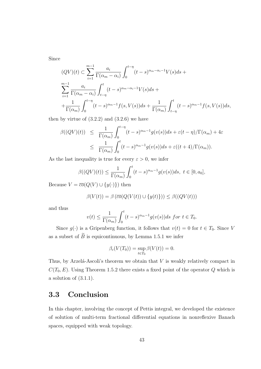Since

$$
(QV)(t) \subset \sum_{i=1}^{m-1} \frac{a_i}{\Gamma(\alpha_m - \alpha_i)} \int_0^{t-\eta} (t-s)^{\alpha_m - \alpha_i - 1} V(s) ds +
$$
  

$$
\sum_{i=1}^{m-1} \frac{a_i}{\Gamma(\alpha_m - \alpha_i)} \int_{t-\eta}^t (t-s)^{\alpha_m - \alpha_i - 1} V(s) ds +
$$
  

$$
+ \frac{1}{\Gamma(\alpha_m)} \int_0^{t-\eta} (t-s)^{\alpha_m - 1} f(s, V(s)) ds + \frac{1}{\Gamma(\alpha_m)} \int_{t-\eta}^t (t-s)^{\alpha_m - 1} f(s, V(s)) ds,
$$

then by virtue of  $(3.2.2)$  and  $(3.2.6)$  we have

$$
\beta((QV)(t)) \leq \frac{1}{\Gamma(\alpha_m)} \int_0^{t-\eta} (t-s)^{\alpha_m-1} g(v(s)) ds + \varepsilon (t-\eta) / \Gamma(\alpha_m) + 4\varepsilon
$$
  

$$
\leq \frac{1}{\Gamma(\alpha_m)} \int_0^t (t-s)^{\alpha_m-1} g(v(s)) ds + \varepsilon ((t+4) / \Gamma(\alpha_m)).
$$

As the last inequality is true for every  $\varepsilon > 0$ , we infer

$$
\beta((QV)(t)) \le \frac{1}{\Gamma(\alpha_m)} \int_0^t (t-s)^{\alpha_m-1} g(v(s))ds, \ t \in [0, a_0],
$$

Because  $V = \overline{co}(Q(V) \cup \{y(\cdot)\})$  then

$$
\beta(V(t)) = \beta(\overline{co}(Q(V(t)) \cup \{y(t)\})) \leq \beta((QV(t)))
$$

and thus

$$
v(t) \le \frac{1}{\Gamma(\alpha_m)} \int_0^t (t-s)^{\alpha_m-1} g(v(s)) ds \text{ for } t \in T_0.
$$

Since  $g(\cdot)$  is a Gripenberg function, it follows that  $v(t) = 0$  for  $t \in T_0$ . Since *V* as a subset of  $\widetilde{B}$  is equicontinuous, by Lemma 1.5.1 we infer

$$
\beta_c(V(T_0)) = \sup_{t \in T_0} \beta(V(t)) = 0.
$$

Thus, by Arzelá-Ascoli's theorem we obtain that  $V$  is weakly relatively compact in  $C(T_0, E)$ . Using Theorem 1.5.2 there exists a fixed point of the operator *Q* which is a solution of (3.1.1).

### **3.3 Conclusion**

In this chapter, involving the concept of Pettis integral, we developed the existence of solution of multi-term fractional differential equations in nonreflexive Banach spaces, equipped with weak topology.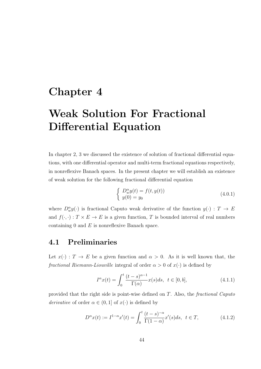## **Chapter 4**

# **Weak Solution For Fractional Differential Equation**

In chapter 2, 3 we discussed the existence of solution of fractional differential equations, with one differential operator and multi-term fractional equations respectively, in nonreflexive Banach spaces. In the present chapter we will establish an existence of weak solution for the following fractional differential equation

$$
\begin{cases}\nD_w^{\alpha}y(t) = f(t, y(t)) \\
y(0) = y_0\n\end{cases}
$$
\n(4.0.1)

where  $D_w^{\alpha}y(\cdot)$  is fractional Caputo weak derivative of the function  $y(\cdot)$  :  $T \to E$ and  $f(\cdot, \cdot): T \times E \to E$  is a given function, *T* is bounded interval of real numbers containing 0 and *E* is nonreflexive Banach space.

### **4.1 Preliminaries**

Let  $x(\cdot)$ :  $T \to E$  be a given function and  $\alpha > 0$ . As it is well known that, the *fractional Riemann-Liouville* integral of order  $\alpha > 0$  of  $x(\cdot)$  is defined by

$$
I^{\alpha}x(t) = \int_0^t \frac{(t-s)^{\alpha-1}}{\Gamma(\alpha)} x(s)ds, \ \ t \in [0, b], \tag{4.1.1}
$$

provided that the right side is point-wise defined on *T*. Also, the *fractional Caputo derivative* of order  $\alpha \in (0,1]$  of  $x(\cdot)$  is defined by

$$
D^{\alpha}x(t) := I^{1-\alpha}x'(t) = \int_0^t \frac{(t-s)^{-\alpha}}{\Gamma(1-\alpha)} x'(s)ds, \ \ t \in T,
$$
 (4.1.2)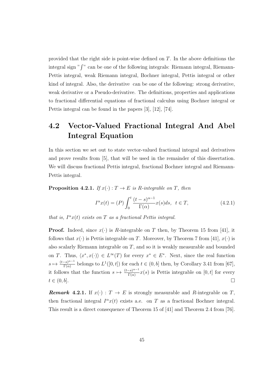provided that the right side is point-wise defined on *T*. In the above definitions the integral sign "∫ " can be one of the following integrals: Riemann integral, Riemann-Pettis integral, weak Riemann integral, Bochner integral, Pettis integral or other kind of integral. Also, the derivative can be one of the following: strong derivative, weak derivative or a Pseudo-derivative. The definitions, properties and applications to fractional differential equations of fractional calculus using Bochner integral or Pettis integral can be found in the papers [3], [12], [74].

### **4.2 Vector-Valued Fractional Integral And Abel Integral Equation**

In this section we set out to state vector-valued fractional integral and derivatives and prove results from [5], that will be used in the remainder of this dissertation. We will discuss fractional Pettis integral, fractional Bochner integral and Riemann-Pettis integral.

**Proposition 4.2.1.** *If*  $x(\cdot) : T \to E$  *is R-integrable on T, then* 

$$
I^{\alpha}x(t) = (P)\int_0^t \frac{(t-s)^{\alpha-1}}{\Gamma(\alpha)}x(s)ds, \ \ t \in T,
$$
\n(4.2.1)

*that is,*  $I^{\alpha}x(t)$  *exists on*  $T$  *as a fractional Pettis integral.* 

**Proof.** Indeed, since  $x(\cdot)$  is *R*-integrable on *T* then, by Theorem 15 from [41], it follows that  $x(\cdot)$  is Pettis integrable on *T*. Moreover, by Theorem 7 from [41],  $x(\cdot)$  is also scalarly Riemann integrable on *T*, and so it is weakly measurable and bounded on *T*. Thus,  $\langle x^*, x(\cdot) \rangle \in L^{\infty}(T)$  for every  $x^* \in E^*$ . Next, since the real function  $s \mapsto \frac{(t-s)^{\alpha-1}}{\Gamma(\alpha)}$  $\frac{C(s)^{\alpha-1}}{\Gamma(\alpha)}$  belongs to  $L^1([0,t])$  for each  $t \in (0,b]$  then, by Corollary 3.41 from [67], it follows that the function  $s \mapsto \frac{(t-s)^{\alpha-1}}{\Gamma(\alpha)}$  $\frac{-s}{\Gamma(\alpha)}x(s)$  is Pettis integrable on  $[0, t]$  for every  $t \in (0, b].$ 

*Remark* **4.2.1***.* If  $x(\cdot) : T \to E$  is strongly measurable and *R*-integrable on *T*, then fractional integral  $I^{\alpha}x(t)$  exists a.e. on *T* as a fractional Bochner integral. This result is a direct consequence of Theorem 15 of [41] and Theorem 2.4 from [76].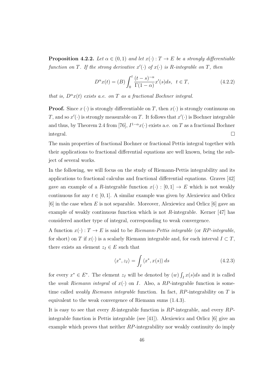**Proposition 4.2.2.** *Let*  $\alpha \in (0,1)$  *and let*  $x(\cdot): T \to E$  *be a strongly differentiable function on T. If the strong derivative*  $x'(\cdot)$  *of*  $x(\cdot)$  *is R-integrable on T, then* 

$$
D^{\alpha}x(t) = (B)\int_0^t \frac{(t-s)^{-\alpha}}{\Gamma(1-\alpha)}x'(s)ds, \ \ t \in T,
$$
\n(4.2.2)

*that is,*  $D^{\alpha}x(t)$  *exists a.e. on T as a fractional Bochner integral.* 

**Proof.** Since  $x(\cdot)$  is strongly differentiable on *T*, then  $x(\cdot)$  is strongly continuous on *T*, and so  $x'(\cdot)$  is strongly measurable on *T*. It follows that  $x'(\cdot)$  is Bochner integrable and thus, by Theorem 2.4 from [76],  $I^{1-\alpha}x(\cdot)$  exists a.e. on *T* as a fractional Bochner integral.

The main properties of fractional Bochner or fractional Pettis integral together with their applications to fractional differential equations are well known, being the subject of several works.

In the following, we will focus on the study of Riemann-Pettis integrability and its applications to fractional calculus and fractional differential equations. Graves [42] gave an example of a *R*-integrable function  $x(\cdot) : [0,1] \to E$  which is not weakly continuous for any  $t \in [0, 1]$ . A similar example was given by Alexiewicz and Orlicz [6] in the case when *E* is not separable. Moreover, Alexiewicz and Orlicz [6] gave an example of weakly continuous function which is not *R*-integrable. Kerner [47] has considered another type of integral, corresponding to weak convergence.

A function  $x(\cdot) : T \to E$  is said to be *Riemann-Pettis integrable* (or *RP-integrable*, for short) on *T* if  $x(\cdot)$  is a scalarly Riemann integrable and, for each interval  $I \subset T$ , there exists an element  $z_I \in E$  such that

$$
\langle x^*, z_I \rangle = \int_I \langle x^*, x(s) \rangle \, ds \tag{4.2.3}
$$

for every  $x^* \in E^*$ . The element  $z_I$  will be denoted by  $(w) \int_I x(s) ds$  and it is called the *weak Riemann integral* of  $x(\cdot)$  on *I*. Also, a *RP*-integrable function is sometime called *weakly Riemann integrable* function. In fact, *RP*-integrability on *T* is equivalent to the weak convergence of Riemann sums (1.4.3).

It is easy to see that every *R*-integrable function is *RP*-integrable, and every *RP*integrable function is Pettis integrable (see [41]). Alexiewicz and Orlicz [6] give an example which proves that neither *RP*-integrability nor weakly continuity do imply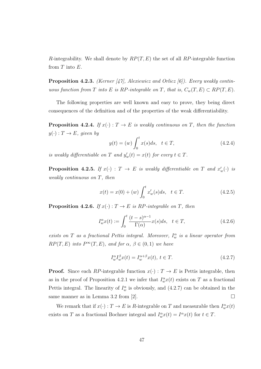*R*-integrability. We shall denote by *RP*(*T, E*) the set of all *RP*-integrable function from *T* into *E*.

**Proposition 4.2.3.** *(Kerner [47], Alexiewicz and Orlicz [6]). Every weakly continuous function from T into E is RP*-integrable on *T*, that is,  $C_w(T, E) \subset RP(T, E)$ .

The following properties are well known and easy to prove, they being direct consequences of the definition and of the properties of the weak differentiability.

**Proposition 4.2.4.** *If*  $x(\cdot) : T \to E$  *is weakly continuous on T, then the function*  $y(\cdot) : T \to E$ *, given by* 

$$
y(t) = (w) \int_0^t x(s)ds, \quad t \in T,
$$
\n(4.2.4)

*is weakly differentiable on T* and  $y'_{w}(t) = x(t)$  for every  $t \in T$ .

**Proposition 4.2.5.** If  $x(\cdot) : T \to E$  is weakly differentiable on  $T$  and  $x'_{w}(\cdot)$  is *weakly continuous on T, then*

$$
x(t) = x(0) + (w) \int_0^t x'_w(s)ds, \quad t \in T.
$$
 (4.2.5)

**Proposition 4.2.6.** *If*  $x(\cdot): T \to E$  *is RP-integrable on T, then* 

$$
I_w^{\alpha}(t) := \int_0^t \frac{(t-s)^{\alpha-1}}{\Gamma(\alpha)} x(s)ds, \quad t \in T,
$$
\n(4.2.6)

*exists on T as a fractional Pettis integral. Moreover,*  $I_w^{\alpha}$  *is a linear operator from*  $RP(T, E)$  *into*  $P^{\infty}(T, E)$ *, and for*  $\alpha, \beta \in (0, 1)$  *we have* 

$$
I_w^{\alpha}I_w^{\beta}x(t) = I_w^{\alpha+\beta}x(t), \ t \in T.
$$
\n(4.2.7)

**Proof.** Since each *RP*-integrable function  $x(\cdot) : T \to E$  is Pettis integrable, then as in the proof of Proposition 4.2.1 we infer that  $I_w^{\alpha}x(t)$  exists on *T* as a fractional Pettis integral. The linearity of  $I_w^{\alpha}$  is obviously, and (4.2.7) can be obtained in the same manner as in Lemma 3.2 from [2].  $\square$ 

We remark that if  $x(\cdot) : T \to E$  is *R*-integrable on *T* and measurable then  $I_w^{\alpha}x(t)$ exists on *T* as a fractional Bochner integral and  $I_w^{\alpha}x(t) = I^{\alpha}x(t)$  for  $t \in T$ .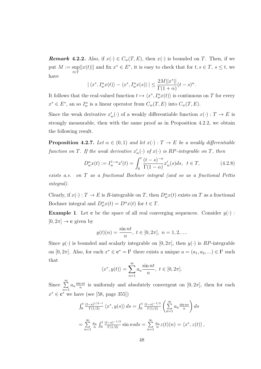*Remark* 4.2.2. Also, if  $x(\cdot) \in C_w(T, E)$ , then  $x(\cdot)$  is bounded on *T*. Then, if we put  $M := \sup$ *t∈T*  $||x(t)||$  and fix  $x^* \in E^*$ , it is easy to check that for  $t, s \in T$ ,  $s \le t$ , we have

$$
|\langle x^*, I_w^{\alpha} x(t) \rangle - \langle x^*, I_w^{\alpha} x(s) \rangle| \leq \frac{2M||x^*||}{\Gamma(1+\alpha)}(t-s)^{\alpha}.
$$

It follows that the real-valued function  $t \mapsto \langle x^*, I_w^{\alpha} x(t) \rangle$  is continuous on *T* for every  $x^* \in E^*$ , an so  $I_w^{\alpha}$  is a linear operator from  $C_w(T, E)$  into  $C_w(T, E)$ .

Since the weak derivative  $x'_w(\cdot)$  of a weakly differentiable function  $x(\cdot) : T \to E$  is strongly measurable, then with the same proof as in Proposition 4.2.2, we obtain the following result.

**Proposition 4.2.7.** *Let*  $\alpha \in (0,1)$  *and let*  $x(\cdot): T \to E$  *be a weakly differentiable function on*  $T$ *. If the weak derivative*  $x'_{w}(\cdot)$  *of*  $x(\cdot)$  *is*  $RP$ *-integrable on*  $T$ *, then* 

$$
D_w^{\alpha}x(t) := I_w^{1-\alpha}x'(t) = \int_0^t \frac{(t-s)^{-\alpha}}{\Gamma(1-\alpha)} x'_w(s)ds, \ \ t \in T,
$$
 (4.2.8)

*exists a.e. on T as a fractional Bochner integral (and so as a fractional Pettis integral).*

Clearly, if  $x(\cdot) : T \to E$  is *R*-integrable on *T*, then  $D_w^{\alpha}x(t)$  exists on *T* as a fractional Bochner integral and  $D_w^{\alpha}x(t) = D^{\alpha}x(t)$  for  $t \in T$ .

**Example 1**. Let **c** be the space of all real converging sequences. Consider  $y(\cdot)$ :  $[0, 2\pi] \rightarrow \mathbf{c}$  given by

$$
y(t)(n) = \frac{\sin nt}{n}, t \in [0, 2\pi], n = 1, 2, ...
$$

Since  $y(\cdot)$  is bounded and scalarly integrable on  $[0, 2\pi]$ , then  $y(\cdot)$  is *RP*-integrable on  $[0, 2\pi]$ . Also, for each  $x^* \in \mathbf{c}^* = \mathbf{l}^1$  there exists a unique  $a = (a_1, a_2, \dots) \in \mathbf{l}^1$  such that

$$
\langle x^*, y(t) \rangle = \sum_{n=1}^{\infty} a_n \frac{\sin nt}{n}, \ t \in [0, 2\pi].
$$

Since <sup>∑</sup>*<sup>∞</sup> n*=1  $a_n \frac{\sin nt}{n}$  $\frac{nnt}{n}$  is uniformly and absolutely convergent on  $[0, 2\pi]$ , then for each  $x^* \in \mathbf{c}^*$  we have (see [58, page 355])

$$
\int_0^t \frac{(t-s)^{1/2-1}}{\Gamma(1/2)} \langle x^*, y(s) \rangle ds = \int_0^t \frac{(t-s)^{-1/2}}{\Gamma(1/2)} \left( \sum_{n=1}^\infty a_n \frac{\sin ns}{n} \right) ds
$$
  
= 
$$
\sum_{n=1}^\infty \frac{a_n}{n} \int_0^t \frac{(t-s)^{-1/2}}{\Gamma(1/2)} \sin ns ds = \sum_{n=1}^\infty \frac{a_n}{n} z(t)(n) = \langle x^*, z(t) \rangle
$$
,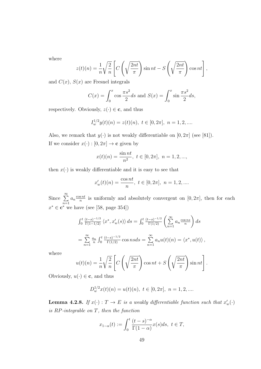where

$$
z(t)(n) = \frac{1}{n} \sqrt{\frac{2}{n}} \left[ C \left( \sqrt{\frac{2nt}{\pi}} \right) \sin nt - S \left( \sqrt{\frac{2nt}{\pi}} \right) \cos nt \right],
$$

and  $C(x)$ ,  $S(x)$  are Fresnel integrals

$$
C(x) = \int_0^x \cos{\frac{\pi s^2}{2}} ds
$$
 and  $S(x) = \int_0^x \sin{\frac{\pi s^2}{2}} ds$ ,

respectively. Obviously,  $z(\cdot) \in \mathbf{c}$ , and thus

$$
I_w^{1/2}y(t)(n) = z(t)(n), \ t \in [0, 2\pi], \ n = 1, 2, \dots
$$

Also, we remark that  $y(\cdot)$  is not weakly differentiable on  $[0, 2\pi]$  (see [81]). If we consider  $x(\cdot) : [0, 2\pi] \to \mathbf{c}$  given by

$$
x(t)(n) = \frac{\sin nt}{n^2}, \ t \in [0, 2\pi], \ n = 1, 2, \dots,
$$

then  $x(\cdot)$  is weakly differentiable and it is easy to see that

$$
x'_{w}(t)(n) = \frac{\cos nt}{n}, \ t \in [0, 2\pi], \ n = 1, 2, \dots
$$

Since <sup>∑</sup>*<sup>∞</sup> n*=1  $a_n \frac{\cos nt}{n}$  $\frac{\sin t}{n}$  is uniformly and absolutely convergent on  $[0, 2\pi]$ , then for each *x <sup>∗</sup> ∈* **c** *<sup>∗</sup>* we have (see [58, page 354])

$$
\int_0^t \frac{(t-s)^{-1/2}}{\Gamma(1-1/2)} \langle x^*, x_w'(s) \rangle ds = \int_0^t \frac{(t-s)^{-1/2}}{\Gamma(1/2)} \left( \sum_{n=1}^\infty a_n \frac{\cos ns}{n} \right) ds
$$
  
= 
$$
\sum_{n=1}^\infty \frac{a_n}{n} \int_0^t \frac{(t-s)^{-1/2}}{\Gamma(1/2)} \cos ns ds = \sum_{n=1}^\infty a_n u(t)(n) = \langle x^*, u(t) \rangle,
$$

where

$$
u(t)(n) = \frac{1}{n} \sqrt{\frac{2}{n}} \left[ C\left(\sqrt{\frac{2nt}{\pi}}\right) \cos nt + S\left(\sqrt{\frac{2nt}{\pi}}\right) \sin nt \right].
$$

Obviously,  $u(\cdot) \in \mathbf{c}$ , and thus

$$
D_w^{1/2}x(t)(n) = u(t)(n), \ t \in [0, 2\pi], \ n = 1, 2, \dots
$$

**Lemma 4.2.8.** *If*  $x(\cdot) : T \to E$  *is a weakly differentiable function such that*  $x'_w(\cdot)$ *is RP-integrable on T, then the function*

$$
x_{1-\alpha}(t) := \int_0^t \frac{(t-s)^{-\alpha}}{\Gamma(1-\alpha)} x(s)ds, \ t \in T,
$$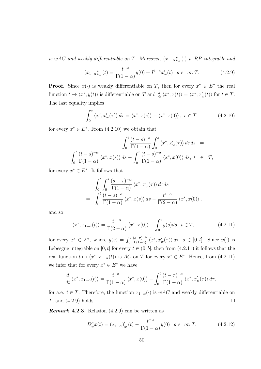*is wAC* and weakly differentiable on *T*. Moreover,  $(x_{1-\alpha})'_{w}(\cdot)$  *is RP*-integrable and

$$
(x_{1-\alpha})'_{w}(t) = \frac{t^{-\alpha}}{\Gamma(1-\alpha)}y(0) + I^{1-\alpha}x'_{w}(t) \quad a.e. \text{ on } T. \tag{4.2.9}
$$

**Proof.** Since  $x(\cdot)$  is weakly differentiable on *T*, then for every  $x^* \in E^*$  the real function  $t \mapsto \langle x^*, y(t) \rangle$  is differentiable on T and  $\frac{d}{dt} \langle x^*, x(t) \rangle = \langle x^*, x'_w(t) \rangle$  for  $t \in T$ . The last equality implies

$$
\int_0^s \langle x^*, x_w'(\tau) \rangle d\tau = \langle x^*, x(s) \rangle - \langle x^*, x(0) \rangle, \ s \in T,
$$
\n(4.2.10)

for every  $x^* \in E^*$ . From  $(4.2.10)$  we obtain that

$$
\int_0^t \frac{(t-s)^{-\alpha}}{\Gamma(1-\alpha)} \int_0^s \langle x^*, x'_w(\tau) \rangle d\tau ds =
$$
  

$$
\int_0^t \frac{(t-s)^{-\alpha}}{\Gamma(1-\alpha)} \langle x^*, x(s) \rangle ds - \int_0^t \frac{(t-s)^{-\alpha}}{\Gamma(1-\alpha)} \langle x^*, x(0) \rangle ds, t \in T,
$$

for every  $x^* \in E^*$ . It follows that

$$
\int_0^t \int_0^s \frac{(s-\tau)^{-\alpha}}{\Gamma(1-\alpha)} \langle x^*, x'_w(\tau) \rangle \, d\tau ds
$$
\n
$$
= \int_0^t \frac{(t-s)^{-\alpha}}{\Gamma(1-\alpha)} \langle x^*, x(s) \rangle \, ds - \frac{t^{1-\alpha}}{\Gamma(2-\alpha)} \langle x^*, x(0) \rangle,
$$

and so

$$
\langle x^*, x_{1-\alpha}(t) \rangle = \frac{t^{1-\alpha}}{\Gamma(2-\alpha)} \langle x^*, x(0) \rangle + \int_0^t y(s)ds, \ t \in T,
$$
\n(4.2.11)

for every  $x^* \in E^*$ , where  $y(s) = \int_0^s \frac{(s-\tau)^{-\alpha}}{\Gamma(1-\alpha)}$  $\frac{s-\tau}{\Gamma(1-\alpha)}\langle x^*, x_w'(\tau) \rangle d\tau$ ,  $s \in [0, t]$ . Since  $y(\cdot)$  is Lebesgue integrable on [0, *t*] for every  $t \in (0, b]$ , then from (4.2.11) it follows that the real function  $t \mapsto \langle x^*, x_{1-\alpha}(t) \rangle$  is  $AC$  on  $T$  for every  $x^* \in E^*$ . Hence, from (4.2.11) we infer that for every  $x^* \in E^*$  we have

$$
\frac{d}{dt}\left\langle x^*, x_{1-\alpha}(t)\right\rangle = \frac{t^{-\alpha}}{\Gamma(1-\alpha)}\left\langle x^*, x(0)\right\rangle + \int_0^t \frac{(t-\tau)^{-\alpha}}{\Gamma(1-\alpha)} \left\langle x^*, x_w'(\tau)\right\rangle d\tau,
$$

for a.e.  $t \in T$ . Therefore, the function  $x_{1-\alpha}(\cdot)$  is  $wAC$  and weakly differentiable on  $T$ , and  $(4.2.9)$  holds.

*Remark* **4.2.3***.* Relation (4.2.9) can be written as

$$
D_w^{\alpha} x(t) = (x_{1-\alpha})_w'(t) - \frac{t^{-\alpha}}{\Gamma(1-\alpha)} y(0) \quad a.e. \text{ on } T. \tag{4.2.12}
$$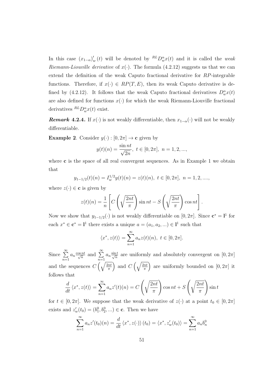In this case  $(x_{1-\alpha})'_{w}(t)$  will be denoted by  ${}^{RL}D_{w}^{\alpha}x(t)$  and it is called the *weak Riemann-Liouville derivative* of  $x(\cdot)$ . The formula (4.2.12) suggests us that we can extend the definition of the weak Caputo fractional derivative for *RP*-integrable functions. Therefore, if  $x(\cdot) \in RP(T, E)$ , then its weak Caputo derivative is defined by (4.2.12). It follows that the weak Caputo fractional derivatives  $D_w^{\alpha}x(t)$ are also defined for functions  $x(\cdot)$  for which the weak Riemann-Liouville fractional derivatives  ${}^{RL}D_{w}^{\alpha}x(t)$  exist.

*Remark* **4.2.4***.* If *x*(*·*) is not weakly differentiable, then  $x_{1-\alpha}$ (*·*) will not be weakly differentiable.

**Example 2**. Consider  $y(\cdot) : [0, 2\pi] \to \mathbf{c}$  given by

$$
y(t)(n) = \frac{\sin nt}{\sqrt{2n}}, \ t \in [0, 2\pi], \ n = 1, 2, ...,
$$

where **c** is the space of all real convergent sequences. As in Example 1 we obtain that

$$
y_{1-1/2}(t)(n) = I_w^{1/2}y(t)(n) = z(t)(n), t \in [0, 2\pi], n = 1, 2, \dots,
$$

where  $z(\cdot) \in \mathbf{c}$  is given by

$$
z(t)(n) = \frac{1}{n} \left[ C\left(\sqrt{\frac{2nt}{\pi}}\right) \sin nt - S\left(\sqrt{\frac{2nt}{\pi}}\right) \cos nt \right].
$$

Now we show that  $y_{1-1/2}(\cdot)$  is not weakly differentiable on  $[0, 2\pi]$ . Since  $\mathbf{c}^* = \mathbf{l}^1$  for each  $x^* \in \mathbf{c}^* = \mathbf{l}^1$  there exists a unique  $a = (a_1, a_2, \dots) \in \mathbf{l}^1$  such that

$$
\langle x^*, z(t) \rangle = \sum_{n=1}^{\infty} a_n z(t)(n), \ t \in [0, 2\pi].
$$

Since <sup>∑</sup>*<sup>∞</sup> n*=1  $a_n \frac{\cos nt}{\sqrt{n}}$  $\frac{nt}{\overline{n}}$  and  $\sum_{n=1}^{\infty}$ *n*=1  $a_n \frac{\sin t}{\sqrt{n}}$  $\frac{n}{n}$  are uniformly and absolutely convergent on  $[0, 2\pi]$ and the sequences  $C\left(\sqrt{\frac{2nt}{\pi}}\right)$ *π* ) and  $C\left(\sqrt{\frac{2nt}{\pi}}\right)$ *π* ) are uniformly bounded on  $[0, 2\pi]$  it follows that

$$
\frac{d}{dt}\langle x^*, z(t)\rangle = \sum_{n=1}^{\infty} a_n z'(t)(n) = C\left(\sqrt{\frac{2nt}{\pi}}\right) \cos nt + S\left(\sqrt{\frac{2nt}{\pi}}\right) \sin t
$$

for  $t \in [0, 2\pi]$ . We suppose that the weak derivative of  $z(\cdot)$  at a point  $t_0 \in [0, 2\pi]$ exists and  $z'_{w}(t_0) = (b_1^0, b_2^0, \ldots) \in \mathbf{c}$ . Then we have

$$
\sum_{n=1}^{\infty} a_n z'(t_0)(n) = \frac{d}{dt} \langle x^*, z(\cdot) \rangle (t_0) = \langle x^*, z_w'(t_0) \rangle = \sum_{n=1}^{\infty} a_n b_n^0
$$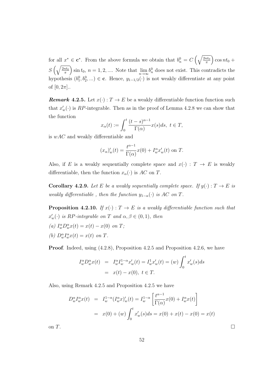for all  $x^* \in \mathbf{c}^*$ . From the above formula we obtain that  $b_n^0 = C\left(\sqrt{\frac{2nt_0}{\pi}}\right)$ *π*  $\big)$  cos  $nt_0 +$ *S*  $\left(\sqrt{\frac{2nt_0}{\pi}}\right)$ *π*  $\int \sin t_0, n = 1, 2, \dots$  Note that  $\lim_{n \to \infty} b_n^0$  does not exist. This contradicts the hypothesis  $(b_1^0, b_2^0, \ldots) \in \mathbf{c}$ . Hence,  $y_{1-1/2}(\cdot)$  is not weakly differentiate at any point of  $[0, 2\pi]$ ..

*Remark* **4.2.5***.* Let  $x(\cdot) : T \to E$  be a weakly differentiable function function such that  $x'_{w}(\cdot)$  is *RP*-integrable. Then as in the proof of Lemma 4.2.8 we can show that the function

$$
x_{\alpha}(t) := \int_0^t \frac{(t-s)^{\alpha-1}}{\Gamma(\alpha)} x(s)ds, \ t \in T,
$$

is *wAC* and weakly differentiable and

$$
(x_{\alpha})'_{w}(t) = \frac{t^{\alpha-1}}{\Gamma(\alpha)}x(0) + I_{w}^{\alpha}x'_{w}(t)
$$
 on T.

Also, if *E* is a weakly sequentially complete space and  $x(\cdot) : T \to E$  is weakly differentiable, then the function  $x_\alpha(\cdot)$  is  $AC$  on  $T$ .

**Corollary 4.2.9.** Let *E* be a weakly sequentially complete space. If  $y(\cdot) : T \to E$  is *weakly differentiable, then the function*  $y_{1-\alpha}(\cdot)$  *is AC on T*.

**Proposition 4.2.10.** *If*  $x(\cdot) : T \to E$  *is a weakly differentiable function such that*  $x'_{w}(\cdot)$  *is*  $RP$ *-integrable on*  $T$  *and*  $\alpha, \beta \in (0, 1)$ *, then* 

- $(a) \ I_{w}^{\alpha}D_{w}^{\alpha}x(t) = x(t) x(0) \text{ on } T;$
- *(b)*  $D_w^{\alpha} I_w^{\alpha} x(t) = x(t)$  *on T.*

**Proof.** Indeed, using  $(4.2.8)$ , Proposition 4.2.5 and Proposition 4.2.6, we have

$$
I_w^{\alpha} D_w^{\alpha} x(t) = I_w^{\alpha} I_w^{1-\alpha} x'_w(t) = I_w^1 x'_w(t) = (w) \int_0^t x'_w(s) ds
$$
  
=  $x(t) - x(0), t \in T$ .

Also, using Remark 4.2.5 and Proposition 4.2.5 we have

$$
D_w^{\alpha} I_w^{\alpha} x(t) = I_w^{1-\alpha} (I_w^{\alpha} x)'_w(t) = I_w^{1-\alpha} \left[ \frac{t^{\alpha-1}}{\Gamma(\alpha)} x(0) + I_w^{\alpha} x(t) \right]
$$
  
=  $x(0) + (w) \int_0^t x'_w(s) ds = x(0) + x(t) - x(0) = x(t)$ 

on  $T$ .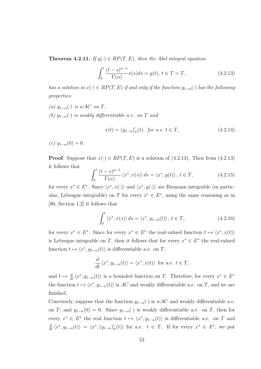**Theorem 4.2.11.** *If*  $y(\cdot) \in RP(T, E)$ *, then the Abel integral equation* 

$$
\int_0^t \frac{(t-s)^{\alpha-1}}{\Gamma(\alpha)} x(s)ds = y(t), \ t \in T = T,
$$
\n(4.2.13)

*has a solution in*  $x(\cdot) \in RP(T, E)$  *if and only if the function*  $y_{1-\alpha}(\cdot)$  *has the following properties:*

- $(a)$   $y_{1-\alpha}$  (*·*) *is*  $wAC$  *on*  $T$ *,*
- *(b)*  $y_{1−\alpha}$  *(·) is weakly differentiable a.e. on T and*

$$
x(t) = (y_{1-\alpha})'_w(t), \text{ for a.e. } t \in T,
$$
\n(4.2.14)

 $(c)$  *y*<sub>1−*α*</sub>(0) = 0*.* 

**Proof**. Suppose that  $x(\cdot) \in RP(T, E)$  is a solution of (4.2.13). Then from (4.2.13) it follows that

$$
\int_0^t \frac{(t-s)^{\alpha-1}}{\Gamma(\alpha)} \left\langle x^*, x(s) \right\rangle ds = \left\langle x^*, y(t) \right\rangle, \ t \in T,
$$
\n(4.2.15)

for every  $x^* \in E^*$ . Since  $\langle x^*, x(\cdot) \rangle$  and  $\langle x^*, y(\cdot) \rangle$  are Riemann integrable (in particular, Lebesgue integrable) on *T* for every  $x^* \in E^*$ , using the same reasoning as in [80, Section 1.2] it follows that

$$
\int_0^t \langle x^*, x(s) \rangle ds = \langle x^*, y_{1-\alpha}(t) \rangle, \ t \in T,
$$
\n(4.2.16)

for every  $x^* \in E^*$ . Since for every  $x^* \in E^*$  the real-valued function  $t \mapsto \langle x^*, x(t) \rangle$ is Lebesgue integrable on *T*, then it follows that for every  $x^* \in E^*$  the real-valued function  $t \mapsto \langle x^*, y_{1-\alpha}(t) \rangle$  is differentiable a.e. on *T*,

$$
\frac{d}{dt}\langle x^*, y_{1-\alpha}(t)\rangle = \langle x^*, x(t)\rangle
$$
 for a.e.  $t \in T$ ,

and  $t \mapsto \frac{d}{dt} \langle x^*, y_{1-\alpha}(t) \rangle$  is a bounded function on *T*. Therefore, for every  $x^* \in E^*$ the function  $t \mapsto \langle x^*, y_{1-\alpha}(t) \rangle$  is *AC* and weakly differentiable a.e. on *T*, and we are finished.

Conversely, suppose that the function  $y_{1-\alpha}(\cdot)$  is  $wAC$  and weakly differentiable a.e. on *T*, and  $y_{1-\alpha}(0) = 0$ . Since  $y_{1-\alpha}(\cdot)$  is weakly differentiable a.e. on *T*, then for every  $x^* \in E^*$  the real function  $t \mapsto \langle x^*, y_{1-\alpha}(t) \rangle$  is differentiable a.e. on *T* and  $\frac{d}{dt}\langle x^*,y_{1-\alpha}(t)\rangle = \langle x^*,(y_{1-\alpha})'_w(t)\rangle$  for a.e.  $t \in T$ . If for every  $x^* \in E^*$ , we put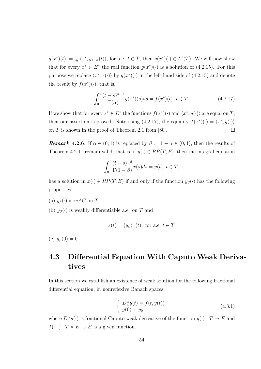$g(x^*)(t) := \frac{d}{dt} \langle x^*, y_{1-\alpha}(t) \rangle$ , for a.e.  $t \in T$ , then  $g(x^*)(\cdot) \in L^1(T)$ . We will now show that for every  $x^* \in E^*$  the real function  $g(x^*)(\cdot)$  is a solution of (4.2.15). For this purpose we replace  $\langle x^*, x(\cdot) \rangle$  by  $g(x^*)(\cdot)$  in the left-hand side of (4.2.15) and denote the result by  $f(x^*)(\cdot)$ , that is,

$$
\int_0^t \frac{(t-s)^{\alpha-1}}{\Gamma(\alpha)} g(x^*)(s) ds = f(x^*)(t), \ t \in T.
$$
 (4.2.17)

If we show that for every  $x^* \in E^*$  the functions  $f(x^*)(\cdot)$  and  $\langle x^*, y(\cdot) \rangle$  are equal on *T*, then our assertion is proved. Note using (4.2.17), the equality  $f(x^*)(\cdot) = \langle x^*, y(\cdot) \rangle$ on *T* is shown in the proof of Theorem 2.1 from [80].

*Remark* **4.2.6***.* If  $\alpha \in (0,1)$  is replaced by  $\beta := 1 - \alpha \in (0,1)$ , then the results of Theorem 4.2.11 remain valid, that is, if  $y(\cdot) \in RP(T, E)$ , then the integral equation

$$
\int_0^t \frac{(t-s)^{-\beta}}{\Gamma(1-\beta)} x(s)ds = y(t), \ t \in T,
$$

has a solution in  $x(\cdot) \in RP(T, E)$  if and only if the function  $y_\beta(\cdot)$  has the following properties:

(a)  $y_\beta(\cdot)$  is  $wAC$  on *T*,

(b)  $y_\beta(\cdot)$  is weakly differentiable a.e. on *T* and

$$
x(t) = (y_{\beta})'_w(t), \text{ for a.e. } t \in T,
$$

(c)  $y_{\beta}(0) = 0$ .

### **4.3 Differential Equation With Caputo Weak Derivatives**

In this section we establish an existence of weak solution for the following fractional differential equation, in nonreflexive Banach spaces.

$$
\begin{cases}\nD_w^{\alpha}y(t) = f(t, y(t)) \\
y(0) = y_0\n\end{cases}
$$
\n(4.3.1)

where  $D_w^{\alpha}y(\cdot)$  is fractional Caputo weak derivative of the function  $y(\cdot) : T \to E$  and  $f(\cdot, \cdot) : T \times E \to E$  is a given function.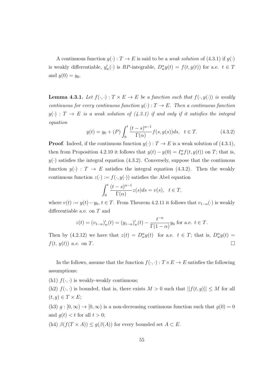A continuous function  $y(\cdot) : T \to E$  is said to be a *weak solution* of (4.3.1) if  $y(\cdot)$ is weakly differentiable,  $y'_w(\cdot)$  is *RP*-integrable,  $D_w^{\alpha}y(t) = f(t, y(t))$  for a.e.  $t \in T$ and  $y(0) = y_0$ .

**Lemma 4.3.1.** Let  $f(\cdot, \cdot) : T \times E \to E$  be a function such that  $f(\cdot, y(\cdot))$  is weakly *continuous for every continuous function*  $y(\cdot) : T \to E$ *. Then a continuous function*  $y(\cdot)$ : *T*  $\rightarrow$  *E is a weak solution of (4.3.1) if and only if it satisfies the integral equation*

$$
y(t) = y_0 + (P) \int_0^t \frac{(t-s)^{\alpha-1}}{\Gamma(\alpha)} f(s, y(s)) ds, \quad t \in T.
$$
 (4.3.2)

**Proof**. Indeed, if the continuous function  $y(\cdot)$ :  $T \to E$  is a weak solution of (4.3.1), then from Proposition 4.2.10 it follows that  $y(t) - y(0) = I_w^{\alpha} f(t, y(t))$  on *T*; that is,  $y(\cdot)$  satisfies the integral equation (4.3.2). Conversely, suppose that the continuous function  $y(\cdot)$ :  $T \to E$  satisfies the integral equation (4.3.2). Then the weakly continuous function  $z(\cdot) := f(\cdot, y(\cdot))$  satisfies the Abel equation

$$
\int_0^t \frac{(t-s)^{\alpha-1}}{\Gamma(\alpha)} z(s) ds = v(s), \quad t \in T,
$$

where  $v(t) := y(t) - y_0, t \in T$ . From Theorem 4.2.11 it follows that  $v_{1-\alpha}(\cdot)$  is weakly differentiable a.e. on *T* and

$$
z(t) = (v_{1-\alpha})'_w(t) = (y_{1-\alpha})'_w(t) - \frac{t^{-\alpha}}{\Gamma(1-\alpha)}y_0
$$
 for a.e.  $t \in T$ .

Then by  $(4.2.12)$  we have that  $z(t) = D_w^{\alpha}y(t)$  for a.e.  $t \in T$ ; that is,  $D_w^{\alpha}y(t) =$  $f(t, y(t))$  *a.e.* on *T*.

In the follows, assume that the function  $f(\cdot, \cdot) : T \times E \to E$  satisfies the following assumptions:

(h1)  $f(\cdot, \cdot)$  is weakly-weakly continuous;

(h2)  $f(\cdot, \cdot)$  is bounded, that is, there exists  $M > 0$  such that  $||f(t, y)|| \leq M$  for all  $(t, y) \in T \times E$ ;

(h3)  $g : [0, \infty) \to [0, \infty)$  is a non-decreasing continuous function such that  $g(0) = 0$ and  $q(t) < t$  for all  $t > 0$ ;

(h4)  $\beta(f(T \times A)) \leq g(\beta(A))$  for every bounded set  $A \subset E$ .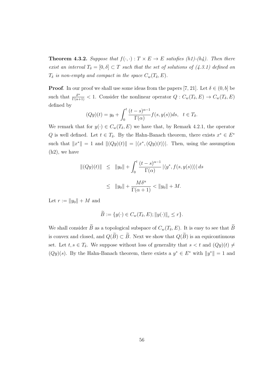**Theorem 4.3.2.** *Suppose that*  $f(\cdot, \cdot) : T \times E \to E$  *satisfies (h1)-(h4). Then there exist an interval*  $T_{\delta} = [0, \delta] \subset T$  *such that the set of solutions of (4.3.1) defined on*  $T_{\delta}$  *is non-empty and compact in the space*  $C_w(T_{\delta}, E)$ *.* 

**Proof**. In our proof we shall use some ideas from the papers [7, 21]. Let  $\delta \in (0, b]$  be such that  $\frac{\delta^{\alpha}}{\Gamma(\alpha+1)} < 1$ . Consider the nonlinear operator  $Q: C_w(T_\delta, E) \to C_w(T_\delta, E)$ defined by

$$
(Qy)(t) = y_0 + \int_0^t \frac{(t-s)^{\alpha-1}}{\Gamma(\alpha)} f(s, y(s)) ds, \quad t \in T_\delta.
$$

We remark that for  $y(\cdot) \in C_w(T_\delta, E)$  we have that, by Remark 4.2.1, the operator *Q* is well defined. Let  $t \in T_{\delta}$ . By the Hahn-Banach theorem, there exists  $x^* \in E^*$ such that  $||x^*|| = 1$  and  $||(Qy)(t)|| = |\langle x^*, (Qy)(t) \rangle|$ . Then, using the assumption (h2), we have

$$
\|(Qy)(t)\| \le \|y_0\| + \int_0^t \frac{(t-s)^{\alpha-1}}{\Gamma(\alpha)} |\langle y^*, f(s, y(s)) \rangle| ds
$$
  

$$
\le \|y_0\| + \frac{M\delta^{\alpha}}{\Gamma(\alpha+1)} < \|y_0\| + M.
$$

Let  $r := ||y_0|| + M$  and

$$
B := \{y(\cdot) \in C_w(T_\delta, E); ||y(\cdot)||_c \le r\}.
$$

We shall consider  $\widetilde{B}$  as a topological subspace of  $C_w(T_\delta, E)$ . It is easy to see that  $\widetilde{B}$ is convex and closed, and  $Q(\widetilde{B}) \subset \widetilde{B}$ . Next we show that  $Q(\widetilde{B})$  is an equicontinuous set. Let  $t, s \in T_\delta$ . We suppose without loss of generality that  $s < t$  and  $(Qy)(t) \neq$  $(Qy)(s)$ . By the Hahn-Banach theorem, there exists a  $y^* \in E^*$  with  $||y^*|| = 1$  and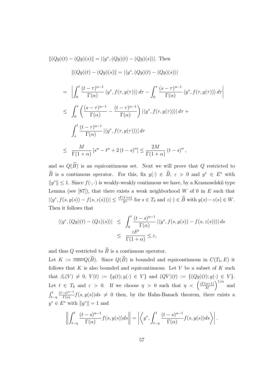$$
\begin{aligned}\n\|(Qy)(t) - (Qy)(s)\| &= |\langle y^*, (Qy)(t) - (Qy)(s) \rangle|. \text{ Then} \\
&\| (Qy)(t) - (Qy)(s)\| = |\langle y^*, (Qy)(t) - (Qy)(s) \rangle| \\
&= \left| \int_0^t \frac{(t-\tau)^{\alpha-1}}{\Gamma(\alpha)} \langle y^*, f(\tau, y(\tau)) \rangle \, d\tau - \int_0^s \frac{(s-\tau)^{\alpha-1}}{\Gamma(\alpha)} \langle y^*, f(\tau, y(\tau)) \rangle \, d\tau \right| \\
&\leq \int_0^s \left( \frac{(s-\tau)^{\alpha-1}}{\Gamma(\alpha)} - \frac{(t-\tau)^{\alpha-1}}{\Gamma(\alpha)} \right) |\langle y^*, f(\tau, y(\tau)) \rangle| \, d\tau + \\
&\int_s^t \frac{(t-\tau)^{\alpha-1}}{\Gamma(\alpha)} |\langle y^*, f(\tau, y(\tau)) \rangle| \, d\tau \\
&\leq \frac{M}{\Gamma(1+\alpha)} [s^\alpha - t^\alpha + 2(t-s)^\alpha] \leq \frac{2M}{\Gamma(1+\alpha)} (t-s)^\alpha,\n\end{aligned}
$$

and so  $Q(\widetilde{B})$  is an equicontinuous set. Next we will prove that  $Q$  restricted to *B* is a continuous operator. For this, fix  $y(\cdot) \in B$ ,  $\varepsilon > 0$  and  $y^* \in E^*$  with *∥y <sup>∗</sup>∥ ≤* 1. Since *f*(*·, ·*) is weakly-weakly continuous we have, by a Krasnoselskii type Lemma (see  $[87]$ ), that there exists a weak neighborhood *W* of 0 in *E* such that  $|\langle y^*, f(s, y(s)) - f(s, z(s)) \rangle| \leq \frac{\varepsilon \Gamma(1+\alpha)}{\delta^{\alpha}}$  for  $s \in T_{\delta}$  and  $z(\cdot) \in \widetilde{B}$  with  $y(s) - z(s) \in W$ . Then it follows that

$$
\begin{array}{rcl} \left| \langle y^*, (Qy)(t) - (Qz)(s) \rangle \right| & \leq & \int_0^t \frac{(t-s)^{\alpha - 1}}{\Gamma(\alpha)} \left| \langle y^*, f(s, y(s)) - f(s, z(s)) \rangle \right| ds \\ & \leq & \frac{\varepsilon \delta^{\alpha}}{\Gamma(1 + \alpha)} \leq \varepsilon, \end{array}
$$

and thus  $Q$  restricted to  $\widetilde{B}$  is a continuous operator.

Let  $K := \overline{conv}Q(\widetilde{B})$ . Since  $Q(\widetilde{B})$  is bounded and equicontinuous in  $C(T_{\delta}, E)$  it follows that *K* is also bounded and equicontinuous. Let *V* be a subset of *K* such that  $\beta_c(V) \neq 0$ ,  $V(t) := \{y(t); y(\cdot) \in V\}$  and  $(QV)(t) := \{(Qy)(t); y(\cdot) \in V\}.$ Let  $t \in T_\delta$  and  $\varepsilon > 0$ . If we choose  $\eta > 0$  such that  $\eta < \left(\frac{\varepsilon \Gamma(\alpha+1)}{M}\right)$ *M*  $\int_0^{1/\alpha}$  and  $\int_{0}^{t}$ *t−η*  $\frac{(t-s)^{\alpha-1}}{\Gamma(\alpha)}f(s,y(s))ds \neq 0$  then, by the Hahn-Banach theorem, there exists a *α−*1  $y^* \in E^*$  with  $||y^*|| = 1$  and

$$
\left\| \int_{t-\eta}^t \frac{(t-s)^{\alpha-1}}{\Gamma(\alpha)} f(s, y(s)) ds \right\| = \left| \left\langle y^*, \int_{t-\eta}^t \frac{(t-s)^{\alpha-1}}{\Gamma(\alpha)} f(s, y(s)) ds \right\rangle \right|.
$$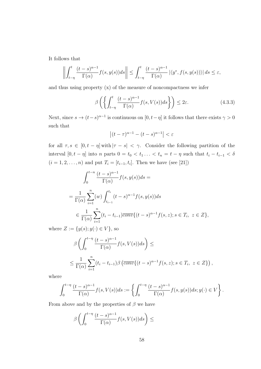It follows that

$$
\left\| \int_{t-\eta}^t \frac{(t-s)^{\alpha-1}}{\Gamma(\alpha)} f(s,y(s))ds \right\| \leq \int_{t-\eta}^t \frac{(t-s)^{\alpha-1}}{\Gamma(\alpha)} \left| \langle y^*, f(s,y(s)) \rangle \right| ds \leq \varepsilon,
$$

and thus using property (x) of the measure of noncompactness we infer

$$
\beta\left(\left\{\int_{t-\eta}^{t}\frac{(t-s)^{\alpha-1}}{\Gamma(\alpha)}f(s,V(s))ds\right\}\right) \leq 2\varepsilon.
$$
\n(4.3.3)

Next, since  $s \to (t-s)^{\alpha-1}$  is continuous on  $[0, t-\eta]$  it follows that there exists  $\gamma > 0$ such that

$$
\left|(t-\tau)^{\alpha-1}-(t-s)^{\alpha-1}\right|<\varepsilon
$$

for all  $\tau, s \in [0, t - \eta]$  with  $|\tau - s| < \gamma$ . Consider the following partition of the interval  $[0, t - \eta]$  into *n* parts  $0 = t_0 < t_1 ... < t_n = t - \eta$  such that  $t_i - t_{i-1} < \delta$  $(i = 1, 2, \ldots, n)$  and put  $T_i = [t_{i-1}, t_i]$ . Then we have (see [21])

$$
\int_{0}^{t-n} \frac{(t-s)^{\alpha-1}}{\Gamma(\alpha)} f(s, y(s)) ds =
$$
\n
$$
= \frac{1}{\Gamma(\alpha)} \sum_{i=1}^{n} (w) \int_{t_{i-1}}^{t_i} (t-s)^{\alpha-1} f(s, y(s)) ds
$$
\n
$$
\in \frac{1}{\Gamma(\alpha)} \sum_{i=1}^{n} (t_i - t_{i-1}) \overline{conv} \{ (t-s)^{\alpha-1} f(s, z) ; s \in T_i, z \in Z \},
$$

where  $Z := \{y(s); y(\cdot) \in V\}$ , so

$$
\beta \left( \int_0^{t-\eta} \frac{(t-s)^{\alpha-1}}{\Gamma(\alpha)} f(s, V(s)) ds \right) \le
$$
  

$$
\leq \frac{1}{\Gamma(\alpha)} \sum_{i=1}^n (t_i - t_{i-1}) \beta \left( \overline{conv} \{ (t-s)^{\alpha-1} f(s, z) ; s \in T_i, z \in Z \} \right),
$$

where

$$
\int_0^{t-\eta} \frac{(t-s)^{\alpha-1}}{\Gamma(\alpha)} f(s, V(s)) ds := \left\{ \int_0^{t-\eta} \frac{(t-s)^{\alpha-1}}{\Gamma(\alpha)} f(s, y(s)) ds; y(\cdot) \in V \right\}.
$$

From above and by the properties of  $\beta$  we have

$$
\beta\left(\int_0^{t-\eta}\frac{(t-s)^{\alpha-1}}{\Gamma(\alpha)}f(s,V(s))ds\right)\leq
$$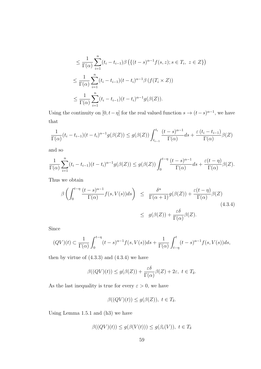$$
\leq \frac{1}{\Gamma(\alpha)} \sum_{i=1}^{n} (t_i - t_{i-1}) \beta \left( \{ (t-s)^{\alpha-1} f(s, z) ; s \in T_i, z \in Z \} \right)
$$
  

$$
\leq \frac{1}{\Gamma(\alpha)} \sum_{i=1}^{n} (t_i - t_{i-1}) (t - t_i)^{\alpha-1} \beta \left( f(T_i \times Z) \right)
$$
  

$$
\leq \frac{1}{\Gamma(\alpha)} \sum_{i=1}^{n} (t_i - t_{i-1}) (t - t_i)^{\alpha-1} g(\beta(Z)).
$$

Using the continuity on  $[0, t - \eta]$  for the real valued function  $s \to (t - s)^{\alpha - 1}$ , we have that

$$
\frac{1}{\Gamma(\alpha)}(t_i - t_{i-1})(t - t_i)^{\alpha - 1} g(\beta(Z)) \le g(\beta(Z)) \int_{t_{i-1}}^{t_i} \frac{(t - s)^{\alpha - 1}}{\Gamma(\alpha)} ds + \frac{\varepsilon(t_i - t_{i-1})}{\Gamma(\alpha)} \beta(Z)
$$

and so

$$
\frac{1}{\Gamma(\alpha)}\sum_{i=1}^n(t_i-t_{i-1})(t-t_i)^{\alpha-1}g(\beta(Z))\leq g(\beta(Z))\int_0^{t-\eta}\frac{(t-s)^{\alpha-1}}{\Gamma(\alpha)}ds+\frac{\varepsilon(t-\eta)}{\Gamma(\alpha)}\beta(Z).
$$

Thus we obtain

$$
\beta \left( \int_0^{t-\eta} \frac{(t-s)^{\alpha-1}}{\Gamma(\alpha)} f(s, V(s)) ds \right) \leq \frac{\delta^{\alpha}}{\Gamma(\alpha+1)} g(\beta(Z)) + \frac{\varepsilon(t-\eta)}{\Gamma(\alpha)} \beta(Z)
$$
\n
$$
\leq g(\beta(Z)) + \frac{\varepsilon \delta}{\Gamma(\alpha)} \beta(Z). \tag{4.3.4}
$$

Since

$$
(QV)(t) \subset \frac{1}{\Gamma(\alpha)} \int_0^{t-\eta} (t-s)^{\alpha-1} f(s, V(s)) ds + \frac{1}{\Gamma(\alpha)} \int_{t-\eta}^t (t-s)^{\alpha-1} f(s, V(s)) ds,
$$

then by virtue of  $(4.3.3)$  and  $(4.3.4)$  we have

$$
\beta((QV)(t)) \le g(\beta(Z)) + \frac{\varepsilon \delta}{\Gamma(\alpha)} \beta(Z) + 2\varepsilon, \ t \in T_{\delta}.
$$

As the last inequality is true for every  $\varepsilon > 0$ , we have

$$
\beta((QV)(t)) \le g(\beta(Z)), \ t \in T_{\delta}.
$$

Using Lemma 1.5.1 and (h3) we have

$$
\beta((QV)(t)) \le g(\beta(V(t))) \le g(\beta_c(V)), \ t \in T_\delta
$$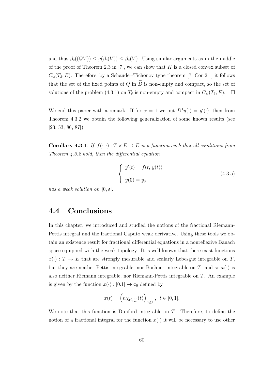and thus  $\beta_c((QV)) \leq g(\beta_c(V)) \leq \beta_c(V)$ . Using similar arguments as in the middle of the proof of Theorem 2.3 in [7], we can show that *K* is a closed convex subset of  $C_w(T_\delta, E)$ . Therefore, by a Schauder-Tichonov type theorem [7, Cor 2.1] it follows that the set of the fixed points of  $Q$  in  $\widetilde{B}$  is non-empty and compact, so the set of solutions of the problem (4.3.1) on  $T_\delta$  is non-empty and compact in  $C_w(T_\delta, E)$ .  $\Box$ 

We end this paper with a remark. If for  $\alpha = 1$  we put  $D^1 y(\cdot) = y'(\cdot)$ , then from Theorem 4.3.2 we obtain the following generalization of some known results (see [23, 53, 86, 87]).

**Corollary 4.3.1**. *If*  $f(\cdot, \cdot) : T \times E \to E$  *is a function such that all conditions from Theorem 4.3.2 hold, then the differential equation*

$$
\begin{cases}\ny'(t) = f(t, y(t)) \\
y(0) = y_0\n\end{cases}
$$
\n(4.3.5)

*has a weak solution on*  $[0, \delta]$ *.* 

#### **4.4 Conclusions**

In this chapter, we introduced and studied the notions of the fractional Riemann-Pettis integral and the fractional Caputo weak derivative. Using these tools we obtain an existence result for fractional differential equations in a nonreflexive Banach space equipped with the weak topology*.* It is well known that there exist functions  $x(\cdot)$ : *T*  $\rightarrow$  *E* that are strongly mesurable and scalarly Lebesgue integrable on *T*, but they are neither Pettis integrable, nor Bochner integrable on  $T$ , and so  $x(\cdot)$  is also neither Riemann integrable, nor Riemann-Pettis integrable on *T*. An example is given by the function  $x(\cdot) : [0.1] \to \mathbf{c}_0$  defined by

$$
x(t) = \left( n \chi_{(0, \frac{1}{n}]}(t) \right)_{n \ge 1}, \ \ t \in [0, 1].
$$

We note that this function is Dunford integrable on *T*. Therefore, to define the notion of a fractional integral for the function  $x(\cdot)$  it will be necessary to use other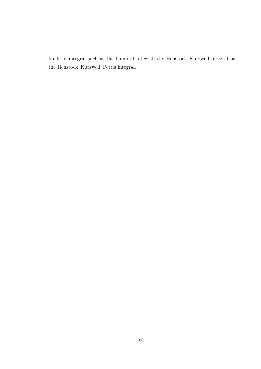kinds of integral such as the Dunford integral, the Henstock–Kurzweil integral or the Henstock–Kurzweil–Pettis integral.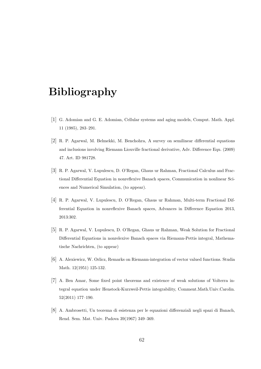## **Bibliography**

- [1] G. Adomian and G. E. Adomian, Cellular systems and aging models, Comput. Math. Appl. 11 (1985), 283–291.
- [2] R. P. Agarwal, M. Belmekki, M. Benchohra, A survey on semilinear differential equations and inclusions involving Riemann Liouville fractional derivative, Adv. Difference Equ. (2009) 47. Art. ID 981728.
- [3] R. P. Agarwal, V. Lupulescu, D. O'Regan, Ghaus ur Rahman, Fractional Calculus and Fractional Differential Equation in nonreflexive Banach spaces, Communication in nonlinear Sciences and Numerical Simulation, (to appear).
- [4] R. P. Agarwal, V. Lupulescu, D. O'Regan, Ghaus ur Rahman, Multi-term Fractional Differential Equation in nonreflexive Banach spaces, Advances in Difference Equation 2013, 2013:302.
- [5] R. P. Agarwal, V. Lupulescu, D. O'Regan, Ghaus ur Rahman, Weak Solution for Fractional Differential Equations in nonrelexive Banach spaces via Riemann-Pettis integral, Mathematische Nachrichten, (to appear)
- [6] A. Alexiewicz, W. Orlicz, Remarks on Riemann-integration of vector valued functions. Studia Math. 12(1951) 125-132.
- [7] A. Ben Amar, Some fixed point theorems and existence of weak solutions of Volterra integral equation under Henstock-Kurzweil-Pettis integrability, Comment.Math.Univ.Carolin. 52(2011) 177–190.
- [8] A. Ambrosetti, Un teorema di esistenza per le equazioni differenziali negli spazi di Banach, Rend. Sem. Mat. Univ. Padova 39(1967) 349–369.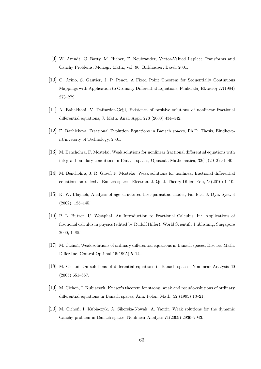- [9] W. Arendt, C. Batty, M. Hieber, F. Neubrander, Vector-Valued Laplace Transforms and Cauchy Problems, Monogr. Math., vol. 96, Birkhäuser, Basel, 2001.
- [10] O. Arino, S. Gautier, J. P. Penot, A Fixed Point Theorem for Sequentially Continuous Mappings with Application to Ordinary Differential Equations, Funkcialaj Ekvacioj 27(1984) 273–279.
- [11] A. Babakhani, V. Daftardar-Gejji, Existence of positive solutions of nonlinear fractional differential equations, J. Math. Anal. Appl. 278 (2003) 434–442.
- [12] E. Bazhlekova, Fractional Evolution Equations in Banach spaces, Ph.D. Thesis, EindhovenUniversity of Technology, 2001.
- [13] M. Benchohra, F. Mostefai, Weak solutions for nonlinear fractional differential equations with integral boundary conditions in Banach spaces, Opuscula Mathematica, 32(1)(2012) 31–40.
- [14] M. Benchohra, J. R. Graef, F. Mostefai, Weak solutions for nonlinear fractional differential equations on reflexive Banach spaces, Electron. J. Qual. Theory Differ. Equ, 54(2010) 1–10.
- [15] K. W. Blayneh, Analysis of age structured host-parasitoid model, Far East J. Dyn. Syst. 4 (2002), 125–145.
- [16] P. L. Butzer, U. Westphal, An Introduction to Fractional Calculus. In: Applications of fractional calculus in physics (edited by Rudolf Hilfer), World Scientific Publishing, Singapore 2000, 1–85.
- [17] M. Cichoń, Weak solutions of ordinary differential equations in Banach spaces, Discuss. Math. Differ.Inc. Control Optimal 15(1995) 5–14.
- [18] M. Cicho´n, On solutions of differential equations in Banach spaces, Nonlinear Analysis 60 (2005) 651–667.
- [19] M. Cichon, I. Kubiaczyk, Kneser's theorem for strong, weak and pseudo-solutions of ordinary differential equations in Banach spaces, Ann. Polon. Math. 52 (1995) 13–21.
- [20] M. Cichoń, I. Kubiaczyk, A. Sikorska-Nowak, A. Yantir, Weak solutions for the dynamic Cauchy problem in Banach spaces, Nonlinear Analysis 71(2009) 2936–2943.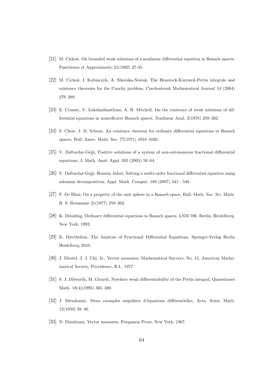- [21] M. Cicho´n, On bounded weak solutions of a nonlinear differential equation in Banach spaces, Functiones et Approximatio 21(1992) 27-35.
- [22] M. Cichon, I. Kubiaczyk, A. Sikorska-Nowak, The Henstock-Kurzweil-Pettis integrals and existence theorems for the Cauchy problem, Czechoslovak Mathematical Journal 54 (2004) 279–289.
- [23] E. Cramer, V. Lakshmikantham, A. R. Mitchell, On the existence of weak solutions of differential equations in nonreflexive Banach spaces, Nonlinear Anal. 2(1978) 259–262.
- [24] S. Chow, J. D. Schuur, An existence theorem for ordinary differential equations in Banach spaces, Bull. Amer. Math. Soc. 77(1971) 1018–1020.
- [25] V. Daftardar-Gejji, Positive solutions of a system of non-autonomous fractional differential equations, J. Math. Anal. Appl. 302 (2005) 56–64.
- [26] V. Daftardar-Gejji, Hossein Jafari, Solving a multi-order fractional differential equation using adomian decomposition, Appl. Math. Comput. 189 (2007) 541—548.
- [27] F. De Blasi, On a property of the unit sphere in a Banach space, Bull. Math. Soc. Sci. Math. R. S. Roumanie 21(1977) 259–262.
- [28] K. Deimling, Ordinary differential equations in Banach spaces, LNM 596. Berlin, Heidelberg, New York, 1992.
- [29] K. Diecthelem, The Analysis of Fractional Differential Equations, Springer-Verlag Berlin Heidelberg 2010.
- [30] J. Diestel, J. J. Uhl, Jr., Vector measures, Mathematical Surveys, No. 15, American Mathematical Society, Providence, R.I., 1977.
- [31] S. J. Dilworth, M. Girardi, Nowhere weak differentiability of the Pettis integral, Quaestiones Math. 18(4)(1995) 365–380.
- [32] J. Dieudonné, Deux exemples singuliers d'équations différentielles, Acta. Scien. Math. 12(1950) 38–40.
- [33] N. Dinuleanu, Vector measures, Pergamon Press, New York, 1967.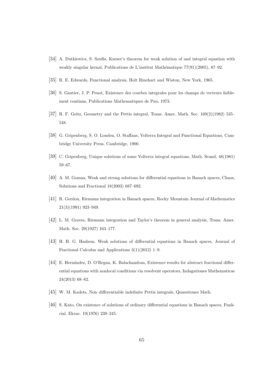- [34] A. Dutkiewicz, S. Szufla, Kneser's theorem for weak solution of and integral equation with weakly singular kernal, Publications de L'institut Mathématique  $77(91)(2005)$ , 87–92.
- [35] R. E. Edwards, Functional analysis, Holt Rinehart and Wiston, New York, 1965.
- [36] S. Gautier, J. P. Penot, Existence des courbes integrales pour les champs de vecteurs faiblement continus, Publications Mathematiques de Pau, 1973.
- [37] R. F. Geitz, Geometry and the Pettis integral, Trans. Amer. Math. Soc. 169(2)(1982) 535– 548.
- [38] G. Gripenberg, S. O. Londen, O. Staffans, Volterra Integral and Functional Equations, Cambridge University Press, Cambridge, 1900.
- [39] C. Gripenberg, Unique solutions of some Volterra integral equations, Math. Scand. 48(1981) 59–67.
- [40] A. M. Gomaa, Weak and strong solutions for differential equations in Banach spaces, Chaos, Solutions and Fractional 18(2003) 687–692.
- [41] R. Gordon, Riemann integration in Banach spaces, Rocky Mountain Journal of Mathematics 21(3)(1991) 923–949.
- [42] L. M. Graves, Riemann integration and Taylor's theorem in general analysis, Trans. Amer. Math. Soc. 29(1927) 163–177.
- [43] H. H. G. Hashem, Weak solutions of differential equations in Banach spaces, Journal of Fractional Calculus and Applications 3(1)(2012) 1–9.
- [44] E. Hernández, D. O'Regan, K. Balachandran, Existence results for abstract fractional differential equations with nonlocal conditions via resolvent operators, Indagationes Mathematicae 24(2013) 68–82.
- [45] W. M. Kadets, Non–differentiable indefinite Pettis integrals, Quaestiones Math.
- [46] S. Kato, On existence of solutions of ordinary differential equations in Banach spaces, Funkcial. Ekvac. 19(1976) 239–245.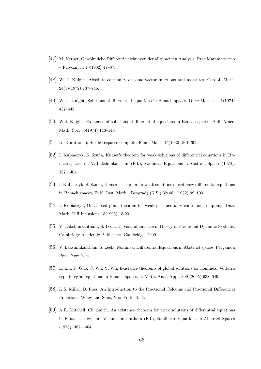- [47] M. Kerner, Gew¨ohnliche Differentialeichungen der allgemeinen Analysis, Prac Matematyczno – Fizycznych 40(1932) 47–87.
- [48] W. J. Knight, Absolute continuity of some vector functions and measures, Can. J. Math. 24(5)(1972) 737–746.
- [49] W. J. Knight, Solutions of differential equations in Banach spaces, Duke Math. J. 41(1974) 437–442.
- [50] W.J. Knight, Existence of solutions of differential equations in Banach spaces, Bull. Amer. Math. Soc. 86(1974) 148–149.
- [51] K. Kuratowski, Sur les espaces complets, Fund. Math. 15(1930) 301–309.
- [52] I. Kubiaczyk, S. Szufla, Kneser's theorem for weak solutions of differential equations in Banach spaces, in: V. Lakshmikantham (Ed.), Nonlinear Equations in Abstract Spaces (1978), 387—404.
- [53] I. Kubiaczyk, S. Szufla, Kenser's theorem for weak solutions of ordinary differential equations in Banach spaces, Publ. Inst. Math. (Beograd) (N.S.) 32(46) (1982) 99–103.
- [54] I. Kubiaczyk, On a fixed point theorem for weakly sequentially continuous mapping, Disc. Math. Diff Inclusions 15(1995) 15-20.
- [55] V. Lakshmikantham, S. Leela, J. Vasundhara Devi, Theory of Fractional Dynamic Systems, Cambridge Academic Publishers, Cambridge, 2009.
- [56] V. Lakshmikantham, S. Leela, Nonlinear Differential Equations in Abstruct spaces, Pergamon Press New York,
- [57] L. Liu, F. Guo, C. Wu, Y. Wu, Existence theorems of global solutions for nonlinear Volterra type integral equations in Banach spaces, J. Math. Anal. Appl. 309 (2005) 638–649.
- [58] K.S. Miller, B. Ross, An Introduction to the Fractional Calculus and Fractional Differential Equations, Wiley and Sons, New York, 1993.
- [59] A.R. Mitchell, Ch. Smith, An existence theorem for weak solutions of differential equations in Banach spaces, in: V. Lakshmikantham (Ed.), Nonlinear Equations in Abstract Spaces (1978), 387—404.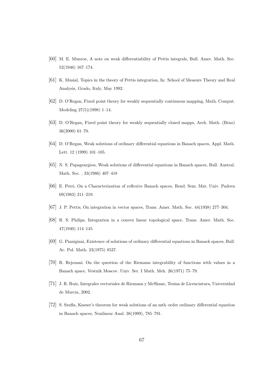- [60] M. E. Munroe, A note on weak differentiability of Pettis integrals, Bull. Amer. Math. Soc. 52(1946) 167–174.
- [61] K. Musial, Topics in the theory of Pettis integration, In: School of Measure Theory and Real Analysis, Grado, Italy, May 1992.
- [62] D. O'Regan, Fixed point theory for weakly sequentially continuous mapping, Math. Comput. Modeling 27(5)(1998) 1–14.
- [63] D. O'Regan, Fixed point theory for weakly sequentially closed mapps, Arch. Math. (Brno) 36(2000) 61–70.
- [64] D. O'Regan, Weak solutions of ordinary differential equations in Banach spaces, Appl. Math. Lett. 12 (1999) 101–105.
- [65] N. S. Papageargiou, Weak solutions of differential equations in Banach spaces, Bull. Austral. Math. Soc. , 33(1986) 407–418
- [66] E. Perri, On a Characterization of reflexive Banach spaces, Rend. Sem. Mat. Univ. Padova 69(1983) 211–219.
- [67] J. P. Pettis, On integration in vector spaces, Trans. Amer. Math. Soc. 44(1938) 277–304.
- [68] R. S. Philips, Integration in a convex linear topological space, Trans. Amer. Math. Soc. 47(1940) 114–145.
- [69] G. Pianigiani, Existence of solutions of ordinary differential equations in Banach spaces, Bull. Ac. Pol. Math. 23(1975) 8537.
- [70] R. Rejouani. On the question of the Riemann integrability of functions with values in a Banach space, Vestnik Moscov. Univ. Ser. I Math. Meh. 26(1971) 75–79.
- [71] J. R. Ruiz, Integrales vectoriales de Riemann y McShane, Tesina de Licenciatura, Universidad de Murcia, 2002.
- [72] S. Szufla, Kneser's theorem for weak solutions of an mth–order ordinary differential equation in Banach spaces, Nonlinear Anal. 38(1999), 785–791.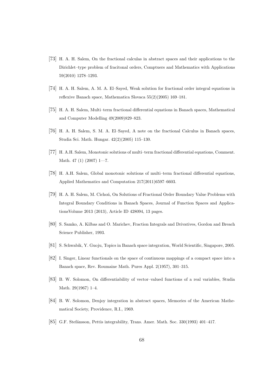- [73] H. A. H. Salem, On the fractional calculas in abstract spaces and their applications to the Dirichlet–type problem of fracitonal orders, Comptuers and Mathematics with Applications 59(2010) 1278–1293.
- [74] H. A. H. Salem, A. M. A. El–Sayed, Weak solution for fractional order integral equations in reflexive Banach space, Mathematica Slovaca 55(2)(2005) 169–181.
- [75] H. A. H. Salem, Multi–term fractional differential equations in Banach spaces, Mathematical and Computer Modelling 49(2009)829–823.
- [76] H. A. H. Salem, S. M. A. El–Sayed, A note on the fractional Calculus in Banach spaces, Studia Sci. Math. Hungar. 42(2)(2005) 115–130.
- [77] H. A.H. Salem, Monotonic solutions of multi–term fractional differential equations, Comment. Math. 47 (1) (2007) 1—7.
- [78] H. A.H. Salem, Global monotonic solutions of multi–term fractional differential equations, Applied Mathematics and Computation 217(2011)6597–6603.
- [79] H. A. H. Salem, M. Cicho´n, On Solutions of Fractional Order Boundary Value Problems with Integral Boundary Conditions in Banach Spaces, Journal of Function Spaces and ApplicationsVolume 2013 (2013), Article ID 428094, 13 pages.
- [80] S. Samko, A. Kilbas and O. Marichev, Fraction Integrals and Drivatives, Gordon and Breach Science Publisher, 1993.
- [81] S. Schwabik, Y. Guoju, Topics in Banach space integration, World Scientific, Singapore, 2005.
- [82] I. Singer, Linear functionals on the space of continuous mappings of a compact space into a Banach space, Rev. Roumaine Math. Pures Appl. 2(1957), 301–315.
- [83] B. W. Solomon, On differentiability of vector–valued functions of a real variables, Studia Math. 29(1967) 1–4.
- [84] B. W. Solomon, Denjoy integration in abstract spaces, Memories of the American Mathematical Society, Providence, R.I., 1969.
- [85] G.F. Stef´ansson, Pettis integrability, Trans. Amer. Math. Soc. 330(1993) 401–417.